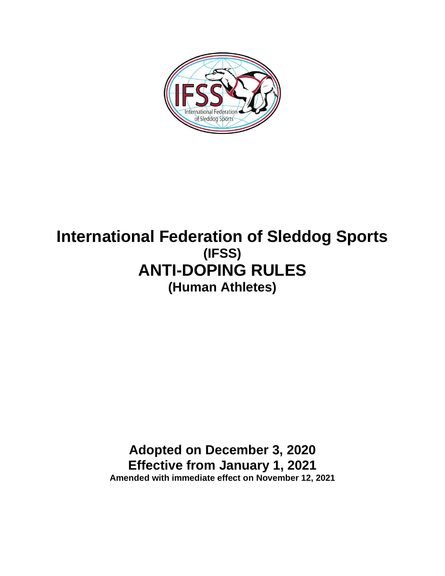

# **International Federation of Sleddog Sports (IFSS) ANTI-DOPING RULES (Human Athletes)**

## **Adopted on December 3, 2020 Effective from January 1, 2021 Amended with immediate effect on November 12, 2021**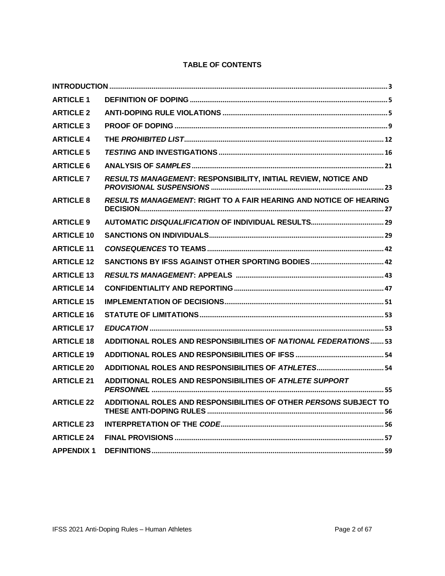| <b>ARTICLE 1</b>  |                                                                   |
|-------------------|-------------------------------------------------------------------|
| <b>ARTICLE 2</b>  |                                                                   |
| <b>ARTICLE 3</b>  |                                                                   |
| <b>ARTICLE 4</b>  |                                                                   |
| <b>ARTICLE 5</b>  |                                                                   |
| <b>ARTICLE 6</b>  |                                                                   |
| <b>ARTICLE 7</b>  | RESULTS MANAGEMENT: RESPONSIBILITY, INITIAL REVIEW, NOTICE AND    |
| <b>ARTICLE 8</b>  | RESULTS MANAGEMENT: RIGHT TO A FAIR HEARING AND NOTICE OF HEARING |
| <b>ARTICLE 9</b>  |                                                                   |
| <b>ARTICLE 10</b> |                                                                   |
| <b>ARTICLE 11</b> |                                                                   |
| <b>ARTICLE 12</b> |                                                                   |
| <b>ARTICLE 13</b> |                                                                   |
| <b>ARTICLE 14</b> |                                                                   |
| <b>ARTICLE 15</b> |                                                                   |
| <b>ARTICLE 16</b> |                                                                   |
| <b>ARTICLE 17</b> |                                                                   |
| <b>ARTICLE 18</b> | ADDITIONAL ROLES AND RESPONSIBILITIES OF NATIONAL FEDERATIONS 53  |
| <b>ARTICLE 19</b> |                                                                   |
| <b>ARTICLE 20</b> |                                                                   |
| <b>ARTICLE 21</b> | ADDITIONAL ROLES AND RESPONSIBILITIES OF ATHLETE SUPPORT          |
| <b>ARTICLE 22</b> | ADDITIONAL ROLES AND RESPONSIBILITIES OF OTHER PERSONS SUBJECT TO |
| <b>ARTICLE 23</b> |                                                                   |
| <b>ARTICLE 24</b> |                                                                   |
| <b>APPENDIX 1</b> |                                                                   |

## **TABLE OF CONTENTS**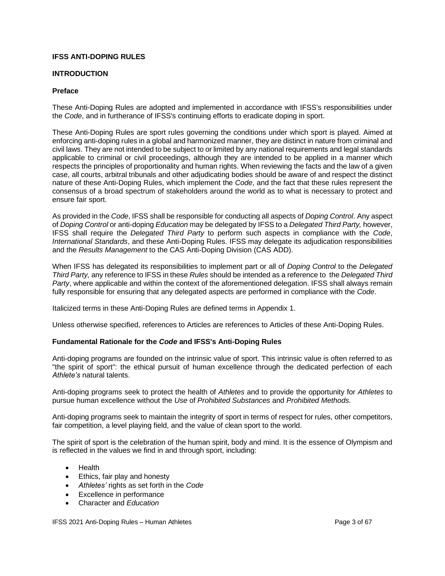#### <span id="page-2-0"></span>**IFSS ANTI-DOPING RULES**

#### **INTRODUCTION**

#### **Preface**

These Anti-Doping Rules are adopted and implemented in accordance with IFSS's responsibilities under the *Code*, and in furtherance of IFSS's continuing efforts to eradicate doping in sport.

These Anti-Doping Rules are sport rules governing the conditions under which sport is played. Aimed at enforcing anti-doping rules in a global and harmonized manner, they are distinct in nature from criminal and civil laws. They are not intended to be subject to or limited by any national requirements and legal standards applicable to criminal or civil proceedings, although they are intended to be applied in a manner which respects the principles of proportionality and human rights. When reviewing the facts and the law of a given case, all courts, arbitral tribunals and other adjudicating bodies should be aware of and respect the distinct nature of these Anti-Doping Rules, which implement the *Code*, and the fact that these rules represent the consensus of a broad spectrum of stakeholders around the world as to what is necessary to protect and ensure fair sport.

As provided in the *Code*, IFSS shall be responsible for conducting all aspects of *Doping Control*. Any aspect of *Doping Control* or anti-doping *Education* may be delegated by IFSS to a *Delegated Third Party,* however, IFSS shall require the *Delegated Third Party* to perform such aspects in compliance with the *Code*, *International Standards*, and these Anti-Doping Rules. IFSS may delegate its adjudication responsibilities and the *Results Management* to the CAS Anti-Doping Division (CAS ADD).

When IFSS has delegated its responsibilities to implement part or all of *Doping Control* to the *Delegated Third Party,* any reference to IFSS in these *Rules* should be intended as a reference to the *Delegated Third Party*, where applicable and within the context of the aforementioned delegation. IFSS shall always remain fully responsible for ensuring that any delegated aspects are performed in compliance with the *Code*.

Italicized terms in these Anti-Doping Rules are defined terms in Appendix 1.

Unless otherwise specified, references to Articles are references to Articles of these Anti-Doping Rules.

## **Fundamental Rationale for the** *Code* **and IFSS's Anti-Doping Rules**

Anti-doping programs are founded on the intrinsic value of sport. This intrinsic value is often referred to as "the spirit of sport": the ethical pursuit of human excellence through the dedicated perfection of each *Athlete's* natural talents.

Anti-doping programs seek to protect the health of *Athletes* and to provide the opportunity for *Athletes* to pursue human excellence without the *Use* of *Prohibited Substances* and *Prohibited Methods*.

Anti-doping programs seek to maintain the integrity of sport in terms of respect for rules, other competitors, fair competition, a level playing field, and the value of clean sport to the world.

The spirit of sport is the celebration of the human spirit, body and mind. It is the essence of Olympism and is reflected in the values we find in and through sport, including:

- Health
- Ethics, fair play and honesty
- *Athletes'* rights as set forth in the *Code*
- Excellence in performance
- Character and *Education*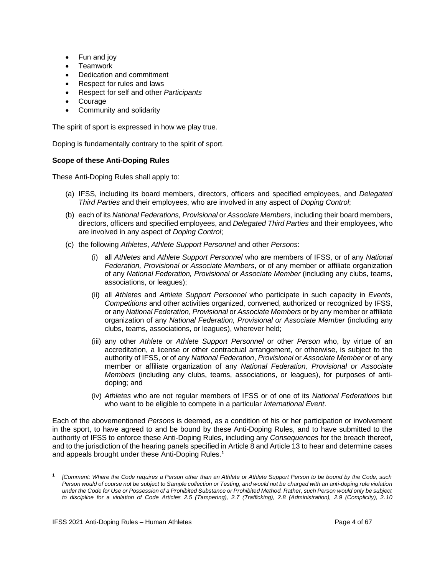- Fun and joy
- Teamwork
- Dedication and commitment
- Respect for rules and laws
- Respect for self and other *Participants*
- **Courage**
- Community and solidarity

The spirit of sport is expressed in how we play true.

Doping is fundamentally contrary to the spirit of sport.

#### **Scope of these Anti-Doping Rules**

These Anti-Doping Rules shall apply to:

- (a) IFSS, including its board members, directors, officers and specified employees, and *Delegated Third Parties* and their employees, who are involved in any aspect of *Doping Control*;
- (b) each of its *National Federations, Provisional* or *Associate Members*, including their board members, directors, officers and specified employees, and *Delegated Third Parties* and their employees, who are involved in any aspect of *Doping Control*;
- (c) the following *Athletes*, *Athlete Support Personnel* and other *Persons*:
	- (i) all *Athletes* and *Athlete Support Personnel* who are members of IFSS, or of any *National Federation, Provisional or Associate Members*, or of any member or affiliate organization of any *National Federation, Provisional or Associate Member* (including any clubs, teams, associations, or leagues);
	- (ii) all *Athletes* and *Athlete Support Personnel* who participate in such capacity in *Events*, *Competitions* and other activities organized, convened, authorized or recognized by IFSS, or any *National Federation*, *Provisional* or *Associate Members* or by any member or affiliate organization of any *National Federation, Provisional or Associate Member* (including any clubs, teams, associations, or leagues), wherever held;
	- (iii) any other *Athlete* or *Athlete Support Personnel* or other *Person* who, by virtue of an accreditation, a license or other contractual arrangement, or otherwise, is subject to the authority of IFSS, or of any *National Federation*, *Provisional* or *Associate Member* or of any member or affiliate organization of any *National Federation, Provisional or Associate Members* (including any clubs, teams, associations, or leagues), for purposes of antidoping; and
	- (iv) *Athletes* who are not regular members of IFSS or of one of its *National Federations* but who want to be eligible to compete in a particular *International Event*.

Each of the abovementioned *Persons* is deemed, as a condition of his or her participation or involvement in the sport, to have agreed to and be bound by these Anti-Doping Rules, and to have submitted to the authority of IFSS to enforce these Anti-Doping Rules, including any *Consequences* for the breach thereof, and to the jurisdiction of the hearing panels specified in Article 8 and Article 13 to hear and determine cases and appeals brought under these Anti-Doping Rules. **1**

**<sup>1</sup>** *[Comment: Where the Code requires a Person other than an Athlete or Athlete Support Person to be bound by the Code, such Person would of course not be subject to Sample collection or Testing, and would not be charged with an anti-doping rule violation under the Code for Use or Possession of a Prohibited Substance or Prohibited Method. Rather, such Person would only be subject to discipline for a violation of Code Articles 2.5 (Tampering), 2.7 (Trafficking), 2.8 (Administration), 2.9 (Complicity), 2.10*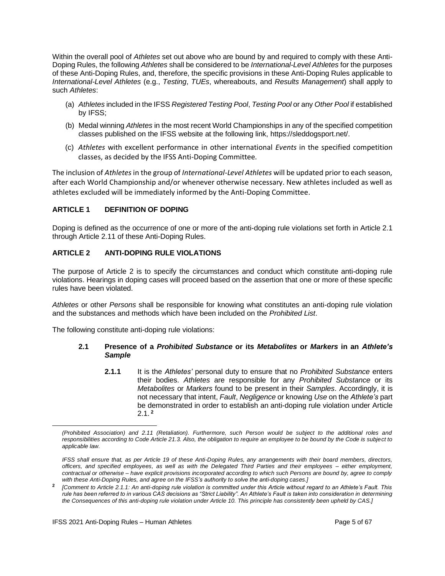Within the overall pool of *Athletes* set out above who are bound by and required to comply with these Anti-Doping Rules, the following *Athletes* shall be considered to be *International-Level Athletes* for the purposes of these Anti-Doping Rules, and, therefore, the specific provisions in these Anti-Doping Rules applicable to *International-Level Athletes* (e.g., *Testing*, *TUEs*, whereabouts, and *Results Management*) shall apply to such *Athletes*:

- (a) *Athletes* included in the IFSS *Registered Testing Pool*, *Testing Pool* or any *Other Pool* if established by IFSS;
- (b) Medal winning *Athletes* in the most recent World Championships in any of the specified competition classes published on the IFSS website at the following link, [https://sleddogsport.net/.](https://sleddogsport.net/)
- (c) *Athletes* with excellent performance in other international *Events* in the specified competition classes, as decided by the IFSS Anti-Doping Committee.

The inclusion of *Athletes* in the group of *International-Level Athletes* will be updated prior to each season, after each World Championship and/or whenever otherwise necessary. New athletes included as well as athletes excluded will be immediately informed by the Anti-Doping Committee.

## <span id="page-4-0"></span>**ARTICLE 1 DEFINITION OF DOPING**

Doping is defined as the occurrence of one or more of the anti-doping rule violations set forth in Article 2.1 through Article 2.11 of these Anti-Doping Rules.

## <span id="page-4-1"></span>**ARTICLE 2 ANTI-DOPING RULE VIOLATIONS**

The purpose of Article 2 is to specify the circumstances and conduct which constitute anti-doping rule violations. Hearings in doping cases will proceed based on the assertion that one or more of these specific rules have been violated.

*Athletes* or other *Persons* shall be responsible for knowing what constitutes an anti-doping rule violation and the substances and methods which have been included on the *Prohibited List*.

The following constitute anti-doping rule violations:

## **2.1 Presence of a** *Prohibited Substance* **or its** *Metabolites* **or** *Markers* **in an** *Athlete's Sample*

**2.1.1** It is the *Athletes'* personal duty to ensure that no *Prohibited Substance* enters their bodies. *Athletes* are responsible for any *Prohibited Substance* or its *Metabolites* or *Markers* found to be present in their *Samples*. Accordingly, it is not necessary that intent, *Fault*, *Negligence* or knowing *Use* on the *Athlete's* part be demonstrated in order to establish an anti-doping rule violation under Article 2.1. **<sup>2</sup>**

*<sup>(</sup>Prohibited Association) and 2.11 (Retaliation). Furthermore, such Person would be subject to the additional roles and responsibilities according to Code Article 21.3. Also, the obligation to require an employee to be bound by the Code is subject to applicable law.*

*IFSS shall ensure that, as per Article 19 of these Anti-Doping Rules, any arrangements with their board members, directors, officers, and specified employees, as well as with the Delegated Third Parties and their employees – either employment, contractual or otherwise – have explicit provisions incorporated according to which such Persons are bound by, agree to comply with these Anti-Doping Rules, and agree on the IFSS's authority to solve the anti-doping cases.]*

**<sup>2</sup>** *[Comment to Article 2.1.1: An anti-doping rule violation is committed under this Article without regard to an Athlete's Fault. This rule has been referred to in various CAS decisions as "Strict Liability". An Athlete's Fault is taken into consideration in determining the Consequences of this anti-doping rule violation under Article 10. This principle has consistently been upheld by CAS.]*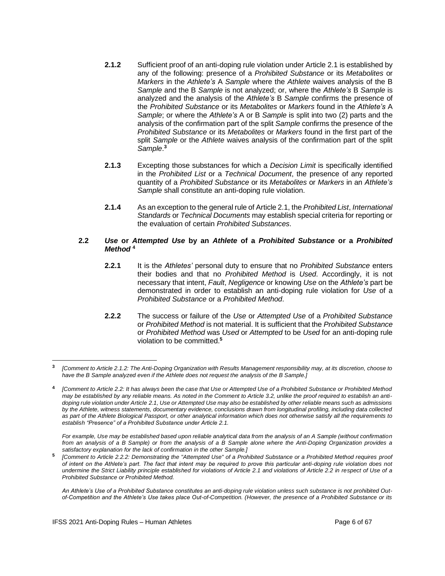- **2.1.2** Sufficient proof of an anti-doping rule violation under Article 2.1 is established by any of the following: presence of a *Prohibited Substance* or its *Metabolites* or *Markers* in the *Athlete's* A *Sample* where the *Athlete* waives analysis of the B *Sample* and the B *Sample* is not analyzed; or, where the *Athlete's* B *Sample* is analyzed and the analysis of the *Athlete's* B *Sample* confirms the presence of the *Prohibited Substance* or its *Metabolites* or *Markers* found in the *Athlete's* A *Sample*; or where the *Athlete's* A or B *Sample* is split into two (2) parts and the analysis of the confirmation part of the split *Sample* confirms the presence of the *Prohibited Substance* or its *Metabolites* or *Markers* found in the first part of the split *Sample* or the *Athlete* waives analysis of the confirmation part of the split *Sample*. **3**
- **2.1.3** Excepting those substances for which a *Decision Limit* is specifically identified in the *Prohibited List* or a *Technical Document*, the presence of any reported quantity of a *Prohibited Substance* or its *Metabolites* or *Markers* in an *Athlete's Sample* shall constitute an anti-doping rule violation.
- **2.1.4** As an exception to the general rule of Article 2.1, the *Prohibited List*, *International Standards* or *Technical Documents* may establish special criteria for reporting or the evaluation of certain *Prohibited Substances*.

#### **2.2** *Use* **or** *Attempted Use* **by an** *Athlete* **of a** *Prohibited Substance* **or a** *Prohibited Method* **<sup>4</sup>**

- **2.2.1** It is the *Athletes'* personal duty to ensure that no *Prohibited Substance* enters their bodies and that no *Prohibited Method* is *Used*. Accordingly, it is not necessary that intent, *Fault*, *Negligence* or knowing *Use* on the *Athlete's* part be demonstrated in order to establish an anti-doping rule violation for *Use* of a *Prohibited Substance* or a *Prohibited Method*.
- **2.2.2** The success or failure of the *Use* or *Attempted Use* of a *Prohibited Substance* or *Prohibited Method* is not material. It is sufficient that the *Prohibited Substance* or *Prohibited Method* was *Used* or *Attempted* to be *Used* for an anti-doping rule violation to be committed.**<sup>5</sup>**

*For example, Use may be established based upon reliable analytical data from the analysis of an A Sample (without confirmation from an analysis of a B Sample) or from the analysis of a B Sample alone where the Anti-Doping Organization provides a satisfactory explanation for the lack of confirmation in the other Sample.]*

**<sup>3</sup>** *[Comment to Article 2.1.2: The Anti-Doping Organization with Results Management responsibility may, at its discretion, choose to have the B Sample analyzed even if the Athlete does not request the analysis of the B Sample.]*

**<sup>4</sup>** *[Comment to Article 2.2: It has always been the case that Use or Attempted Use of a Prohibited Substance or Prohibited Method may be established by any reliable means. As noted in the Comment to Article 3.2, unlike the proof required to establish an antidoping rule violation under Article 2.1, Use or Attempted Use may also be established by other reliable means such as admissions by the Athlete, witness statements, documentary evidence, conclusions drawn from longitudinal profiling, including data collected as part of the Athlete Biological Passport, or other analytical information which does not otherwise satisfy all the requirements to establish "Presence" of a Prohibited Substance under Article 2.1.* 

**<sup>5</sup>** *[Comment to Article 2.2.2: Demonstrating the "Attempted Use" of a Prohibited Substance or a Prohibited Method requires proof of intent on the Athlete's part. The fact that intent may be required to prove this particular anti-doping rule violation does not undermine the Strict Liability principle established for violations of Article 2.1 and violations of Article 2.2 in respect of Use of a Prohibited Substance or Prohibited Method.* 

*An Athlete's Use of a Prohibited Substance constitutes an anti-doping rule violation unless such substance is not prohibited Outof-Competition and the Athlete's Use takes place Out-of-Competition. (However, the presence of a Prohibited Substance or its*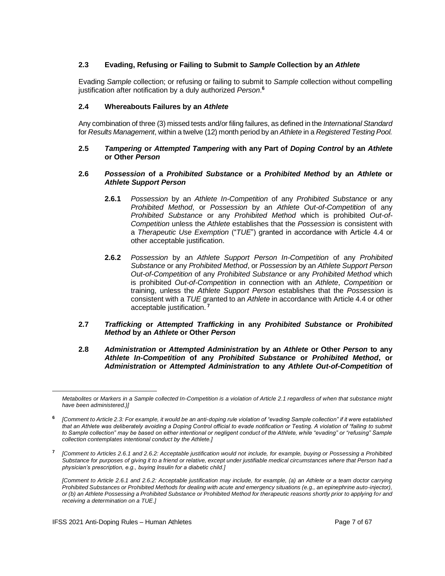## **2.3 Evading, Refusing or Failing to Submit to** *Sample* **Collection by an** *Athlete*

Evading *Sample* collection; or refusing or failing to submit to *Sample* collection without compelling justification after notification by a duly authorized *Person*. **6**

#### **2.4 Whereabouts Failures by an** *Athlete*

Any combination of three (3) missed tests and/or filing failures, as defined in the *International Standard* for *Results Management*, within a twelve (12) month period by an *Athlete* in a *Registered Testing Pool.*

#### **2.5** *Tampering* **or** *Attempted Tampering* **with any Part of** *Doping Control* **by an** *Athlete* **or Other** *Person*

## **2.6** *Possession* **of a** *Prohibited Substance* **or a** *Prohibited Method* **by an** *Athlete* **or**  *Athlete Support Person*

- **2.6.1** *Possession* by an *Athlete In-Competition* of any *Prohibited Substance* or any *Prohibited Method*, or *Possession* by an *Athlete Out-of-Competition* of any *Prohibited Substance* or any *Prohibited Method* which is prohibited *Out-of-Competition* unless the *Athlete* establishes that the *Possession* is consistent with a *Therapeutic Use Exemption* ("*TUE*") granted in accordance with Article 4.4 or other acceptable justification.
- **2.6.2** *Possession* by an *Athlete Support Person In-Competition* of any *Prohibited Substance* or any *Prohibited Method*, or *Possession* by an *Athlete Support Person Out-of-Competition* of any *Prohibited Substance* or any *Prohibited Method* which is prohibited *Out-of-Competition* in connection with an *Athlete*, *Competition* or training, unless the *Athlete Support Person* establishes that the *Possession* is consistent with a *TUE* granted to an *Athlete* in accordance with Article 4.4 or other acceptable justification. **<sup>7</sup>**
- **2.7** *Trafficking* **or** *Attempted Trafficking* **in any** *Prohibited Substance* **or** *Prohibited Method* **by an** *Athlete* **or Other** *Person*
- **2.8** *Administration* **or** *Attempted Administration* **by an** *Athlete* **or Other** *Person* **to any**  *Athlete In-Competition* **of any** *Prohibited Substance* **or** *Prohibited Method***, or**  *Administration* **or** *Attempted Administration* **to any** *Athlete Out-of-Competition* **of**

*Metabolites or Markers in a Sample collected In-Competition is a violation of Article 2.1 regardless of when that substance might have been administered.)]*

**<sup>6</sup>** *[Comment to Article 2.3: For example, it would be an anti-doping rule violation of "evading Sample collection" if it were established that an Athlete was deliberately avoiding a Doping Control official to evade notification or Testing. A violation of "failing to submit to Sample collection" may be based on either intentional or negligent conduct of the Athlete, while "evading" or "refusing" Sample collection contemplates intentional conduct by the Athlete.]*

**<sup>7</sup>** *[Comment to Articles 2.6.1 and 2.6.2: Acceptable justification would not include, for example, buying or Possessing a Prohibited Substance for purposes of giving it to a friend or relative, except under justifiable medical circumstances where that Person had a physician's prescription, e.g., buying Insulin for a diabetic child.]*

*<sup>[</sup>Comment to Article 2.6.1 and 2.6.2: Acceptable justification may include, for example, (a) an Athlete or a team doctor carrying Prohibited Substances or Prohibited Methods for dealing with acute and emergency situations (e.g., an epinephrine auto-injector), or (b) an Athlete Possessing a Prohibited Substance or Prohibited Method for therapeutic reasons shortly prior to applying for and receiving a determination on a TUE.]*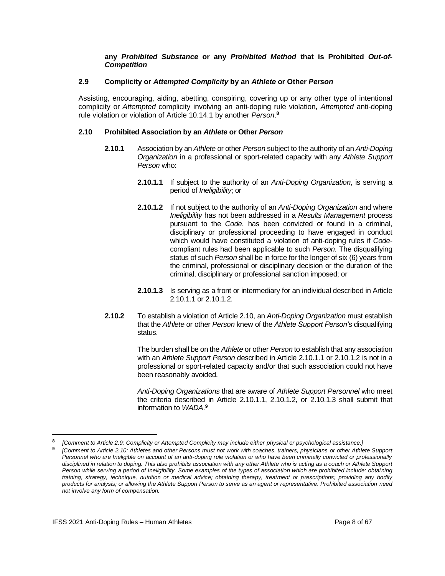#### **any** *Prohibited Substance* **or any** *Prohibited Method* **that is Prohibited** *Out-of-Competition*

## **2.9 Complicity or** *Attempted Complicity* **by an** *Athlete* **or Other** *Person*

Assisting, encouraging, aiding, abetting, conspiring, covering up or any other type of intentional complicity or *Attempted* complicity involving an anti-doping rule violation, *Attempted* anti-doping rule violation or violation of Article 10.14.1 by another *Person*. **8**

## **2.10 Prohibited Association by an** *Athlete* **or Other** *Person*

- **2.10.1** Association by an *Athlete* or other *Person* subject to the authority of an *Anti-Doping Organization* in a professional or sport-related capacity with any *Athlete Support Person* who:
	- **2.10.1.1** If subject to the authority of an *Anti-Doping Organization*, is serving a period of *Ineligibility*; or
	- **2.10.1.2** If not subject to the authority of an *Anti-Doping Organization* and where *Ineligibility* has not been addressed in a *Results Management* process pursuant to the *Code*, has been convicted or found in a criminal, disciplinary or professional proceeding to have engaged in conduct which would have constituted a violation of anti-doping rules if *Code*compliant rules had been applicable to such *Person.* The disqualifying status of such *Person* shall be in force for the longer of six (6) years from the criminal, professional or disciplinary decision or the duration of the criminal, disciplinary or professional sanction imposed; or
	- **2.10.1.3** Is serving as a front or intermediary for an individual described in Article 2.10.1.1 or 2.10.1.2.
- **2.10.2** To establish a violation of Article 2.10, an *Anti-Doping Organization* must establish that the *Athlete* or other *Person* knew of the *Athlete Support Person'*s disqualifying status.

The burden shall be on the *Athlete* or other *Person* to establish that any association with an *Athlete Support Person* described in Article 2.10.1.1 or 2.10.1.2 is not in a professional or sport-related capacity and/or that such association could not have been reasonably avoided.

*Anti-Doping Organizations* that are aware of *Athlete Support Personnel* who meet the criteria described in Article 2.10.1.1, 2.10.1.2, or 2.10.1.3 shall submit that information to *WADA*. **9**

**<sup>8</sup>** *[Comment to Article 2.9: Complicity or Attempted Complicity may include either physical or psychological assistance.]*

**<sup>9</sup>** *[Comment to Article 2.10: Athletes and other Persons must not work with coaches, trainers, physicians or other Athlete Support Personnel who are Ineligible on account of an anti-doping rule violation or who have been criminally convicted or professionally disciplined in relation to doping. This also prohibits association with any other Athlete who is acting as a coach or Athlete Support Person while serving a period of Ineligibility. Some examples of the types of association which are prohibited include: obtaining training, strategy, technique, nutrition or medical advice; obtaining therapy, treatment or prescriptions; providing any bodily products for analysis; or allowing the Athlete Support Person to serve as an agent or representative. Prohibited association need not involve any form of compensation.*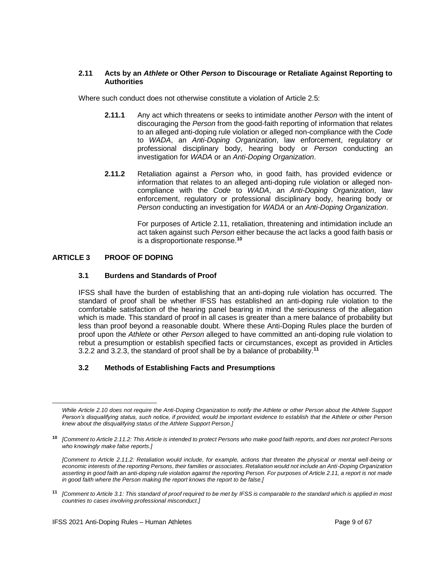## **2.11 Acts by an** *Athlete* **or Other** *Person* **to Discourage or Retaliate Against Reporting to Authorities**

Where such conduct does not otherwise constitute a violation of Article 2.5:

- **2.11.1** Any act which threatens or seeks to intimidate another *Person* with the intent of discouraging the *Person* from the good-faith reporting of information that relates to an alleged anti-doping rule violation or alleged non-compliance with the *Code* to *WADA*, an *Anti-Doping Organization*, law enforcement, regulatory or professional disciplinary body, hearing body or *Person* conducting an investigation for *WADA* or an *Anti-Doping Organization*.
- **2.11.2** Retaliation against a *Person* who, in good faith, has provided evidence or information that relates to an alleged anti-doping rule violation or alleged noncompliance with the *Code* to *WADA*, an *Anti-Doping Organization*, law enforcement, regulatory or professional disciplinary body, hearing body or *Person* conducting an investigation for *WADA* or an *Anti-Doping Organization*.

For purposes of Article 2.11, retaliation, threatening and intimidation include an act taken against such *Person* either because the act lacks a good faith basis or is a disproportionate response.**<sup>10</sup>**

## <span id="page-8-0"></span>**ARTICLE 3 PROOF OF DOPING**

## **3.1 Burdens and Standards of Proof**

IFSS shall have the burden of establishing that an anti-doping rule violation has occurred. The standard of proof shall be whether IFSS has established an anti-doping rule violation to the comfortable satisfaction of the hearing panel bearing in mind the seriousness of the allegation which is made. This standard of proof in all cases is greater than a mere balance of probability but less than proof beyond a reasonable doubt. Where these Anti-Doping Rules place the burden of proof upon the *Athlete* or other *Person* alleged to have committed an anti-doping rule violation to rebut a presumption or establish specified facts or circumstances, except as provided in Articles 3.2.2 and 3.2.3, the standard of proof shall be by a balance of probability.**<sup>11</sup>**

## **3.2 Methods of Establishing Facts and Presumptions**

**<sup>11</sup>** *[Comment to Article 3.1: This standard of proof required to be met by IFSS is comparable to the standard which is applied in most countries to cases involving professional misconduct.]*

*While Article 2.10 does not require the Anti-Doping Organization to notify the Athlete or other Person about the Athlete Support Person's disqualifying status, such notice, if provided, would be important evidence to establish that the Athlete or other Person knew about the disqualifying status of the Athlete Support Person.]*

**<sup>10</sup>** *[Comment to Article 2.11.2: This Article is intended to protect Persons who make good faith reports, and does not protect Persons who knowingly make false reports.]*

*<sup>[</sup>Comment to Article 2.11.2: Retaliation would include, for example, actions that threaten the physical or mental well-being or economic interests of the reporting Persons, their families or associates. Retaliation would not include an Anti-Doping Organization asserting in good faith an anti-doping rule violation against the reporting Person. For purposes of Article 2.11, a report is not made in good faith where the Person making the report knows the report to be false.]*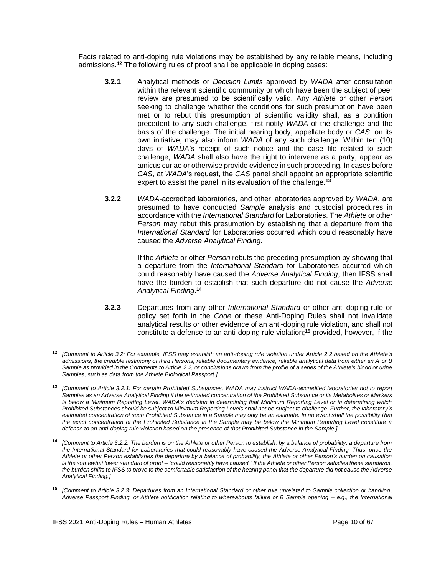Facts related to anti-doping rule violations may be established by any reliable means, including admissions.**<sup>12</sup>** The following rules of proof shall be applicable in doping cases:

- **3.2.1** Analytical methods or *Decision Limits* approved by *WADA* after consultation within the relevant scientific community or which have been the subject of peer review are presumed to be scientifically valid. Any *Athlete* or other *Person* seeking to challenge whether the conditions for such presumption have been met or to rebut this presumption of scientific validity shall, as a condition precedent to any such challenge, first notify *WADA* of the challenge and the basis of the challenge. The initial hearing body, appellate body or *CAS*, on its own initiative, may also inform *WADA* of any such challenge. Within ten (10) days of *WADA's* receipt of such notice and the case file related to such challenge, *WADA* shall also have the right to intervene as a party, appear as amicus curiae or otherwise provide evidence in such proceeding. In cases before *CAS*, at *WADA*'s request, the *CAS* panel shall appoint an appropriate scientific expert to assist the panel in its evaluation of the challenge.**<sup>13</sup>**
- **3.2.2** *WADA*-accredited laboratories, and other laboratories approved by *WADA*, are presumed to have conducted *Sample* analysis and custodial procedures in accordance with the *International Standard* for Laboratories. The *Athlete* or other *Person* may rebut this presumption by establishing that a departure from the *International Standard* for Laboratories occurred which could reasonably have caused the *Adverse Analytical Finding*.

If the *Athlete* or other *Person* rebuts the preceding presumption by showing that a departure from the *International Standard* for Laboratories occurred which could reasonably have caused the *Adverse Analytical Finding*, then IFSS shall have the burden to establish that such departure did not cause the *Adverse Analytical Finding*. **14**

**3.2.3** Departures from any other *International Standard* or other anti-doping rule or policy set forth in the *Code* or these Anti-Doping Rules shall not invalidate analytical results or other evidence of an anti-doping rule violation, and shall not constitute a defense to an anti-doping rule violation;**<sup>15</sup>** provided, however, if the

**<sup>12</sup>** *[Comment to Article 3.2: For example, IFSS may establish an anti-doping rule violation under Article 2.2 based on the Athlete's admissions, the credible testimony of third Persons, reliable documentary evidence, reliable analytical data from either an A or B Sample as provided in the Comments to Article 2.2, or conclusions drawn from the profile of a series of the Athlete's blood or urine Samples, such as data from the Athlete Biological Passport.]*

**<sup>13</sup>** *[Comment to Article 3.2.1: For certain Prohibited Substances, WADA may instruct WADA-accredited laboratories not to report Samples as an Adverse Analytical Finding if the estimated concentration of the Prohibited Substance or its Metabolites or Markers is below a Minimum Reporting Level. WADA's decision in determining that Minimum Reporting Level or in determining which Prohibited Substances should be subject to Minimum Reporting Levels shall not be subject to challenge. Further, the laboratory's*  estimated concentration of such Prohibited Substance in a Sample may only be an estimate. In no event shall the possibility that *the exact concentration of the Prohibited Substance in the Sample may be below the Minimum Reporting Level constitute a defense to an anti-doping rule violation based on the presence of that Prohibited Substance in the Sample.]*

**<sup>14</sup>** *[Comment to Article 3.2.2: The burden is on the Athlete or other Person to establish, by a balance of probability, a departure from the International Standard for Laboratories that could reasonably have caused the Adverse Analytical Finding. Thus, once the Athlete or other Person establishes the departure by a balance of probability, the Athlete or other Person's burden on causation is the somewhat lower standard of proof – "could reasonably have caused." If the Athlete or other Person satisfies these standards, the burden shifts to IFSS to prove to the comfortable satisfaction of the hearing panel that the departure did not cause the Adverse Analytical Finding.]*

**<sup>15</sup>** *[Comment to Article 3.2.3: Departures from an International Standard or other rule unrelated to Sample collection or handling, Adverse Passport Finding, or Athlete notification relating to whereabouts failure or B Sample opening – e.g., the International*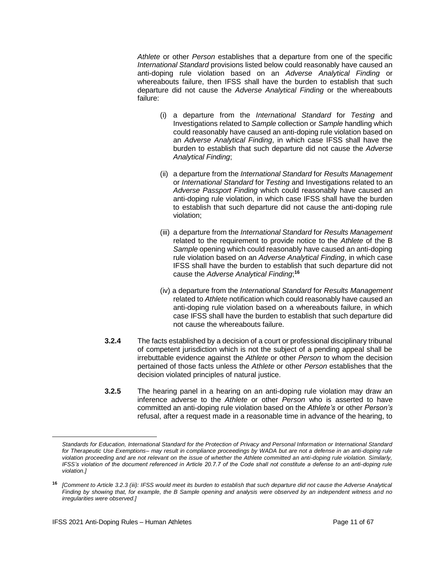*Athlete* or other *Person* establishes that a departure from one of the specific *International Standard* provisions listed below could reasonably have caused an anti-doping rule violation based on an *Adverse Analytical Finding* or whereabouts failure, then IFSS shall have the burden to establish that such departure did not cause the *Adverse Analytical Finding* or the whereabouts failure:

- (i) a departure from the *International Standard* for *Testing* and Investigations related to *Sample* collection or *Sample* handling which could reasonably have caused an anti-doping rule violation based on an *Adverse Analytical Finding*, in which case IFSS shall have the burden to establish that such departure did not cause the *Adverse Analytical Finding*;
- (ii) a departure from the *International Standard* for *Results Management* or *International Standard* for *Testing* and Investigations related to an *Adverse Passport Finding* which could reasonably have caused an anti-doping rule violation, in which case IFSS shall have the burden to establish that such departure did not cause the anti-doping rule violation;
- (iii) a departure from the *International Standard* for *Results Management* related to the requirement to provide notice to the *Athlete* of the B *Sample* opening which could reasonably have caused an anti-doping rule violation based on an *Adverse Analytical Finding*, in which case IFSS shall have the burden to establish that such departure did not cause the *Adverse Analytical Finding*; **16**
- (iv) a departure from the *International Standard* for *Results Management* related to *Athlete* notification which could reasonably have caused an anti-doping rule violation based on a whereabouts failure, in which case IFSS shall have the burden to establish that such departure did not cause the whereabouts failure.
- **3.2.4** The facts established by a decision of a court or professional disciplinary tribunal of competent jurisdiction which is not the subject of a pending appeal shall be irrebuttable evidence against the *Athlete* or other *Person* to whom the decision pertained of those facts unless the *Athlete* or other *Person* establishes that the decision violated principles of natural justice.
- **3.2.5** The hearing panel in a hearing on an anti-doping rule violation may draw an inference adverse to the *Athlete* or other *Person* who is asserted to have committed an anti-doping rule violation based on the *Athlete's* or other *Person's* refusal, after a request made in a reasonable time in advance of the hearing, to

*Standards for Education, International Standard for the Protection of Privacy and Personal Information or International Standard for Therapeutic Use Exemptions– may result in compliance proceedings by WADA but are not a defense in an anti-doping rule violation proceeding and are not relevant on the issue of whether the Athlete committed an anti-doping rule violation. Similarly, IFSS's violation of the document referenced in Article 20.7.7 of the Code shall not constitute a defense to an anti-doping rule violation.]*

**<sup>16</sup>** *[Comment to Article 3.2.3 (iii): IFSS would meet its burden to establish that such departure did not cause the Adverse Analytical Finding by showing that, for example, the B Sample opening and analysis were observed by an independent witness and no irregularities were observed.]*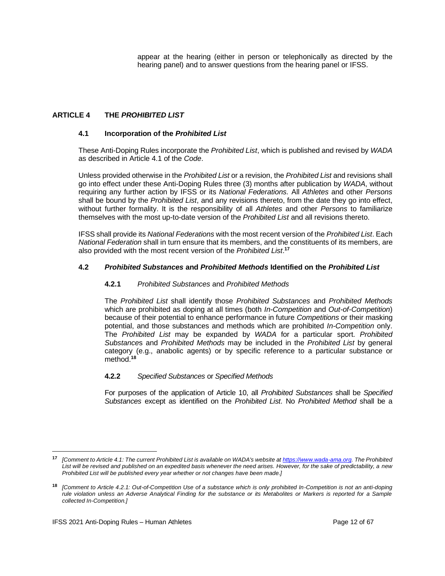appear at the hearing (either in person or telephonically as directed by the hearing panel) and to answer questions from the hearing panel or IFSS.

## <span id="page-11-0"></span>**ARTICLE 4 THE** *PROHIBITED LIST*

## **4.1 Incorporation of the** *Prohibited List*

These Anti-Doping Rules incorporate the *Prohibited List*, which is published and revised by *WADA* as described in Article 4.1 of the *Code*.

Unless provided otherwise in the *Prohibited List* or a revision, the *Prohibited List* and revisions shall go into effect under these Anti-Doping Rules three (3) months after publication by *WADA*, without requiring any further action by IFSS or its *National Federations.* All *Athletes* and other *Persons* shall be bound by the *Prohibited List*, and any revisions thereto, from the date they go into effect, without further formality. It is the responsibility of all *Athletes* and other *Persons* to familiarize themselves with the most up-to-date version of the *Prohibited List* and all revisions thereto.

IFSS shall provide its *National Federations* with the most recent version of the *Prohibited List*. Each *National Federation* shall in turn ensure that its members, and the constituents of its members, are also provided with the most recent version of the *Prohibited List*. **17**

## **4.2** *Prohibited Substances* **and** *Prohibited Methods* **Identified on the** *Prohibited List*

## **4.2.1** *Prohibited Substances* and *Prohibited Methods*

The *Prohibited List* shall identify those *Prohibited Substances* and *Prohibited Methods*  which are prohibited as doping at all times (both *In-Competition* and *Out-of-Competition*) because of their potential to enhance performance in future *Competitions* or their masking potential, and those substances and methods which are prohibited *In-Competition* only. The *Prohibited List* may be expanded by *WADA* for a particular sport. *Prohibited Substance*s and *Prohibited Methods* may be included in the *Prohibited List* by general category (e.g., anabolic agents) or by specific reference to a particular substance or method.**<sup>18</sup>**

## **4.2.2** *Specified Substances* or *Specified Methods*

For purposes of the application of Article 10, all *Prohibited Substances* shall be *Specified Substances* except as identified on the *Prohibited List*. No *Prohibited Method* shall be a

**<sup>17</sup>** *[Comment to Article 4.1: The current Prohibited List is available on WADA's website at [https://www.wada-ama.org.](https://www.wada-ama.org/) The Prohibited List will be revised and published on an expedited basis whenever the need arises. However, for the sake of predictability, a new Prohibited List will be published every year whether or not changes have been made.]*

**<sup>18</sup>** *[Comment to Article 4.2.1: Out-of-Competition Use of a substance which is only prohibited In-Competition is not an anti-doping rule violation unless an Adverse Analytical Finding for the substance or its Metabolites or Markers is reported for a Sample collected In-Competition.]*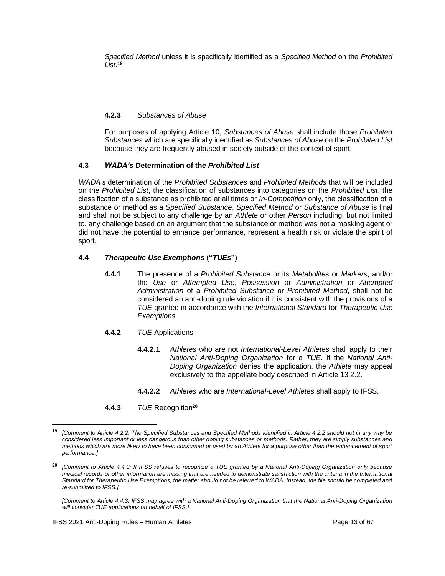*Specified Method* unless it is specifically identified as a *Specified Method* on the *Prohibited List*. **19**

## **4.2.3** *Substances of Abuse*

For purposes of applying Article 10, *Substances of Abuse* shall include those *Prohibited Substances* which are specifically identified as *Substances of Abuse* on the *Prohibited List* because they are frequently abused in society outside of the context of sport.

## **4.3** *WADA's* **Determination of the** *Prohibited List*

*WADA's* determination of the *Prohibited Substances* and *Prohibited Methods* that will be included on the *Prohibited List*, the classification of substances into categories on the *Prohibited List*, the classification of a substance as prohibited at all times or *In-Competition* only, the classification of a substance or method as a *Specified Substance*, *Specified Method* or *Substance of Abuse* is final and shall not be subject to any challenge by an *Athlete* or other *Person* including, but not limited to, any challenge based on an argument that the substance or method was not a masking agent or did not have the potential to enhance performance, represent a health risk or violate the spirit of sport.

## **4.4** *Therapeutic Use Exemptions* **("***TUEs***")**

- **4.4.1** The presence of a *Prohibited Substance* or its *Metabolites* or *Markers*, and/or the *Use* or *Attempted Use*, *Possession* or *Administration* or *Attempted Administration* of a *Prohibited Substance* or *Prohibited Method*, shall not be considered an anti-doping rule violation if it is consistent with the provisions of a *TUE* granted in accordance with the *International Standard* for *Therapeutic Use Exemptions*.
- **4.4.2** *TUE* Applications
	- **4.4.2.1** *Athletes* who are not *International-Level Athletes* shall apply to their *National Anti-Doping Organization* for a *TUE*. If the *National Anti-Doping Organization* denies the application, the *Athlete* may appeal exclusively to the appellate body described in Article 13.2.2.
	- **4.4.2.2** *Athletes* who are *International-Level Athletes* shall apply to IFSS.
- **4.4.3** *TUE* Recognition**<sup>20</sup>**

*[Comment to Article 4.4.3: IFSS may agree with a National Anti-Doping Organization that the National Anti-Doping Organization will consider TUE applications on behalf of IFSS.]*

**<sup>19</sup>** *[Comment to Article 4.2.2: The Specified Substances and Specified Methods identified in Article 4.2.2 should not in any way be considered less important or less dangerous than other doping substances or methods. Rather, they are simply substances and methods which are more likely to have been consumed or used by an Athlete for a purpose other than the enhancement of sport performance.]*

**<sup>20</sup>** *[Comment to Article 4.4.3: If IFSS refuses to recognize a TUE granted by a National Anti-Doping Organization only because medical records or other information are missing that are needed to demonstrate satisfaction with the criteria in the International Standard for Therapeutic Use Exemptions, the matter should not be referred to WADA. Instead, the file should be completed and re-submitted to IFSS.]*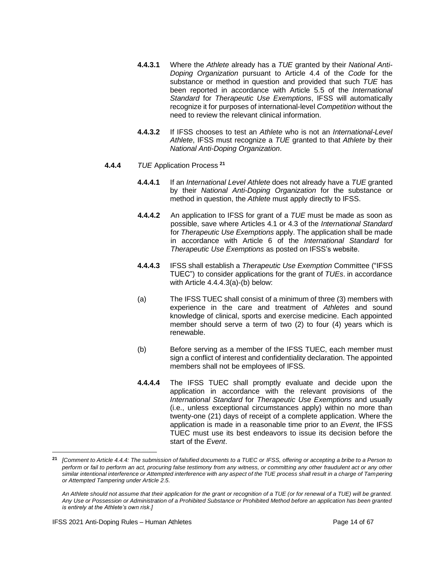- **4.4.3.1** Where the *Athlete* already has a *TUE* granted by their *National Anti-Doping Organization* pursuant to Article 4.4 of the *Code* for the substance or method in question and provided that such *TUE* has been reported in accordance with Article 5.5 of the *International Standard* for *Therapeutic Use Exemptions*, IFSS will automatically recognize it for purposes of international-level *Competition* without the need to review the relevant clinical information.
- **4.4.3.2** If IFSS chooses to test an *Athlete* who is not an *International-Level Athlete*, IFSS must recognize a *TUE* granted to that *Athlete* by their *National Anti-Doping Organization*.
- **4.4.4** *TUE* Application Process **<sup>21</sup>**
	- **4.4.4.1** If an *International Level Athlete* does not already have a *TUE* granted by their *National Anti-Doping Organization* for the substance or method in question, the *Athlete* must apply directly to IFSS.
	- **4.4.4.2** An application to IFSS for grant of a *TUE* must be made as soon as possible, save where Articles 4.1 or 4.3 of the *International Standard* for *Therapeutic Use Exemptions* apply. The application shall be made in accordance with Article 6 of the *International Standard* for *Therapeutic Use Exemptions* as posted on IFSS's website.
	- **4.4.4.3** IFSS shall establish a *Therapeutic Use Exemption* Committee ("IFSS TUEC") to consider applications for the grant of *TUEs*. in accordance with Article 4.4.4.3(a)-(b) below:
	- (a) The IFSS TUEC shall consist of a minimum of three (3) members with experience in the care and treatment of *Athletes* and sound knowledge of clinical, sports and exercise medicine. Each appointed member should serve a term of two (2) to four (4) years which is renewable.
	- (b) Before serving as a member of the IFSS TUEC, each member must sign a conflict of interest and confidentiality declaration. The appointed members shall not be employees of IFSS.
	- **4.4.4.4** The IFSS TUEC shall promptly evaluate and decide upon the application in accordance with the relevant provisions of the *International Standard* for *Therapeutic Use Exemptions* and usually (i.e., unless exceptional circumstances apply) within no more than twenty-one (21) days of receipt of a complete application. Where the application is made in a reasonable time prior to an *Event*, the IFSS TUEC must use its best endeavors to issue its decision before the start of the *Event*.

**<sup>21</sup>** *[Comment to Article 4.4.4: The submission of falsified documents to a TUEC or IFSS, offering or accepting a bribe to a Person to perform or fail to perform an act, procuring false testimony from any witness, or committing any other fraudulent act or any other similar intentional interference or Attempted interference with any aspect of the TUE process shall result in a charge of Tampering or Attempted Tampering under Article 2.5.*

*An Athlete should not assume that their application for the grant or recognition of a TUE (or for renewal of a TUE) will be granted. Any Use or Possession or Administration of a Prohibited Substance or Prohibited Method before an application has been granted is entirely at the Athlete's own risk.]*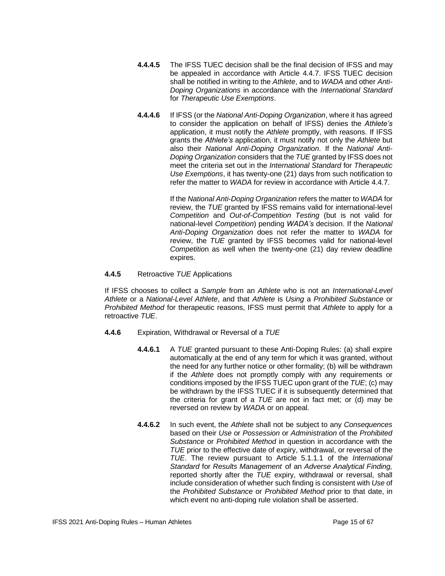- **4.4.4.5** The IFSS TUEC decision shall be the final decision of IFSS and may be appealed in accordance with Article 4.4.7. IFSS TUEC decision shall be notified in writing to the *Athlete*, and to *WADA* and other *Anti-Doping Organizations* in accordance with the *International Standard* for *Therapeutic Use Exemptions*.
- **4.4.4.6** If IFSS (or the *National Anti-Doping Organization*, where it has agreed to consider the application on behalf of IFSS) denies the *Athlete's* application, it must notify the *Athlete* promptly, with reasons. If IFSS grants the *Athlete's* application, it must notify not only the *Athlete* but also their *National Anti-Doping Organization*. If the *National Anti-Doping Organization* considers that the *TUE* granted by IFSS does not meet the criteria set out in the *International Standard* for *Therapeutic Use Exemptions*, it has twenty-one (21) days from such notification to refer the matter to *WADA* for review in accordance with Article 4.4.7.

If the *National Anti-Doping Organization* refers the matter to *WADA* for review, the *TUE* granted by IFSS remains valid for international-level *Competition* and *Out-of-Competition Testing* (but is not valid for national-level *Competition*) pending *WADA's* decision. If the *National Anti-Doping Organization* does not refer the matter to *WADA* for review, the *TUE* granted by IFSS becomes valid for national-level *Competitio*n as well when the twenty-one (21) day review deadline expires.

## **4.4.5** Retroactive *TUE* Applications

If IFSS chooses to collect a *Sample* from an *Athlete* who is not an *International-Level Athlete* or a *National-Level Athlete*, and that *Athlete* is *Using* a *Prohibited Substance* or *Prohibited Method* for therapeutic reasons, IFSS must permit that *Athlete* to apply for a retroactive *TUE*.

- **4.4.6** Expiration, Withdrawal or Reversal of a *TUE*
	- **4.4.6.1** A *TUE* granted pursuant to these Anti-Doping Rules: (a) shall expire automatically at the end of any term for which it was granted, without the need for any further notice or other formality; (b) will be withdrawn if the *Athlete* does not promptly comply with any requirements or conditions imposed by the IFSS TUEC upon grant of the *TUE*; (c) may be withdrawn by the IFSS TUEC if it is subsequently determined that the criteria for grant of a *TUE* are not in fact met; or (d) may be reversed on review by *WADA* or on appeal.
	- **4.4.6.2** In such event, the *Athlete* shall not be subject to any *Consequences* based on their *Use* or *Possession* or *Administration* of the *Prohibited Substance* or *Prohibited Method* in question in accordance with the *TUE* prior to the effective date of expiry, withdrawal, or reversal of the *TUE*. The review pursuant to Article 5.1.1.1 of the *International Standard* for *Results Management* of an *Adverse Analytical Finding,* reported shortly after the *TUE* expiry, withdrawal or reversal, shall include consideration of whether such finding is consistent with *Use* of the *Prohibited Substance* or *Prohibited Method* prior to that date, in which event no anti-doping rule violation shall be asserted.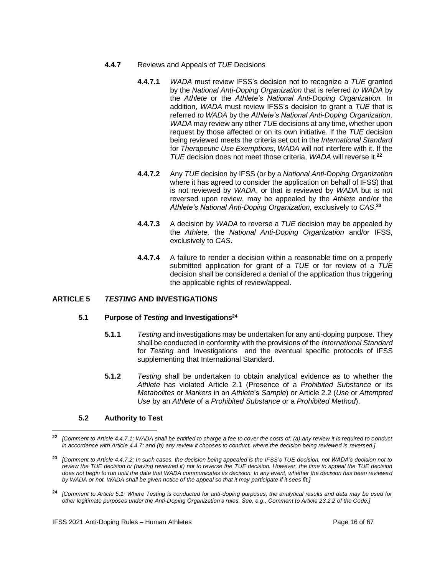- **4.4.7** Reviews and Appeals of *TUE* Decisions
	- **4.4.7.1** *WADA* must review IFSS's decision not to recognize a *TUE* granted by the *National Anti-Doping Organization* that is referred *to WADA* by the *Athlete* or the *Athlete's National Anti-Doping Organization.* In addition, *WADA* must review IFSS's decision to grant a *TUE* that is referred *to WADA* by the *Athlete's National Anti-Doping Organization*. *WADA* may review any other *TUE* decisions at any time, whether upon request by those affected or on its own initiative. If the *TUE* decision being reviewed meets the criteria set out in the *International Standard*  for *Therapeutic Use Exemptions*, *WADA* will not interfere with it. If the *TUE* decision does not meet those criteria, *WADA* will reverse it.**<sup>22</sup>**
	- **4.4.7.2** Any *TUE* decision by IFSS (or by a *National Anti-Doping Organization* where it has agreed to consider the application on behalf of IFSS) that is not reviewed by *WADA*, or that is reviewed by *WADA* but is not reversed upon review, may be appealed by the *Athlete* and/or the *Athlete's National Anti-Doping Organization,* exclusively to *CAS*. **23**
	- **4.4.7.3** A decision by *WADA* to reverse a *TUE* decision may be appealed by the *Athlete,* the *National Anti-Doping Organization* and/or IFSS, exclusively to *CAS*.
	- **4.4.7.4** A failure to render a decision within a reasonable time on a properly submitted application for grant of a *TUE* or for review of a *TUE* decision shall be considered a denial of the application thus triggering the applicable rights of review/appeal.

## <span id="page-15-0"></span>**ARTICLE 5** *TESTING* **AND INVESTIGATIONS**

#### **5.1 Purpose of** *Testing* **and Investigations<sup>24</sup>**

- **5.1.1** *Testing* and investigations may be undertaken for any anti-doping purpose. They shall be conducted in conformity with the provisions of the *International Standard* for *Testing* and Investigations and the eventual specific protocols of IFSS supplementing that International Standard.
- **5.1.2** *Testing* shall be undertaken to obtain analytical evidence as to whether the *Athlete* has violated Article 2.1 (Presence of a *Prohibited Substance* or its *Metabolites* or *Markers* in an *Athlete*'s *Sample*) or Article 2.2 (*Use* or *Attempted Use* by an *Athlete* of a *Prohibited Substance* or a *Prohibited Method*).

## **5.2 Authority to Test**

**<sup>24</sup>** *[Comment to Article 5.1: Where Testing is conducted for anti-doping purposes, the analytical results and data may be used for other legitimate purposes under the Anti-Doping Organization's rules. See, e.g., Comment to Article 23.2.2 of the Code.]*

**<sup>22</sup>** *[Comment to Article 4.4.7.1: WADA shall be entitled to charge a fee to cover the costs of: (a) any review it is required to conduct*  in accordance with Article 4.4.7; and (b) any review it chooses to conduct, where the decision being reviewed is reversed.]

**<sup>23</sup>** *[Comment to Article 4.4.7.2: In such cases, the decision being appealed is the IFSS's TUE decision, not WADA's decision not to review the TUE decision or (having reviewed it) not to reverse the TUE decision. However, the time to appeal the TUE decision does not begin to run until the date that WADA communicates its decision. In any event, whether the decision has been reviewed by WADA or not, WADA shall be given notice of the appeal so that it may participate if it sees fit.]*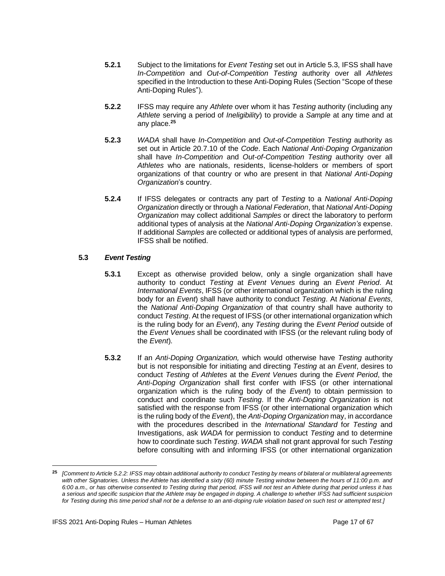- **5.2.1** Subject to the limitations for *Event Testing* set out in Article 5.3, IFSS shall have *In-Competition* and *Out-of-Competition Testing* authority over all *Athletes* specified in the Introduction to these Anti-Doping Rules (Section "Scope of these Anti-Doping Rules").
- **5.2.2** IFSS may require any *Athlete* over whom it has *Testing* authority (including any *Athlete* serving a period of *Ineligibility*) to provide a *Sample* at any time and at any place.**<sup>25</sup>**
- **5.2.3** *WADA* shall have *In-Competition* and *Out-of-Competition Testing* authority as set out in Article 20.7.10 of the *Code*. Each *National Anti-Doping Organization* shall have *In-Competition* and *Out-of-Competition Testing* authority over all *Athletes* who are nationals, residents, license-holders or members of sport organizations of that country or who are present in that *National Anti-Doping Organization*'s country.
- **5.2.4** If IFSS delegates or contracts any part of *Testing* to a *National Anti-Doping Organization* directly or through a *National Federation*, that *National Anti-Doping Organization* may collect additional *Samples* or direct the laboratory to perform additional types of analysis at the *National Anti-Doping Organization's* expense. If additional *Samples* are collected or additional types of analysis are performed, IFSS shall be notified.

## **5.3** *Event Testing*

- **5.3.1** Except as otherwise provided below, only a single organization shall have authority to conduct *Testing* at *Event Venues* during an *Event Period*. At *International Events*, IFSS (or other international organization which is the ruling body for an *Event*) shall have authority to conduct *Testing*. At *National Events*, the *National Anti-Doping Organization* of that country shall have authority to conduct *Testing*. At the request of IFSS (or other international organization which is the ruling body for an *Event*), any *Testing* during the *Event Period* outside of the *Event Venues* shall be coordinated with IFSS (or the relevant ruling body of the *Event*).
- **5.3.2** If an *Anti-Doping Organization,* which would otherwise have *Testing* authority but is not responsible for initiating and directing *Testing* at an *Event*, desires to conduct *Testing* of *Athletes* at the *Event Venues* during the *Event Period*, the *Anti-Doping Organization* shall first confer with IFSS (or other international organization which is the ruling body of the *Event*) to obtain permission to conduct and coordinate such *Testing*. If the *Anti-Doping Organization* is not satisfied with the response from IFSS (or other international organization which is the ruling body of the *Event*), the *Anti-Doping Organization* may, in accordance with the procedures described in the *International Standard* for *Testing* and Investigations, ask *WADA* for permission to conduct *Testing* and to determine how to coordinate such *Testing*. *WADA* shall not grant approval for such *Testing* before consulting with and informing IFSS (or other international organization

**<sup>25</sup>** *[Comment to Article 5.2.2: IFSS may obtain additional authority to conduct Testing by means of bilateral or multilateral agreements with other Signatories. Unless the Athlete has identified a sixty (60) minute Testing window between the hours of 11:00 p.m. and 6:00 a.m., or has otherwise consented to Testing during that period, IFSS will not test an Athlete during that period unless it has a serious and specific suspicion that the Athlete may be engaged in doping. A challenge to whether IFSS had sufficient suspicion for Testing during this time period shall not be a defense to an anti-doping rule violation based on such test or attempted test.]*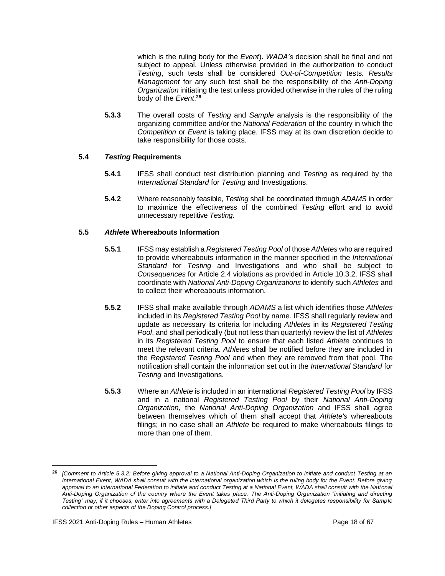which is the ruling body for the *Event*). *WADA's* decision shall be final and not subject to appeal. Unless otherwise provided in the authorization to conduct *Testing*, such tests shall be considered *Out-of-Competition* tests*. Results Management* for any such test shall be the responsibility of the *Anti-Doping Organization* initiating the test unless provided otherwise in the rules of the ruling body of the *Event*. **26**

**5.3.3** The overall costs of *Testing* and *Sample* analysis is the responsibility of the organizing committee and/or the *National Federation* of the country in which the *Competition* or *Event* is taking place. IFSS may at its own discretion decide to take responsibility for those costs.

## **5.4** *Testing* **Requirements**

- **5.4.1** IFSS shall conduct test distribution planning and *Testing* as required by the *International Standard* for *Testing* and Investigations.
- **5.4.2** Where reasonably feasible, *Testing* shall be coordinated through *ADAMS* in order to maximize the effectiveness of the combined *Testing* effort and to avoid unnecessary repetitive *Testing*.

## **5.5** *Athlete* **Whereabouts Information**

- **5.5.1** IFSS may establish a *Registered Testing Pool* of those *Athletes* who are required to provide whereabouts information in the manner specified in the *International Standard* for *Testing* and Investigations and who shall be subject to *Consequences* for Article 2.4 violations as provided in Article 10.3.2. IFSS shall coordinate with *National Anti-Doping Organizations* to identify such *Athletes* and to collect their whereabouts information.
- **5.5.2** IFSS shall make available through *ADAMS* a list which identifies those *Athletes* included in its *Registered Testing Pool* by name. IFSS shall regularly review and update as necessary its criteria for including *Athletes* in its *Registered Testing Pool*, and shall periodically (but not less than quarterly) review the list of *Athletes* in its *Registered Testing Pool* to ensure that each listed *Athlete* continues to meet the relevant criteria. *Athletes* shall be notified before they are included in the *Registered Testing Pool* and when they are removed from that pool. The notification shall contain the information set out in the *International Standard* for *Testing* and Investigations.
- **5.5.3** Where an *Athlete* is included in an international *Registered Testing Pool* by IFSS and in a national *Registered Testing Pool* by their *National Anti-Doping Organization*, the *National Anti-Doping Organization* and IFSS shall agree between themselves which of them shall accept that *Athlete's* whereabouts filings; in no case shall an *Athlete* be required to make whereabouts filings to more than one of them.

**<sup>26</sup>** *[Comment to Article 5.3.2: Before giving approval to a National Anti-Doping Organization to initiate and conduct Testing at an International Event, WADA shall consult with the international organization which is the ruling body for the Event. Before giving approval to an International Federation to initiate and conduct Testing at a National Event, WADA shall consult with the National Anti-Doping Organization of the country where the Event takes place. The Anti-Doping Organization "initiating and directing Testing" may, if it chooses, enter into agreements with a Delegated Third Party to which it delegates responsibility for Sample collection or other aspects of the Doping Control process.]*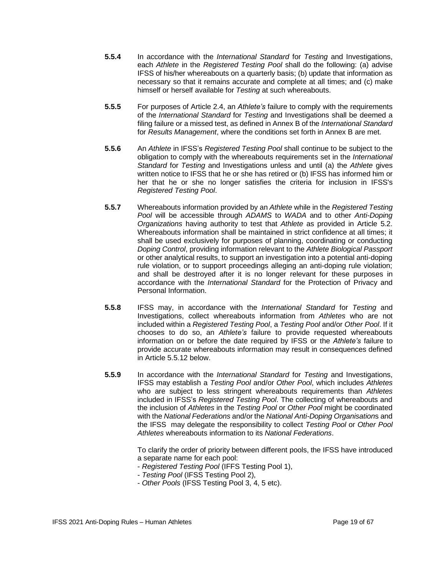- **5.5.4** In accordance with the *International Standard* for *Testing* and Investigations, each *Athlete* in the *Registered Testing Pool* shall do the following: (a) advise IFSS of his/her whereabouts on a quarterly basis; (b) update that information as necessary so that it remains accurate and complete at all times; and (c) make himself or herself available for *Testing* at such whereabouts.
- **5.5.5** For purposes of Article 2.4, an *Athlete's* failure to comply with the requirements of the *International Standard* for *Testing* and Investigations shall be deemed a filing failure or a missed test, as defined in Annex B of the *International Standard*  for *Results Management*, where the conditions set forth in Annex B are met.
- **5.5.6** An *Athlete* in IFSS's *Registered Testing Pool* shall continue to be subject to the obligation to comply with the whereabouts requirements set in the *International Standard* for *Testing* and Investigations unless and until (a) the *Athlete* gives written notice to IFSS that he or she has retired or (b) IFSS has informed him or her that he or she no longer satisfies the criteria for inclusion in IFSS's *Registered Testing Pool*.
- **5.5.7** Whereabouts information provided by an *Athlete* while in the *Registered Testing Pool* will be accessible through *ADAMS* to *WADA* and to other *Anti-Doping Organizations* having authority to test that *Athlete* as provided in Article 5.2. Whereabouts information shall be maintained in strict confidence at all times; it shall be used exclusively for purposes of planning, coordinating or conducting *Doping Control*, providing information relevant to the *Athlete Biological Passport*  or other analytical results, to support an investigation into a potential anti-doping rule violation, or to support proceedings alleging an anti-doping rule violation; and shall be destroyed after it is no longer relevant for these purposes in accordance with the *International Standard* for the Protection of Privacy and Personal Information.
- **5.5.8** IFSS may, in accordance with the *International Standard* for *Testing* and Investigations, collect whereabouts information from *Athletes* who are not included within a *Registered Testing Pool*, a *Testing Pool* and/or *Other Pool*. If it chooses to do so, an *Athlete's* failure to provide requested whereabouts information on or before the date required by IFSS or the *Athlete's* failure to provide accurate whereabouts information may result in consequences defined in Article 5.5.12 below.
- **5.5.9** In accordance with the *International Standard* for *Testing* and Investigations, IFSS may establish a *Testing Pool* and/or *Other Pool*, which includes *Athletes* who are subject to less stringent whereabouts requirements than *Athletes* included in IFSS's *Registered Testing Pool*. The collecting of whereabouts and the inclusion of *Athletes* in the *Testing Pool* or *Other Pool* might be coordinated with the *National Federations* and/or the *National Anti-Doping Organisation*s and the IFSS may delegate the responsibility to collect *Testing Pool* or *Other Pool Athletes* whereabouts information to its *National Federations*.

To clarify the order of priority between different pools, the IFSS have introduced a separate name for each pool:

- *Registered Testing Pool* (IFFS Testing Pool 1),
- *Testing Pool* (IFSS Testing Pool 2),
- *Other Pools* (IFSS Testing Pool 3, 4, 5 etc).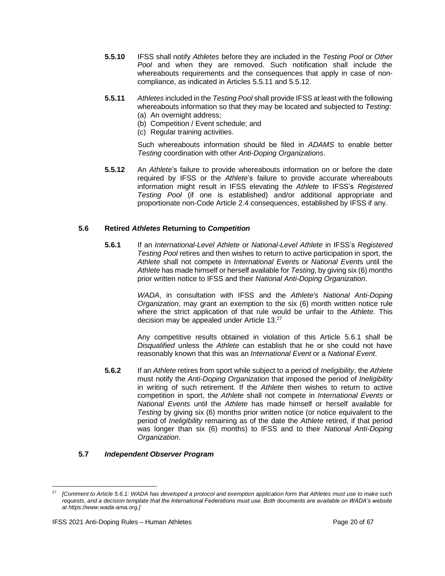- **5.5.10** IFSS shall notify *Athletes* before they are included in the *Testing Pool* or *Other*  Pool and when they are removed. Such notification shall include the whereabouts requirements and the consequences that apply in case of noncompliance, as indicated in Articles 5.5.11 and 5.5.12.
- **5.5.11** *Athletes* included in the *Testing Pool* shall provide IFSS at least with the following whereabouts information so that they may be located and subjected to *Testing*: (a) An overnight address;
	- (b) Competition / Event schedule; and
	- (c) Regular training activities.

Such whereabouts information should be filed in *ADAMS* to enable better *Testing* coordination with other *Anti-Doping Organizations*.

**5.5.12** An *Athlete*'s failure to provide whereabouts information on or before the date required by IFSS or the *Athlete*'s failure to provide accurate whereabouts information might result in IFSS elevating the *Athlete* to IFSS's *Registered Testing Pool* (if one is established) and/or additional appropriate and proportionate non-Code Article 2.4 consequences, established by IFSS if any.

## **5.6 Retired** *Athletes* **Returning to** *Competition*

**5.6.1** If an *International-Level Athlete* or *National-Level Athlete* in IFSS's *Registered Testing Pool* retires and then wishes to return to active participation in sport, the *Athlete* shall not compete in *International Event*s or *National Event*s until the *Athlete* has made himself or herself available for *Testing*, by giving six (6) months prior written notice to IFSS and their *National Anti-Doping Organization*.

> *WADA*, in consultation with IFSS and the *Athlete's National Anti-Doping Organization*, may grant an exemption to the six (6) month written notice rule where the strict application of that rule would be unfair to the *Athlete*. This decision may be appealed under Article 13.<sup>27</sup>

> Any competitive results obtained in violation of this Article 5.6.1 shall be *Disqualified* unless the *Athlete* can establish that he or she could not have reasonably known that this was an *International Event* or a *National Event*.

**5.6.2** If an *Athlete* retires from sport while subject to a period of *Ineligibility*, the *Athlete*  must notify the *Anti-Doping Organization* that imposed the period of *Ineligibility* in writing of such retirement. If the *Athlete* then wishes to return to active competition in sport, the *Athlete* shall not compete in *International Events* or *National Events* until the *Athlete* has made himself or herself available for *Testing* by giving six (6) months prior written notice (or notice equivalent to the period of *Ineligibility* remaining as of the date the *Athlete* retired, if that period was longer than six (6) months) to IFSS and to their *National Anti-Doping Organization*.

#### **5.7** *Independent Observer Program*

<sup>27</sup> *[Comment to Article 5.6.1: WADA has developed a [protocol and exemption application form](https://www.wada-ama.org/en/resources/article-571-exemption-application-form-and-procedure-for-athletes) that Athletes must use to make such requests, and a [decision template](https://www.wada-ama.org/en/resources/article-571-exemption-application-form-and-procedure-for-ado) that the International Federations must use. Both documents are available on WADA's website at [https://www.wada-ama.org.](https://www.wada-ama.org/)]*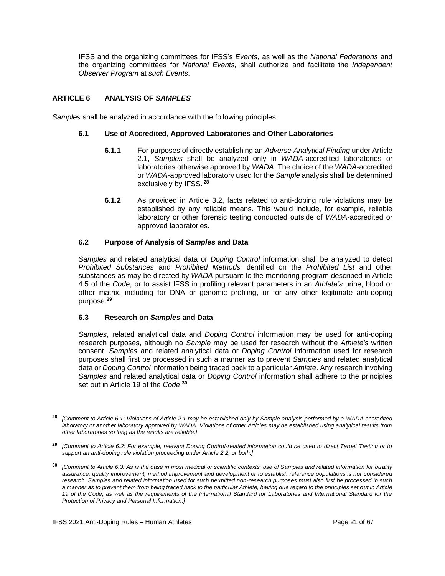IFSS and the organizing committees for IFSS's *Events*, as well as the *National Federations* and the organizing committees for *National Events,* shall authorize and facilitate the *Independent Observer Program* at *such Events*.

## <span id="page-20-0"></span>**ARTICLE 6 ANALYSIS OF** *SAMPLES*

*Samples* shall be analyzed in accordance with the following principles:

## **6.1 Use of Accredited, Approved Laboratories and Other Laboratories**

- **6.1.1** For purposes of directly establishing an *Adverse Analytical Finding* under Article 2.1, *Samples* shall be analyzed only in *WADA*-accredited laboratories or laboratories otherwise approved by *WADA*. The choice of the *WADA*-accredited or *WADA*-approved laboratory used for the *Sample* analysis shall be determined exclusively by IFSS. **28**
- **6.1.2** As provided in Article 3.2, facts related to anti-doping rule violations may be established by any reliable means. This would include, for example, reliable laboratory or other forensic testing conducted outside of *WADA*-accredited or approved laboratories.

## **6.2 Purpose of Analysis of** *Samples* **and Data**

*Samples* and related analytical data or *Doping Control* information shall be analyzed to detect *Prohibited Substances* and *Prohibited Methods* identified on the *Prohibited List* and other substances as may be directed by *WADA* pursuant to the monitoring program described in Article 4.5 of the *Code*, or to assist IFSS in profiling relevant parameters in an *Athlete's* urine, blood or other matrix, including for DNA or genomic profiling, or for any other legitimate anti-doping purpose.**<sup>29</sup>**

#### **6.3 Research on** *Samples* **and Data**

*Samples*, related analytical data and *Doping Control* information may be used for anti-doping research purposes, although no *Sample* may be used for research without the *Athlete's* written consent. *Samples* and related analytical data or *Doping Control* information used for research purposes shall first be processed in such a manner as to prevent *Samples* and related analytical data or *Doping Control* information being traced back to a particular *Athlete*. Any research involving *Samples* and related analytical data or *Doping Control* information shall adhere to the principles set out in Article 19 of the *Code*. **30**

**<sup>28</sup>** *[Comment to Article 6.1: Violations of Article 2.1 may be established only by Sample analysis performed by a WADA-accredited laboratory or another laboratory approved by WADA. Violations of other Articles may be established using analytical results from other laboratories so long as the results are reliable.]*

**<sup>29</sup>** *[Comment to Article 6.2: For example, relevant Doping Control-related information could be used to direct Target Testing or to support an anti-doping rule violation proceeding under Article 2.2, or both.]*

**<sup>30</sup>** *[Comment to Article 6.3: As is the case in most medical or scientific contexts, use of Samples and related information for quality assurance, quality improvement, method improvement and development or to establish reference populations is not considered research. Samples and related information used for such permitted non-research purposes must also first be processed in such a manner as to prevent them from being traced back to the particular Athlete, having due regard to the principles set out in Article 19 of the Code, as well as the requirements of the International Standard for Laboratories and International Standard for the Protection of Privacy and Personal Information.]*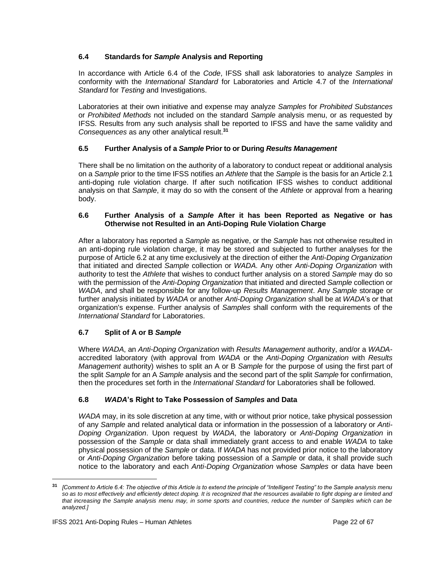## **6.4 Standards for** *Sample* **Analysis and Reporting**

In accordance with Article 6.4 of the *Code*, IFSS shall ask laboratories to analyze *Samples* in conformity with the *International Standard* for Laboratories and Article 4.7 of the *International Standard* for *Testing* and Investigations.

Laboratories at their own initiative and expense may analyze *Samples* for *Prohibited Substances*  or *Prohibited Methods* not included on the standard *Sample* analysis menu, or as requested by IFSS. Results from any such analysis shall be reported to IFSS and have the same validity and *Consequences* as any other analytical result.**<sup>31</sup>**

## **6.5 Further Analysis of a** *Sample* **Prior to or During** *Results Management*

There shall be no limitation on the authority of a laboratory to conduct repeat or additional analysis on a *Sample* prior to the time IFSS notifies an *Athlete* that the *Sample* is the basis for an Article 2.1 anti-doping rule violation charge. If after such notification IFSS wishes to conduct additional analysis on that *Sample*, it may do so with the consent of the *Athlete* or approval from a hearing body.

## **6.6 Further Analysis of a** *Sample* **After it has been Reported as Negative or has Otherwise not Resulted in an Anti-Doping Rule Violation Charge**

After a laboratory has reported a *Sample* as negative, or the *Sample* has not otherwise resulted in an anti-doping rule violation charge, it may be stored and subjected to further analyses for the purpose of Article 6.2 at any time exclusively at the direction of either the *Anti-Doping Organization* that initiated and directed *Sample* collection or *WADA*. Any other *Anti-Doping Organization* with authority to test the *Athlete* that wishes to conduct further analysis on a stored *Sample* may do so with the permission of the *Anti-Doping Organization* that initiated and directed *Sample* collection or *WADA*, and shall be responsible for any follow-up *Results Management*. Any *Sample* storage or further analysis initiated by *WADA* or another *Anti-Doping Organization* shall be at *WADA*'s or that organization's expense. Further analysis of *Samples* shall conform with the requirements of the *International Standard* for Laboratories.

## **6.7 Split of A or B** *Sample*

Where *WADA*, an *Anti-Doping Organization* with *Results Management* authority, and/or a *WADA*accredited laboratory (with approval from *WADA* or the *Anti-Doping Organization* with *Results Management* authority) wishes to split an A or B *Sample* for the purpose of using the first part of the split *Sample* for an A *Sample* analysis and the second part of the split *Sample* for confirmation, then the procedures set forth in the *International Standard* for Laboratories shall be followed.

## **6.8** *WADA***'s Right to Take Possession of** *Samples* **and Data**

*WADA* may, in its sole discretion at any time, with or without prior notice, take physical possession of any *Sample* and related analytical data or information in the possession of a laboratory or *Anti-Doping Organization*. Upon request by *WADA*, the laboratory or *Anti-Doping Organization* in possession of the *Sample* or data shall immediately grant access to and enable *WADA* to take physical possession of the *Sample* or data. If *WADA* has not provided prior notice to the laboratory or *Anti-Doping Organization* before taking possession of a *Sample* or data, it shall provide such notice to the laboratory and each *Anti-Doping Organization* whose *Samples* or data have been

**<sup>31</sup>** *[Comment to Article 6.4: The objective of this Article is to extend the principle of "Intelligent Testing" to the Sample analysis menu so as to most effectively and efficiently detect doping. It is recognized that the resources available to fight doping are limited and that increasing the Sample analysis menu may, in some sports and countries, reduce the number of Samples which can be analyzed.]*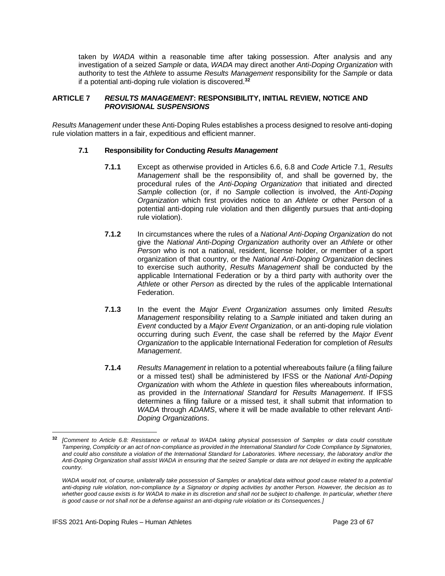taken by *WADA* within a reasonable time after taking possession. After analysis and any investigation of a seized *Sample* or data, *WADA* may direct another *Anti-Doping Organization* with authority to test the *Athlete* to assume *Results Management* responsibility for the *Sample* or data if a potential anti-doping rule violation is discovered.**<sup>32</sup>**

#### <span id="page-22-0"></span>**ARTICLE 7** *RESULTS MANAGEMENT***: RESPONSIBILITY, INITIAL REVIEW, NOTICE AND**  *PROVISIONAL SUSPENSIONS*

*Results Management* under these Anti-Doping Rules establishes a process designed to resolve anti-doping rule violation matters in a fair, expeditious and efficient manner.

#### **7.1 Responsibility for Conducting** *Results Management*

- **7.1.1** Except as otherwise provided in Articles 6.6, 6.8 and *Code* Article 7.1, *Results Management* shall be the responsibility of, and shall be governed by, the procedural rules of the *Anti-Doping Organization* that initiated and directed *Sample* collection (or, if no *Sample* collection is involved, the *Anti-Doping Organization* which first provides notice to an *Athlete* or other Person of a potential anti-doping rule violation and then diligently pursues that anti-doping rule violation).
- **7.1.2** In circumstances where the rules of a *National Anti-Doping Organization* do not give the *National Anti-Doping Organization* authority over an *Athlete* or other *Person* who is not a national, resident, license holder, or member of a sport organization of that country, or the *National Anti-Doping Organization* declines to exercise such authority, *Results Management* shall be conducted by the applicable International Federation or by a third party with authority over the *Athlete* or other *Person* as directed by the rules of the applicable International Federation.
- **7.1.3** In the event the *Major Event Organization* assumes only limited *Results Management* responsibility relating to a *Sample* initiated and taken during an *Event* conducted by a *Major Event Organization*, or an anti-doping rule violation occurring during such *Event*, the case shall be referred by the *Major Event Organization* to the applicable International Federation for completion of *Results Management*.
- **7.1.4** *Results Management* in relation to a potential whereabouts failure (a filing failure or a missed test) shall be administered by IFSS or the *National Anti-Doping Organization* with whom the *Athlete* in question files whereabouts information, as provided in the *International Standard* for *Results Management*. If IFSS determines a filing failure or a missed test, it shall submit that information to *WADA* through *ADAMS*, where it will be made available to other relevant *Anti-Doping Organizations*.

**<sup>32</sup>** *[Comment to Article 6.8: Resistance or refusal to WADA taking physical possession of Samples or data could constitute Tampering, Complicity or an act of non-compliance as provided in the International Standard for Code Compliance by Signatories, and could also constitute a violation of the International Standard for Laboratories. Where necessary, the laboratory and/or the Anti-Doping Organization shall assist WADA in ensuring that the seized Sample or data are not delayed in exiting the applicable country.*

*WADA would not, of course, unilaterally take possession of Samples or analytical data without good cause related to a potential anti-doping rule violation, non-compliance by a Signatory or doping activities by another Person. However, the decision as to*  whether good cause exists is for WADA to make in its discretion and shall not be subject to challenge. In particular, whether there *is good cause or not shall not be a defense against an anti-doping rule violation or its Consequences.]*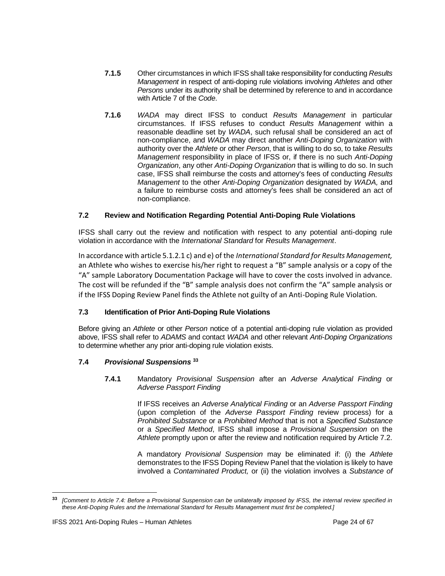- **7.1.5** Other circumstances in which IFSS shall take responsibility for conducting *Results Management* in respect of anti-doping rule violations involving *Athletes* and other *Persons* under its authority shall be determined by reference to and in accordance with Article 7 of the *Code*.
- **7.1.6** *WADA* may direct IFSS to conduct *Results Management* in particular circumstances. If IFSS refuses to conduct *Results Management* within a reasonable deadline set by *WADA*, such refusal shall be considered an act of non-compliance, and *WADA* may direct another *Anti-Doping Organization* with authority over the *Athlete* or other *Person*, that is willing to do so, to take *Results Management* responsibility in place of IFSS or, if there is no such *Anti-Doping Organization*, any other *Anti-Doping Organization* that is willing to do so. In such case, IFSS shall reimburse the costs and attorney's fees of conducting *Results Management* to the other *Anti-Doping Organization* designated by *WADA,* and a failure to reimburse costs and attorney's fees shall be considered an act of non-compliance.

## **7.2 Review and Notification Regarding Potential Anti-Doping Rule Violations**

IFSS shall carry out the review and notification with respect to any potential anti-doping rule violation in accordance with the *International Standard* for *Results Management*.

In accordance with article 5.1.2.1 c) and e) of the *International Standard for Results Management,* an Athlete who wishes to exercise his/her right to request a "B" sample analysis or a copy of the "A" sample Laboratory Documentation Package will have to cover the costs involved in advance. The cost will be refunded if the "B" sample analysis does not confirm the "A" sample analysis or if the IFSS Doping Review Panel finds the Athlete not guilty of an Anti-Doping Rule Violation.

## **7.3 Identification of Prior Anti-Doping Rule Violations**

Before giving an *Athlete* or other *Person* notice of a potential anti-doping rule violation as provided above, IFSS shall refer to *ADAMS* and contact *WADA* and other relevant *Anti-Doping Organizations* to determine whether any prior anti-doping rule violation exists.

## **7.4** *Provisional Suspensions* **<sup>33</sup>**

## **7.4.1** Mandatory *Provisional Suspension* after an *Adverse Analytical Finding* or *Adverse Passport Finding*

If IFSS receives an *Adverse Analytical Finding* or an *Adverse Passport Finding*  (upon completion of the *Adverse Passport Finding* review process) for a *Prohibited Substance* or a *Prohibited Method* that is not a *Specified Substance* or a *Specified Method*, IFSS shall impose a *Provisional Suspension* on the *Athlete* promptly upon or after the review and notification required by Article 7.2.

A mandatory *Provisional Suspension* may be eliminated if: (i) the *Athlete*  demonstrates to the IFSS Doping Review Panel that the violation is likely to have involved a *Contaminated Product,* or (ii) the violation involves a *Substance of* 

**<sup>33</sup>** *[Comment to Article 7.4: Before a Provisional Suspension can be unilaterally imposed by IFSS, the internal review specified in these Anti-Doping Rules and the International Standard* for *Results Management must first be completed.]*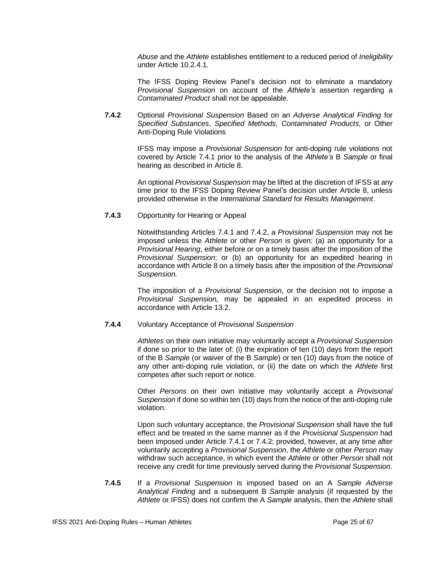*Abuse* and the *Athlete* establishes entitlement to a reduced period of *Ineligibility*  under Article 10.2.4.1.

The IFSS Doping Review Panel's decision not to eliminate a mandatory *Provisional Suspension* on account of the *Athlete's* assertion regarding a *Contaminated Product* shall not be appealable.

**7.4.2** Optional *Provisional Suspension* Based on an *Adverse Analytical Finding* for *Specified Substances*, *Specified Methods, Contaminated Products*, or Other Anti-Doping Rule Violations

> IFSS may impose a *Provisional Suspension* for anti-doping rule violations not covered by Article 7.4.1 prior to the analysis of the *Athlete's* B *Sample* or final hearing as described in Article 8.

> An optional *Provisional Suspension* may be lifted at the discretion of IFSS at any time prior to the IFSS Doping Review Panel's decision under Article 8, unless provided otherwise in the *International Standard* for *Results Management*.

## **7.4.3** Opportunity for Hearing or Appeal

Notwithstanding Articles 7.4.1 and 7.4.2, a *Provisional Suspension* may not be imposed unless the *Athlete* or other *Person* is given: (a) an opportunity for a *Provisional Hearing*, either before or on a timely basis after the imposition of the *Provisional Suspension*; or (b) an opportunity for an expedited hearing in accordance with Article 8 on a timely basis after the imposition of the *Provisional Suspension.*

The imposition of a *Provisional Suspension*, or the decision not to impose a *Provisional Suspension,* may be appealed in an expedited process in accordance with Article 13.2.

#### **7.4.4** Voluntary Acceptance of *Provisional Suspension*

*Athletes* on their own initiative may voluntarily accept a *Provisional Suspension* if done so prior to the later of: (i) the expiration of ten (10) days from the report of the B *Sample* (or waiver of the B *Sample*) or ten (10) days from the notice of any other anti-doping rule violation, or (ii) the date on which the *Athlete* first competes after such report or notice.

Other *Persons* on their own initiative may voluntarily accept a *Provisional Suspension* if done so within ten (10) days from the notice of the anti-doping rule violation.

Upon such voluntary acceptance, the *Provisional Suspension* shall have the full effect and be treated in the same manner as if the *Provisional Suspension* had been imposed under Article 7.4.1 or 7.4.2; provided, however, at any time after voluntarily accepting a *Provisional Suspension*, the *Athlete* or other *Person* may withdraw such acceptance, in which event the *Athlete* or other *Person* shall not receive any credit for time previously served during the *Provisional Suspension*.

**7.4.5** If a *Provisional Suspension* is imposed based on an A *Sample Adverse Analytical Finding* and a subsequent B *Sample* analysis (if requested by the *Athlete* or IFSS) does not confirm the A *Sample* analysis, then the *Athlete* shall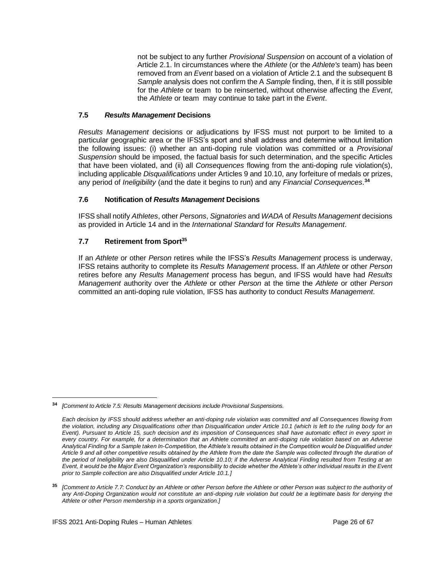not be subject to any further *Provisional Suspension* on account of a violation of Article 2.1. In circumstances where the *Athlete* (or the *Athlete's* team) has been removed from an *Event* based on a violation of Article 2.1 and the subsequent B *Sample* analysis does not confirm the A *Sample* finding, then, if it is still possible for the *Athlete* or team to be reinserted, without otherwise affecting the *Event*, the *Athlete* or team may continue to take part in the *Event*.

## **7.5** *Results Management* **Decisions**

*Results Management* decisions or adjudications by IFSS must not purport to be limited to a particular geographic area or the IFSS's sport and shall address and determine without limitation the following issues: (i) whether an anti-doping rule violation was committed or a *Provisional Suspension* should be imposed, the factual basis for such determination, and the specific Articles that have been violated, and (ii) all *Consequences* flowing from the anti-doping rule violation(s), including applicable *Disqualifications* under Articles 9 and 10.10, any forfeiture of medals or prizes, any period of *Ineligibility* (and the date it begins to run) and any *Financial Consequences*. **34**

## **7.6 Notification of** *Results Management* **Decisions**

IFSS shall notify *Athletes*, other *Persons*, *Signatories* and *WADA* of *Results Management* decisions as provided in Article 14 and in the *International Standard* for *Results Management*.

## **7.7 Retirement from Sport<sup>35</sup>**

If an *Athlete* or other *Person* retires while the IFSS's *Results Management* process is underway, IFSS retains authority to complete its *Results Management* process. If an *Athlete* or other *Person*  retires before any *Results Management* process has begun, and IFSS would have had *Results Management* authority over the *Athlete* or other *Person* at the time the *Athlete* or other *Person* committed an anti-doping rule violation, IFSS has authority to conduct *Results Management*.

**<sup>34</sup>** *[Comment to Article 7.5: Results Management decisions include Provisional Suspensions.*

*Each decision by IFSS should address whether an anti-doping rule violation was committed and all Consequences flowing from the violation, including any Disqualifications other than Disqualification under Article 10.1 (which is left to the ruling body for an Event). Pursuant to Article 15, such decision and its imposition of Consequences shall have automatic effect in every sport in every country. For example, for a determination that an Athlete committed an anti-doping rule violation based on an Adverse Analytical Finding for a Sample taken In-Competition, the Athlete's results obtained in the Competition would be Disqualified under Article 9 and all other competitive results obtained by the Athlete from the date the Sample was collected through the duration of the period of Ineligibility are also Disqualified under Article 10.10; if the Adverse Analytical Finding resulted from Testing at an Event, it would be the Major Event Organization's responsibility to decide whether the Athlete's other individual results in the Event prior to Sample collection are also Disqualified under Article 10.1.]*

**<sup>35</sup>** *[Comment to Article 7.7: Conduct by an Athlete or other Person before the Athlete or other Person was subject to the authority of any Anti-Doping Organization would not constitute an anti-doping rule violation but could be a legitimate basis for denying the Athlete or other Person membership in a sports organization.]*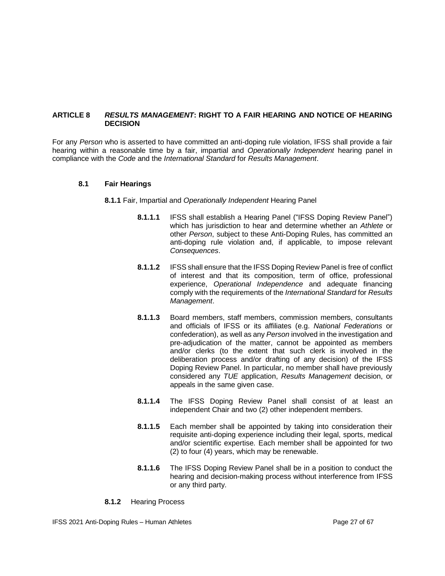## <span id="page-26-0"></span>**ARTICLE 8** *RESULTS MANAGEMENT***: RIGHT TO A FAIR HEARING AND NOTICE OF HEARING DECISION**

For any *Person* who is asserted to have committed an anti-doping rule violation, IFSS shall provide a fair hearing within a reasonable time by a fair, impartial and *Operationally Independent* hearing panel in compliance with the *Code* and the *International Standard* for *Results Management*.

#### **8.1 Fair Hearings**

**8.1.1** Fair, Impartial and *Operationally Independent* Hearing Panel

- **8.1.1.1** IFSS shall establish a Hearing Panel ("IFSS Doping Review Panel") which has jurisdiction to hear and determine whether an *Athlete* or other *Person*, subject to these Anti-Doping Rules, has committed an anti-doping rule violation and, if applicable, to impose relevant *Consequences*.
- **8.1.1.2** IFSS shall ensure that the IFSS Doping Review Panel is free of conflict of interest and that its composition, term of office, professional experience, *Operational Independence* and adequate financing comply with the requirements of the *International Standard* for *Results Management*.
- **8.1.1.3** Board members, staff members, commission members, consultants and officials of IFSS or its affiliates (e.g. *National Federations* or confederation), as well as any *Person* involved in the investigation and pre-adjudication of the matter, cannot be appointed as members and/or clerks (to the extent that such clerk is involved in the deliberation process and/or drafting of any decision) of the IFSS Doping Review Panel. In particular, no member shall have previously considered any *TUE* application, *Results Management* decision, or appeals in the same given case.
- **8.1.1.4** The IFSS Doping Review Panel shall consist of at least an independent Chair and two (2) other independent members.
- **8.1.1.5** Each member shall be appointed by taking into consideration their requisite anti-doping experience including their legal, sports, medical and/or scientific expertise. Each member shall be appointed for two (2) to four (4) years, which may be renewable.
- **8.1.1.6** The IFSS Doping Review Panel shall be in a position to conduct the hearing and decision-making process without interference from IFSS or any third party.
- **8.1.2** Hearing Process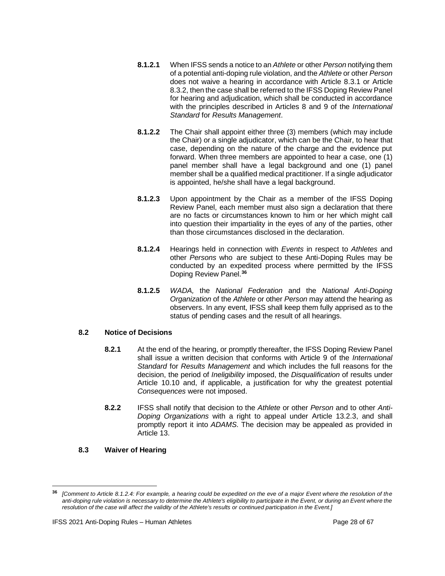- **8.1.2.1** When IFSS sends a notice to an *Athlete* or other *Person* notifying them of a potential anti-doping rule violation, and the *Athlete* or other *Person*  does not waive a hearing in accordance with Article 8.3.1 or Article 8.3.2, then the case shall be referred to the IFSS Doping Review Panel for hearing and adjudication, which shall be conducted in accordance with the principles described in Articles 8 and 9 of the *International Standard* for *Results Management*.
- **8.1.2.2** The Chair shall appoint either three (3) members (which may include the Chair) or a single adjudicator, which can be the Chair, to hear that case, depending on the nature of the charge and the evidence put forward. When three members are appointed to hear a case, one (1) panel member shall have a legal background and one (1) panel member shall be a qualified medical practitioner. If a single adjudicator is appointed, he/she shall have a legal background.
- **8.1.2.3** Upon appointment by the Chair as a member of the IFSS Doping Review Panel, each member must also sign a declaration that there are no facts or circumstances known to him or her which might call into question their impartiality in the eyes of any of the parties, other than those circumstances disclosed in the declaration.
- **8.1.2.4** Hearings held in connection with *Events* in respect to *Athletes* and other *Persons* who are subject to these Anti-Doping Rules may be conducted by an expedited process where permitted by the IFSS Doping Review Panel. **36**
- **8.1.2.5** *WADA,* the *National Federation* and the *National Anti-Doping Organization* of the *Athlete* or other *Person* may attend the hearing as observers. In any event, IFSS shall keep them fully apprised as to the status of pending cases and the result of all hearings.

## **8.2 Notice of Decisions**

- **8.2.1** At the end of the hearing, or promptly thereafter, the IFSS Doping Review Panel shall issue a written decision that conforms with Article 9 of the *International Standard* for *Results Management* and which includes the full reasons for the decision, the period of *Ineligibility* imposed, the *Disqualification* of results under Article 10.10 and, if applicable, a justification for why the greatest potential *Consequences* were not imposed.
- **8.2.2** IFSS shall notify that decision to the *Athlete* or other *Person* and to other *Anti-Doping Organizations* with a right to appeal under Article 13.2.3, and shall promptly report it into *ADAMS*. The decision may be appealed as provided in Article 13.

## **8.3 Waiver of Hearing**

**<sup>36</sup>** *[Comment to Article 8.1.2.4: For example, a hearing could be expedited on the eve of a major Event where the resolution of the anti-doping rule violation is necessary to determine the Athlete's eligibility to participate in the Event, or during an Event where the resolution of the case will affect the validity of the Athlete's results or continued participation in the Event.]*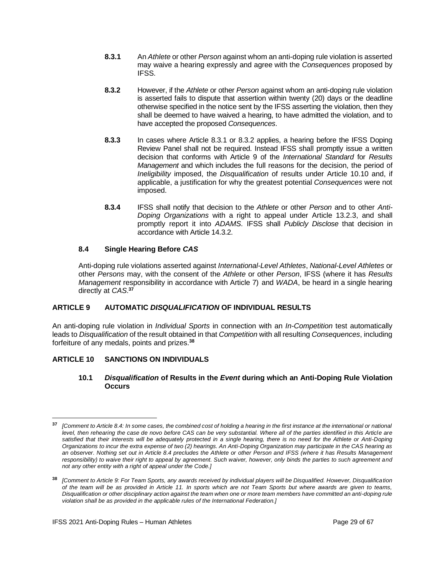- **8.3.1** An *Athlete* or other *Person* against whom an anti-doping rule violation is asserted may waive a hearing expressly and agree with the *Consequences* proposed by IFSS.
- **8.3.2** However, if the *Athlete* or other *Person* against whom an anti-doping rule violation is asserted fails to dispute that assertion within twenty (20) days or the deadline otherwise specified in the notice sent by the IFSS asserting the violation, then they shall be deemed to have waived a hearing, to have admitted the violation, and to have accepted the proposed *Consequences*.
- **8.3.3** In cases where Article 8.3.1 or 8.3.2 applies, a hearing before the IFSS Doping Review Panel shall not be required. Instead IFSS shall promptly issue a written decision that conforms with Article 9 of the *International Standard* for *Results Management* and which includes the full reasons for the decision, the period of *Ineligibility* imposed, the *Disqualification* of results under Article 10.10 and, if applicable, a justification for why the greatest potential *Consequences* were not imposed.
- **8.3.4** IFSS shall notify that decision to the *Athlete* or other *Person* and to other *Anti-Doping Organizations* with a right to appeal under Article 13.2.3, and shall promptly report it into *ADAMS*. IFSS shall *Publicly Disclose* that decision in accordance with Article 14.3.2.

## **8.4 Single Hearing Before** *CAS*

Anti-doping rule violations asserted against *International-Level Athletes*, *National-Level Athletes* or other *Persons* may, with the consent of the *Athlete* or other *Person*, IFSS (where it has *Results Management* responsibility in accordance with Article 7) and *WADA*, be heard in a single hearing directly at *CAS*. **37**

## <span id="page-28-0"></span>**ARTICLE 9 AUTOMATIC** *DISQUALIFICATION* **OF INDIVIDUAL RESULTS**

An anti-doping rule violation in *Individual Sports* in connection with an *In-Competition* test automatically leads to *Disqualification* of the result obtained in that *Competition* with all resulting *Consequences*, including forfeiture of any medals, points and prizes.**<sup>38</sup>**

## <span id="page-28-1"></span>**ARTICLE 10 SANCTIONS ON INDIVIDUALS**

## **10.1** *Disqualification* **of Results in the** *Event* **during which an Anti-Doping Rule Violation Occurs**

**<sup>37</sup>** *[Comment to Article 8.4: In some cases, the combined cost of holding a hearing in the first instance at the international or national level, then rehearing the case de novo before CAS can be very substantial. Where all of the parties identified in this Article are satisfied that their interests will be adequately protected in a single hearing, there is no need for the Athlete or Anti-Doping Organizations to incur the extra expense of two (2) hearings. An Anti-Doping Organization may participate in the CAS hearing as an observer. Nothing set out in Article 8.4 precludes the Athlete or other Person and IFSS (where it has Results Management responsibility) to waive their right to appeal by agreement. Such waiver, however, only binds the parties to such agreement and not any other entity with a right of appeal under the Code.]*

**<sup>38</sup>** *[Comment to Article 9: For Team Sports, any awards received by individual players will be Disqualified. However, Disqualification of the team will be as provided in Article 11. In sports which are not Team Sports but where awards are given to teams, Disqualification or other disciplinary action against the team when one or more team members have committed an anti-doping rule violation shall be as provided in the applicable rules of the International Federation.]*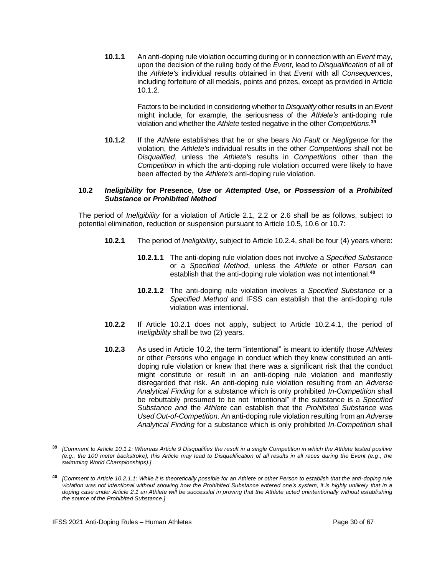**10.1.1** An anti-doping rule violation occurring during or in connection with an *Event* may, upon the decision of the ruling body of the *Event*, lead to *Disqualification* of all of the *Athlete's* individual results obtained in that *Event* with all *Consequences*, including forfeiture of all medals, points and prizes, except as provided in Article 10.1.2.

> Factors to be included in considering whether to *Disqualify* other results in an *Event* might include, for example, the seriousness of the *Athlete's* anti-doping rule violation and whether the *Athlete* tested negative in the other *Competitions*. **39**

**10.1.2** If the *Athlete* establishes that he or she bears *No Fault* or *Negligence* for the violation, the *Athlete's* individual results in the other *Competitions* shall not be *Disqualified*, unless the *Athlete's* results in *Competitions* other than the *Competition* in which the anti-doping rule violation occurred were likely to have been affected by the *Athlete's* anti-doping rule violation.

#### **10.2** *Ineligibility* **for Presence,** *Use* **or** *Attempted Use***, or** *Possession* **of a** *Prohibited Substance* **or** *Prohibited Method*

The period of *Ineligibility* for a violation of Article 2.1, 2.2 or 2.6 shall be as follows, subject to potential elimination, reduction or suspension pursuant to Article 10.5, 10.6 or 10.7:

- **10.2.1** The period of *Ineligibility*, subject to Article 10.2.4, shall be four (4) years where:
	- **10.2.1.1** The anti-doping rule violation does not involve a *Specified Substance* or a *Specified Method*, unless the *Athlete* or other *Person* can establish that the anti-doping rule violation was not intentional.**<sup>40</sup>**
	- **10.2.1.2** The anti-doping rule violation involves a *Specified Substance* or a *Specified Method* and IFSS can establish that the anti-doping rule violation was intentional.
- **10.2.2** If Article 10.2.1 does not apply, subject to Article 10.2.4.1, the period of *Ineligibility* shall be two (2) years.
- **10.2.3** As used in Article 10.2, the term "intentional" is meant to identify those *Athletes* or other *Persons* who engage in conduct which they knew constituted an antidoping rule violation or knew that there was a significant risk that the conduct might constitute or result in an anti-doping rule violation and manifestly disregarded that risk. An anti-doping rule violation resulting from an *Adverse Analytical Finding* for a substance which is only prohibited *In-Competition* shall be rebuttably presumed to be not "intentional" if the substance is a *Specified Substance and* the *Athlete* can establish that the *Prohibited Substance* was *Used Out-of-Competition*. An anti-doping rule violation resulting from an *Adverse Analytical Finding* for a substance which is only prohibited *In-Competition* shall

**<sup>39</sup>** *[Comment to Article 10.1.1: Whereas Article 9 Disqualifies the result in a single Competition in which the Athlete tested positive (e.g., the 100 meter backstroke), this Article may lead to Disqualification of all results in all races during the Event (e.g., the swimming World Championships).]*

**<sup>40</sup>** *[Comment to Article 10.2.1.1: While it is theoretically possible for an Athlete or other Person to establish that the anti-doping rule violation was not intentional without showing how the Prohibited Substance entered one's system, it is highly unlikely that in a*  doping case under Article 2.1 an Athlete will be successful in proving that the Athlete acted unintentionally without establishing *the source of the Prohibited Substance.]*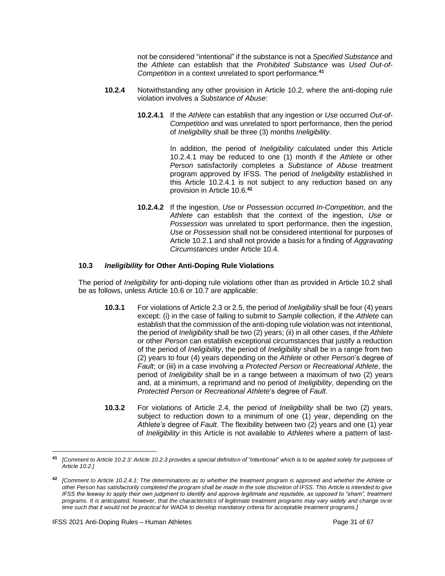not be considered "intentional" if the substance is not a *Specified Substance* and the *Athlete* can establish that the *Prohibited Substance* was *Used Out-of-Competition* in a context unrelated to sport performance.**<sup>41</sup>**

- **10.2.4** Notwithstanding any other provision in Article 10.2, where the anti-doping rule violation involves a *Substance of Abuse*:
	- **10.2.4.1** If the *Athlete* can establish that any ingestion or *Use* occurred *Out-of-Competition* and was unrelated to sport performance, then the period of *Ineligibility* shall be three (3) months *Ineligibility*.

In addition, the period of *Ineligibility* calculated under this Article 10.2.4.1 may be reduced to one (1) month if the *Athlete* or other *Person* satisfactorily completes a *Substance of Abuse* treatment program approved by IFSS. The period of *Ineligibility* established in this Article 10.2.4.1 is not subject to any reduction based on any provision in Article 10.6.**<sup>42</sup>**

**10.2.4.2** If the ingestion, *Use* or *Possession* occurred *In-Competition*, and the *Athlete* can establish that the context of the ingestion, *Use* or *Possession* was unrelated to sport performance, then the ingestion, *Use* or *Possession* shall not be considered intentional for purposes of Article 10.2.1 and shall not provide a basis for a finding of *Aggravating Circumstances* under Article 10.4.

## **10.3** *Ineligibility* **for Other Anti-Doping Rule Violations**

The period of *Ineligibility* for anti-doping rule violations other than as provided in Article 10.2 shall be as follows, unless Article 10.6 or 10.7 are applicable:

- **10.3.1** For violations of Article 2.3 or 2.5, the period of *Ineligibility* shall be four (4) years except: (i) in the case of failing to submit to *Sample* collection, if the *Athlete* can establish that the commission of the anti-doping rule violation was not intentional, the period of *Ineligibility* shall be two (2) years; (ii) in all other cases, if the *Athlete* or other *Person* can establish exceptional circumstances that justify a reduction of the period of *Ineligibility*, the period of *Ineligibility* shall be in a range from two (2) years to four (4) years depending on the *Athlete* or other *Person*'s degree of *Fault*; or (iii) in a case involving a *Protected Person* or *Recreational Athlete*, the period of *Ineligibility* shall be in a range between a maximum of two (2) years and, at a minimum, a reprimand and no period of *Ineligibility*, depending on the *Protected Person* or *Recreational Athlete*'s degree of *Fault*.
- **10.3.2** For violations of Article 2.4, the period of *Ineligibility* shall be two (2) years, subject to reduction down to a minimum of one (1) year, depending on the *Athlete's* degree of *Fault*. The flexibility between two (2) years and one (1) year of *Ineligibility* in this Article is not available to *Athletes* where a pattern of last-

**<sup>41</sup>** *[Comment to Article 10.2.3: Article 10.2.3 provides a special definition of "intentional" which is to be applied solely for purposes of Article 10.2.]*

**<sup>42</sup>** *[Comment to Article 10.2.4.1: The determinations as to whether the treatment program is approved and whether the Athlete or other Person has satisfactorily completed the program shall be made in the sole discretion of IFSS. This Article is intended to give IFSS the leeway to apply their own judgment to identify and approve legitimate and reputable, as opposed to "sham", treatment programs. It is anticipated, however, that the characteristics of legitimate treatment programs may vary widely and change ov er time such that it would not be practical for WADA to develop mandatory criteria for acceptable treatment programs.]*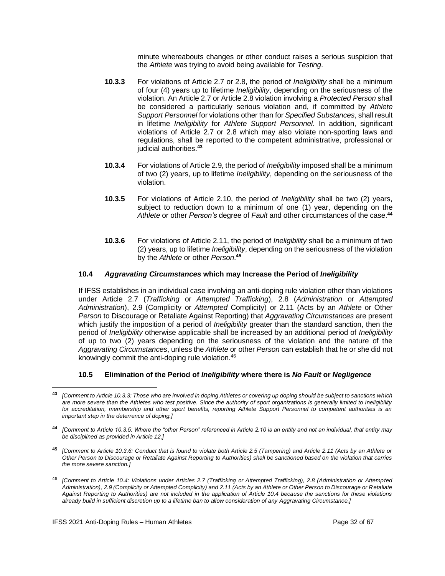minute whereabouts changes or other conduct raises a serious suspicion that the *Athlete* was trying to avoid being available for *Testing*.

- **10.3.3** For violations of Article 2.7 or 2.8, the period of *Ineligibility* shall be a minimum of four (4) years up to lifetime *Ineligibility*, depending on the seriousness of the violation. An Article 2.7 or Article 2.8 violation involving a *Protected Person* shall be considered a particularly serious violation and, if committed by *Athlete Support Personnel* for violations other than for *Specified Substances*, shall result in lifetime *Ineligibility* for *Athlete Support Personnel*. In addition, significant violations of Article 2.7 or 2.8 which may also violate non-sporting laws and regulations, shall be reported to the competent administrative, professional or judicial authorities.**<sup>43</sup>**
- **10.3.4** For violations of Article 2.9, the period of *Ineligibility* imposed shall be a minimum of two (2) years, up to lifetime *Ineligibility*, depending on the seriousness of the violation.
- **10.3.5** For violations of Article 2.10, the period of *Ineligibility* shall be two (2) years, subject to reduction down to a minimum of one (1) year, depending on the *Athlete* or other *Person's* degree of *Fault* and other circumstances of the case.**<sup>44</sup>**
- **10.3.6** For violations of Article 2.11, the period of *Ineligibility* shall be a minimum of two (2) years, up to lifetime *Ineligibility*, depending on the seriousness of the violation by the *Athlete* or other *Person*. **45**

## **10.4** *Aggravating Circumstances* **which may Increase the Period of** *Ineligibility*

If IFSS establishes in an individual case involving an anti-doping rule violation other than violations under Article 2.7 (*Trafficking* or *Attempted Trafficking*), 2.8 (*Administration* or *Attempted Administration*), 2.9 (Complicity or *Attempted* Complicity) or 2.11 (Acts by an *Athlete* or Other *Person* to Discourage or Retaliate Against Reporting) that *Aggravating Circumstances* are present which justify the imposition of a period of *Ineligibility* greater than the standard sanction, then the period of *Ineligibility* otherwise applicable shall be increased by an additional period of *Ineligibility* of up to two (2) years depending on the seriousness of the violation and the nature of the *Aggravating Circumstances*, unless the *Athlete* or other *Person* can establish that he or she did not knowingly commit the anti-doping rule violation.<sup>46</sup>

#### **10.5 Elimination of the Period of** *Ineligibility* **where there is** *No Fault* **or** *Negligence*

**<sup>43</sup>** *[Comment to Article 10.3.3: Those who are involved in doping Athletes or covering up doping should be subject to sanctions which are more severe than the Athletes who test positive. Since the authority of sport organizations is generally limited to Ineligibility for accreditation, membership and other sport benefits, reporting Athlete Support Personnel to competent authorities is an important step in the deterrence of doping.]*

**<sup>44</sup>** *[Comment to Article 10.3.5: Where the "other Person" referenced in Article 2.10 is an entity and not an individual, that entity may be disciplined as provided in Article 12.]*

**<sup>45</sup>** *[Comment to Article 10.3.6: Conduct that is found to violate both Article 2.5 (Tampering) and Article 2.11 (Acts by an Athlete or Other Person to Discourage or Retaliate Against Reporting to Authorities) shall be sanctioned based on the violation that carries the more severe sanction.]*

<sup>46</sup> *[Comment to Article 10.4: Violations under Articles 2.7 (Trafficking or Attempted Trafficking), 2.8 (Administration or Attempted Administration), 2.9 (Complicity or Attempted Complicity) and 2.11 (Acts by an Athlete or Other Person to Discourage or Retaliate Against Reporting to Authorities) are not included in the application of Article 10.4 because the sanctions for these violations already build in sufficient discretion up to a lifetime ban to allow consideration of any Aggravating Circumstance.]*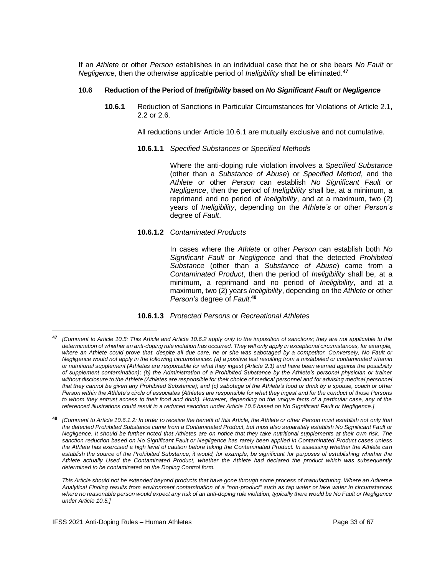If an *Athlete* or other *Person* establishes in an individual case that he or she bears *No Fault* or *Negligence*, then the otherwise applicable period of *Ineligibility* shall be eliminated.**<sup>47</sup>**

#### **10.6 Reduction of the Period of** *Ineligibility* **based on** *No Significant Fault* **or** *Negligence*

**10.6.1** Reduction of Sanctions in Particular Circumstances for Violations of Article 2.1, 2.2 or 2.6.

All reductions under Article 10.6.1 are mutually exclusive and not cumulative.

**10.6.1.1** *Specified Substances* or *Specified Methods*

Where the anti-doping rule violation involves a *Specified Substance* (other than a *Substance of Abuse*) or *Specified Method*, and the *Athlete* or other *Person* can establish *No Significant Fault* or *Negligence*, then the period of *Ineligibility* shall be, at a minimum, a reprimand and no period of *Ineligibility*, and at a maximum, two (2) years of *Ineligibility*, depending on the *Athlete's* or other *Person's* degree of *Fault*.

**10.6.1.2** *Contaminated Products*

In cases where the *Athlete* or other *Person* can establish both *No Significant Fault* or *Negligence* and that the detected *Prohibited Substance* (other than a *Substance of Abuse*) came from a *Contaminated Product*, then the period of *Ineligibility* shall be, at a minimum, a reprimand and no period of *Ineligibility*, and at a maximum, two (2) years *Ineligibility*, depending on the *Athlete* or other *Person's* degree of *Fault*. **48**

#### **10.6.1.3** *Protected Persons* or *Recreational Athletes*

**<sup>48</sup>** *[Comment to Article 10.6.1.2: In order to receive the benefit of this Article, the Athlete or other Person must establish not only that the detected Prohibited Substance came from a Contaminated Product, but must also separately establish No Significant Fault or Negligence. It should be further noted that Athletes are on notice that they take nutritional supplements at their own risk. The sanction reduction based on No Significant Fault or Negligence has rarely been applied in Contaminated Product cases unless the Athlete has exercised a high level of caution before taking the Contaminated Product. In assessing whether the Athlete can*  establish the source of the Prohibited Substance, it would, for example, be significant for purposes of establishing whether the *Athlete actually Used the Contaminated Product, whether the Athlete had declared the product which was subsequently determined to be contaminated on the Doping Control form.* 

*This Article should not be extended beyond products that have gone through some process of manufacturing. Where an Adverse Analytical Finding results from environment contamination of a "non-product" such as tap water or lake water in circumstances where no reasonable person would expect any risk of an anti-doping rule violation, typically there would be No Fault or Negligence under Article 10.5.]*

**<sup>47</sup>** *[Comment to Article 10.5: This Article and Article 10.6.2 apply only to the imposition of sanctions; they are not applicable to the determination of whether an anti-doping rule violation has occurred. They will only apply in exceptional circumstances, for example, where an Athlete could prove that, despite all due care, he or she was sabotaged by a competitor. Conversely, No Fault or Negligence would not apply in the following circumstances: (a) a positive test resulting from a mislabeled or contaminated vitamin or nutritional supplement (Athletes are responsible for what they ingest (Article 2.1) and have been warned against the possibility of supplement contamination); (b) the Administration of a Prohibited Substance by the Athlete's personal physician or trainer without disclosure to the Athlete (Athletes are responsible for their choice of medical personnel and for advising medical personnel that they cannot be given any Prohibited Substance); and (c) sabotage of the Athlete's food or drink by a spouse, coach or other Person within the Athlete's circle of associates (Athletes are responsible for what they ingest and for the conduct of those Persons to whom they entrust access to their food and drink). However, depending on the unique facts of a particular case, any of the referenced illustrations could result in a reduced sanction under Article 10.6 based on No Significant Fault or Negligence.]*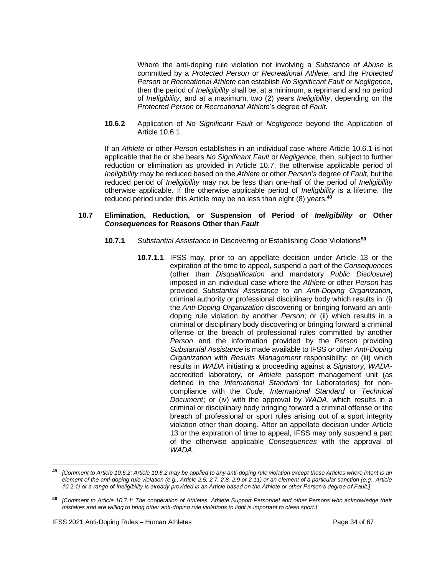Where the anti-doping rule violation not involving a *Substance of Abuse* is committed by a *Protected Person* or *Recreational Athlete*, and the *Protected Person* or *Recreational Athlete* can establish *No Significant Fault* or *Negligence*, then the period of *Ineligibility* shall be, at a minimum, a reprimand and no period of *Ineligibility*, and at a maximum, two (2) years *Ineligibility*, depending on the *Protected Person* or *Recreational Athlete*'s degree of *Fault*.

**10.6.2** Application of *No Significant Fault* or *Negligence* beyond the Application of Article 10.6.1

If an *Athlete* or other *Person* establishes in an individual case where Article 10.6.1 is not applicable that he or she bears *No Significant Fault* or *Negligence*, then, subject to further reduction or elimination as provided in Article 10.7, the otherwise applicable period of *Ineligibility* may be reduced based on the *Athlete* or other *Person's* degree of *Fault*, but the reduced period of *Ineligibility* may not be less than one-half of the period of *Ineligibility* otherwise applicable. If the otherwise applicable period of *Ineligibility* is a lifetime, the reduced period under this Article may be no less than eight (8) years.**<sup>49</sup>**

#### **10.7 Elimination, Reduction, or Suspension of Period of** *Ineligibility* **or Other** *Consequences* **for Reasons Other than** *Fault*

- **10.7.1** *Substantial Assistance* in Discovering or Establishing *Code* Violations**<sup>50</sup>**
	- **10.7.1.1** IFSS may, prior to an appellate decision under Article 13 or the expiration of the time to appeal, suspend a part of the *Consequences* (other than *Disqualification* and mandatory *Public Disclosure*) imposed in an individual case where the *Athlete* or other *Person* has provided *Substantial Assistance* to an *Anti-Doping Organization*, criminal authority or professional disciplinary body which results in: (i) the *Anti-Doping Organization* discovering or bringing forward an antidoping rule violation by another *Person*; or (ii) which results in a criminal or disciplinary body discovering or bringing forward a criminal offense or the breach of professional rules committed by another *Person* and the information provided by the *Person* providing *Substantial Assistance* is made available to IFSS or other *Anti-Doping Organization* with *Results Management* responsibility; or (iii) which results in *WADA* initiating a proceeding against a *Signatory*, *WADA*accredited laboratory, or *Athlete* passport management unit (as defined in the *International Standard* for Laboratories) for noncompliance with the *Code*, *International Standard* or *Technical Document*; or (iv) with the approval by *WADA*, which results in a criminal or disciplinary body bringing forward a criminal offense or the breach of professional or sport rules arising out of a sport integrity violation other than doping. After an appellate decision under Article 13 or the expiration of time to appeal, IFSS may only suspend a part of the otherwise applicable *Consequences* with the approval of *WADA*.

**<sup>49</sup>** *[Comment to Article 10.6.2: Article 10.6.2 may be applied to any anti-doping rule violation except those Articles where intent is an element of the anti-doping rule violation (e.g., Article 2.5, 2.7, 2.8, 2.9 or 2.11) or an element of a particular sanction (e.g., Article 10.2.1) or a range of Ineligibility is already provided in an Article based on the Athlete or other Person's degree of Fault.]*

**<sup>50</sup>** *[Comment to Article 10.7.1: The cooperation of Athletes, Athlete Support Personnel and other Persons who acknowledge their mistakes and are willing to bring other anti-doping rule violations to light is important to clean sport.]*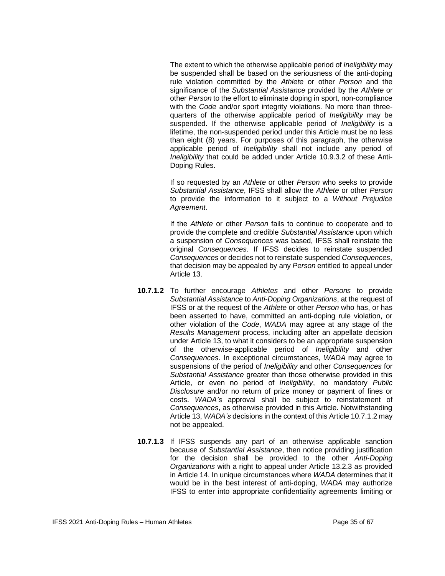The extent to which the otherwise applicable period of *Ineligibility* may be suspended shall be based on the seriousness of the anti-doping rule violation committed by the *Athlete* or other *Person* and the significance of the *Substantial Assistance* provided by the *Athlete* or other *Person* to the effort to eliminate doping in sport, non-compliance with the *Code* and/or sport integrity violations. No more than threequarters of the otherwise applicable period of *Ineligibility* may be suspended. If the otherwise applicable period of *Ineligibility* is a lifetime, the non-suspended period under this Article must be no less than eight (8) years. For purposes of this paragraph, the otherwise applicable period of *Ineligibility* shall not include any period of *Ineligibility* that could be added under Article 10.9.3.2 of these Anti-Doping Rules.

If so requested by an *Athlete* or other *Person* who seeks to provide *Substantial Assistance*, IFSS shall allow the *Athlete* or other *Person* to provide the information to it subject to a *Without Prejudice Agreement*.

If the *Athlete* or other *Person* fails to continue to cooperate and to provide the complete and credible *Substantial Assistance* upon which a suspension of *Consequences* was based, IFSS shall reinstate the original *Consequences*. If IFSS decides to reinstate suspended *Consequences* or decides not to reinstate suspended *Consequences*, that decision may be appealed by any *Person* entitled to appeal under Article 13.

- **10.7.1.2** To further encourage *Athletes* and other *Persons* to provide *Substantial Assistance* to *Anti-Doping Organizations*, at the request of IFSS or at the request of the *Athlete* or other *Person* who has, or has been asserted to have, committed an anti-doping rule violation, or other violation of the *Code*, *WADA* may agree at any stage of the *Results Management* process, including after an appellate decision under Article 13, to what it considers to be an appropriate suspension of the otherwise-applicable period of *Ineligibility* and other *Consequences*. In exceptional circumstances, *WADA* may agree to suspensions of the period of *Ineligibility* and other *Consequences* for *Substantial Assistance* greater than those otherwise provided in this Article, or even no period of *Ineligibility*, no mandatory *Public Disclosure* and/or no return of prize money or payment of fines or costs. *WADA's* approval shall be subject to reinstatement of *Consequences*, as otherwise provided in this Article. Notwithstanding Article 13, *WADA's* decisions in the context of this Article 10.7.1.2 may not be appealed.
- **10.7.1.3** If IFSS suspends any part of an otherwise applicable sanction because of *Substantial Assistance*, then notice providing justification for the decision shall be provided to the other *Anti-Doping Organizations* with a right to appeal under Article 13.2.3 as provided in Article 14. In unique circumstances where *WADA* determines that it would be in the best interest of anti-doping, *WADA* may authorize IFSS to enter into appropriate confidentiality agreements limiting or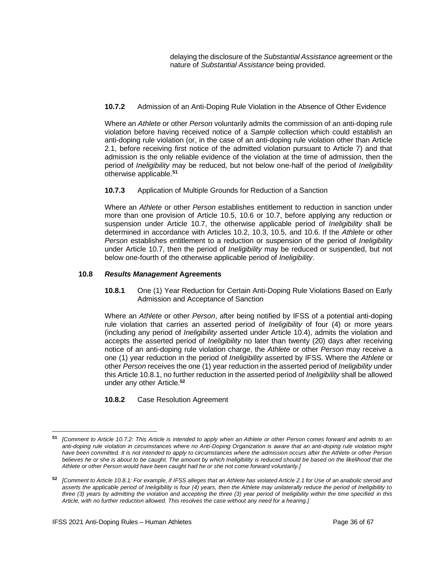delaying the disclosure of the *Substantial Assistance* agreement or the nature of *Substantial Assistance* being provided.

## **10.7.2** Admission of an Anti-Doping Rule Violation in the Absence of Other Evidence

Where an *Athlete* or other *Person* voluntarily admits the commission of an anti-doping rule violation before having received notice of a *Sample* collection which could establish an anti-doping rule violation (or, in the case of an anti-doping rule violation other than Article 2.1, before receiving first notice of the admitted violation pursuant to Article 7) and that admission is the only reliable evidence of the violation at the time of admission, then the period of *Ineligibility* may be reduced, but not below one-half of the period of *Ineligibility* otherwise applicable.**<sup>51</sup>**

**10.7.3** Application of Multiple Grounds for Reduction of a Sanction

Where an *Athlete* or other *Person* establishes entitlement to reduction in sanction under more than one provision of Article 10.5, 10.6 or 10.7, before applying any reduction or suspension under Article 10.7, the otherwise applicable period of *Ineligibility* shall be determined in accordance with Articles 10.2, 10.3, 10.5, and 10.6. If the *Athlete* or other *Person* establishes entitlement to a reduction or suspension of the period of *Ineligibility* under Article 10.7, then the period of *Ineligibility* may be reduced or suspended, but not below one-fourth of the otherwise applicable period of *Ineligibility*.

## **10.8** *Results Management* **Agreements**

**10.8.1** One (1) Year Reduction for Certain Anti-Doping Rule Violations Based on Early Admission and Acceptance of Sanction

Where an *Athlete* or other *Person*, after being notified by IFSS of a potential anti-doping rule violation that carries an asserted period of *Ineligibility* of four (4) or more years (including any period of *Ineligibility* asserted under Article 10.4), admits the violation and accepts the asserted period of *Ineligibility* no later than twenty (20) days after receiving notice of an anti-doping rule violation charge, the *Athlete* or other *Person* may receive a one (1) year reduction in the period of *Ineligibility* asserted by IFSS. Where the *Athlete* or other *Person* receives the one (1) year reduction in the asserted period of *Ineligibility* under this Article 10.8.1, no further reduction in the asserted period of *Ineligibility* shall be allowed under any other Article.**<sup>52</sup>**

**10.8.2** Case Resolution Agreement

**<sup>51</sup>** *[Comment to Article 10.7.2: This Article is intended to apply when an Athlete or other Person comes forward and admits to an anti-doping rule violation in circumstances where no Anti-Doping Organization is aware that an anti-doping rule violation might have been committed. It is not intended to apply to circumstances where the admission occurs after the Athlete or other Person believes he or she is about to be caught. The amount by which Ineligibility is reduced should be based on the likelihood that the Athlete or other Person would have been caught had he or she not come forward voluntarily.]*

**<sup>52</sup>** *[Comment to Article 10.8.1: For example, if IFSS alleges that an Athlete has violated Article 2.1 for Use of an anabolic steroid and asserts the applicable period of Ineligibility is four (4) years, then the Athlete may unilaterally reduce the period of Ineligibility to three (3) years by admitting the violation and accepting the three (3) year period of Ineligibility within the time specified in this Article, with no further reduction allowed. This resolves the case without any need for a hearing.]*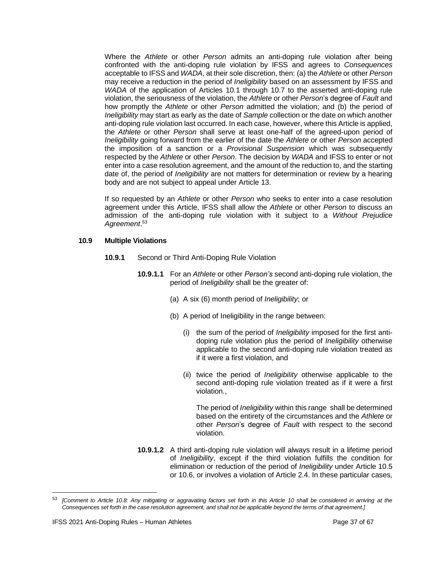Where the *Athlete* or other *Person* admits an anti-doping rule violation after being confronted with the anti-doping rule violation by IFSS and agrees to *Consequences* acceptable to IFSS and *WADA*, at their sole discretion, then: (a) the *Athlete* or other *Person* may receive a reduction in the period of *Ineligibility* based on an assessment by IFSS and *WADA* of the application of Articles 10.1 through 10.7 to the asserted anti-doping rule violation, the seriousness of the violation, the *Athlete* or other *Person*'s degree of *Fault* and how promptly the *Athlete* or other *Person* admitted the violation; and (b) the period of *Ineligibility* may start as early as the date of *Sample* collection or the date on which another anti-doping rule violation last occurred. In each case, however, where this Article is applied, the *Athlete* or other *Person* shall serve at least one-half of the agreed-upon period of *Ineligibility* going forward from the earlier of the date the *Athlete* or other *Person* accepted the imposition of a sanction or a *Provisional Suspension* which was subsequently respected by the *Athlete* or other *Person*. The decision by *WADA* and IFSS to enter or not enter into a case resolution agreement, and the amount of the reduction to, and the starting date of, the period of *Ineligibility* are not matters for determination or review by a hearing body and are not subject to appeal under Article 13.

If so requested by an *Athlete* or other *Person* who seeks to enter into a case resolution agreement under this Article, IFSS shall allow the *Athlete* or other *Person* to discuss an admission of the anti-doping rule violation with it subject to a *Without Prejudice Agreement*. 53

#### **10.9 Multiple Violations**

- **10.9.1** Second or Third Anti-Doping Rule Violation
	- **10.9.1.1** For an *Athlete* or other *Person's* second anti-doping rule violation, the period of *Ineligibility* shall be the greater of:
		- (a) A six (6) month period of *Ineligibility*; or
		- (b) A period of Ineligibility in the range between:
			- (i) the sum of the period of *Ineligibility* imposed for the first antidoping rule violation plus the period of *Ineligibility* otherwise applicable to the second anti-doping rule violation treated as if it were a first violation, and
			- (ii) twice the period of *Ineligibility* otherwise applicable to the second anti-doping rule violation treated as if it were a first violation.,

The period of *Ineligibility* within this range shall be determined based on the entirety of the circumstances and the *Athlete* or other *Person*'s degree of *Fault* with respect to the second violation.

**10.9.1.2** A third anti-doping rule violation will always result in a lifetime period of *Ineligibility*, except if the third violation fulfills the condition for elimination or reduction of the period of *Ineligibility* under Article 10.5 or 10.6, or involves a violation of Article 2.4. In these particular cases,

<sup>53</sup> *[Comment to Article 10.8: Any mitigating or aggravating factors set forth in this Article 10 shall be considered in arriving at the Consequences set forth in the case resolution agreement, and shall not be applicable beyond the terms of that agreement.]*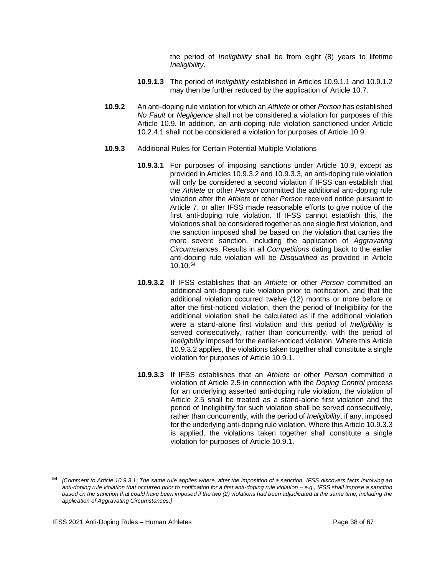the period of *Ineligibility* shall be from eight (8) years to lifetime *Ineligibility*.

- **10.9.1.3** The period of *Ineligibility* established in Articles 10.9.1.1 and 10.9.1.2 may then be further reduced by the application of Article 10.7.
- **10.9.2** An anti-doping rule violation for which an *Athlete* or other *Person* has established *No Fault* or *Negligence* shall not be considered a violation for purposes of this Article 10.9. In addition, an anti-doping rule violation sanctioned under Article 10.2.4.1 shall not be considered a violation for purposes of Article 10.9.
- **10.9.3** Additional Rules for Certain Potential Multiple Violations
	- **10.9.3.1** For purposes of imposing sanctions under Article 10.9, except as provided in Articles 10.9.3.2 and 10.9.3.3, an anti-doping rule violation will only be considered a second violation if IFSS can establish that the *Athlete* or other *Person* committed the additional anti-doping rule violation after the *Athlete* or other *Person* received notice pursuant to Article 7, or after IFSS made reasonable efforts to give notice of the first anti-doping rule violation. If IFSS cannot establish this, the violations shall be considered together as one single first violation, and the sanction imposed shall be based on the violation that carries the more severe sanction, including the application of *Aggravating Circumstances*. Results in all *Competitions* dating back to the earlier anti-doping rule violation will be *Disqualified* as provided in Article  $10.10^{54}$
	- **10.9.3.2** If IFSS establishes that an *Athlete* or other *Person* committed an additional anti-doping rule violation prior to notification, and that the additional violation occurred twelve (12) months or more before or after the first-noticed violation, then the period of Ineligibility for the additional violation shall be calculated as if the additional violation were a stand-alone first violation and this period of *Ineligibility* is served consecutively, rather than concurrently, with the period of *Ineligibility* imposed for the earlier-noticed violation. Where this Article 10.9.3.2 applies, the violations taken together shall constitute a single violation for purposes of Article 10.9.1.
	- **10.9.3.3** If IFSS establishes that an *Athlete* or other *Person* committed a violation of Article 2.5 in connection with the *Doping Control* process for an underlying asserted anti-doping rule violation, the violation of Article 2.5 shall be treated as a stand-alone first violation and the period of Ineligibility for such violation shall be served consecutively, rather than concurrently, with the period of *Ineligibility*, if any, imposed for the underlying anti-doping rule violation. Where this Article 10.9.3.3 is applied, the violations taken together shall constitute a single violation for purposes of Article 10.9.1.

**<sup>54</sup>** *[Comment to Article 10.9.3.1: The same rule applies where, after the imposition of a sanction, IFSS discovers facts involving an anti-doping rule violation that occurred prior to notification for a first anti-doping rule violation – e.g., IFSS shall impose a sanction based on the sanction that could have been imposed if the two (2) violations had been adjudicated at the same time, including the application of Aggravating Circumstances.]*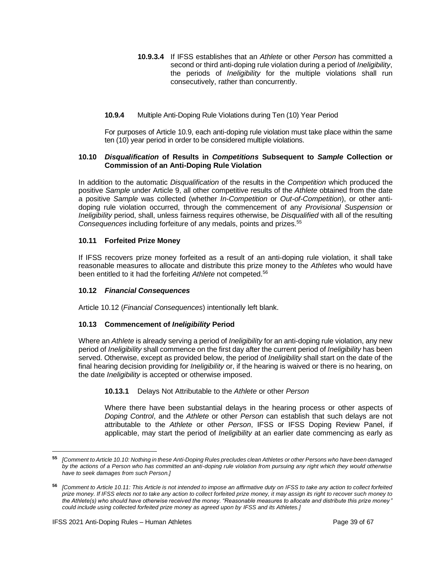- **10.9.3.4** If IFSS establishes that an *Athlete* or other *Person* has committed a second or third anti-doping rule violation during a period of *Ineligibility*, the periods of *Ineligibility* for the multiple violations shall run consecutively, rather than concurrently.
- **10.9.4** Multiple Anti-Doping Rule Violations during Ten (10) Year Period

For purposes of Article 10.9, each anti-doping rule violation must take place within the same ten (10) year period in order to be considered multiple violations.

#### **10.10** *Disqualification* **of Results in** *Competitions* **Subsequent to** *Sample* **Collection or Commission of an Anti-Doping Rule Violation**

In addition to the automatic *Disqualification* of the results in the *Competition* which produced the positive *Sample* under Article 9, all other competitive results of the *Athlete* obtained from the date a positive *Sample* was collected (whether *In-Competition* or *Out-of-Competition*), or other antidoping rule violation occurred, through the commencement of any *Provisional Suspension* or *Ineligibility* period, shall, unless fairness requires otherwise, be *Disqualified* with all of the resulting *Consequences* including forfeiture of any medals, points and prizes.<sup>55</sup>

## **10.11 Forfeited Prize Money**

If IFSS recovers prize money forfeited as a result of an anti-doping rule violation, it shall take reasonable measures to allocate and distribute this prize money to the *Athletes* who would have been entitled to it had the forfeiting *Athlete* not competed.<sup>56</sup>

#### **10.12** *Financial Consequences*

Article 10.12 (*Financial Consequences*) intentionally left blank.

## **10.13 Commencement of** *Ineligibility* **Period**

Where an *Athlete* is already serving a period of *Ineligibility* for an anti-doping rule violation, any new period of *Ineligibility* shall commence on the first day after the current period of *Ineligibility* has been served. Otherwise, except as provided below, the period of *Ineligibility* shall start on the date of the final hearing decision providing for *Ineligibility* or, if the hearing is waived or there is no hearing, on the date *Ineligibility* is accepted or otherwise imposed.

#### **10.13.1** Delays Not Attributable to the *Athlete* or other *Person*

Where there have been substantial delays in the hearing process or other aspects of *Doping Control*, and the *Athlete* or other *Person* can establish that such delays are not attributable to the *Athlete* or other *Person*, IFSS or IFSS Doping Review Panel, if applicable, may start the period of *Ineligibility* at an earlier date commencing as early as

**<sup>55</sup>** *[Comment to Article 10.10: Nothing in these Anti-Doping Rules precludes clean Athletes or other Persons who have been damaged by the actions of a Person who has committed an anti-doping rule violation from pursuing any right which they would otherwise have to seek damages from such Person.]*

**<sup>56</sup>** *[Comment to Article 10.11: This Article is not intended to impose an affirmative duty on IFSS to take any action to collect forfeited prize money. If IFSS elects not to take any action to collect forfeited prize money, it may assign its right to recover such money to the Athlete(s) who should have otherwise received the money. "Reasonable measures to allocate and distribute this prize money " could include using collected forfeited prize money as agreed upon by IFSS and its Athletes.]*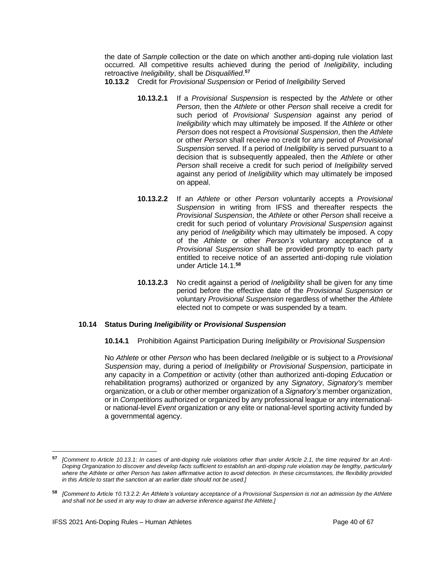the date of *Sample* collection or the date on which another anti-doping rule violation last occurred. All competitive results achieved during the period of *Ineligibility*, including retroactive *Ineligibility*, shall be *Disqualified*. **57**

- **10.13.2** Credit for *Provisional Suspension* or Period of *Ineligibility* Served
	- **10.13.2.1** If a *Provisional Suspension* is respected by the *Athlete* or other *Person*, then the *Athlete* or other *Person* shall receive a credit for such period of *Provisional Suspension* against any period of *Ineligibility* which may ultimately be imposed. If the *Athlete* or other *Person* does not respect a *Provisional Suspension*, then the *Athlete* or other *Person* shall receive no credit for any period of *Provisional Suspension* served. If a period of *Ineligibility* is served pursuant to a decision that is subsequently appealed, then the *Athlete* or other *Person* shall receive a credit for such period of *Ineligibility* served against any period of *Ineligibility* which may ultimately be imposed on appeal.
	- **10.13.2.2** If an *Athlete* or other *Person* voluntarily accepts a *Provisional Suspension* in writing from IFSS and thereafter respects the *Provisional Suspension*, the *Athlete* or other *Person* shall receive a credit for such period of voluntary *Provisional Suspension* against any period of *Ineligibility* which may ultimately be imposed. A copy of the *Athlete* or other *Person's* voluntary acceptance of a *Provisional Suspension* shall be provided promptly to each party entitled to receive notice of an asserted anti-doping rule violation under Article 14.1.**<sup>58</sup>**
	- **10.13.2.3** No credit against a period of *Ineligibility* shall be given for any time period before the effective date of the *Provisional Suspension* or voluntary *Provisional Suspension* regardless of whether the *Athlete* elected not to compete or was suspended by a team.

## **10.14 Status During** *Ineligibility* **or** *Provisional Suspension*

**10.14.1** Prohibition Against Participation During *Ineligibility* or *Provisional Suspension*

No *Athlete* or other *Person* who has been declared *Ineligible* or is subject to a *Provisional Suspension* may, during a period of *Ineligibility* or *Provisional Suspension*, participate in any capacity in a *Competition* or activity (other than authorized anti-doping *Education* or rehabilitation programs) authorized or organized by any *Signatory*, *Signatory's* member organization, or a club or other member organization of a *Signatory's* member organization, or in *Competitions* authorized or organized by any professional league or any internationalor national-level *Event* organization or any elite or national-level sporting activity funded by a governmental agency.

**<sup>57</sup>** *[Comment to Article 10.13.1: In cases of anti-doping rule violations other than under Article 2.1, the time required for an Anti-Doping Organization to discover and develop facts sufficient to establish an anti-doping rule violation may be lengthy, particularly where the Athlete or other Person has taken affirmative action to avoid detection. In these circumstances, the flexibility provided in this Article to start the sanction at an earlier date should not be used.]*

**<sup>58</sup>** *[Comment to Article 10.13.2.2: An Athlete's voluntary acceptance of a Provisional Suspension is not an admission by the Athlete and shall not be used in any way to draw an adverse inference against the Athlete.]*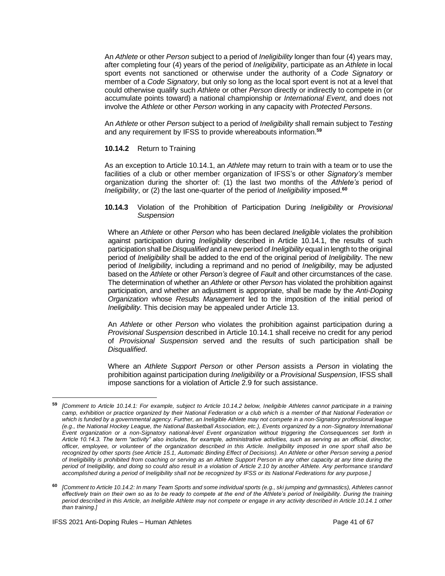An *Athlete* or other *Person* subject to a period of *Ineligibility* longer than four (4) years may, after completing four (4) years of the period of *Ineligibility*, participate as an *Athlete* in local sport events not sanctioned or otherwise under the authority of a *Code Signatory* or member of a *Code Signatory*, but only so long as the local sport event is not at a level that could otherwise qualify such *Athlete* or other *Person* directly or indirectly to compete in (or accumulate points toward) a national championship or *International Event*, and does not involve the *Athlete* or other *Person* working in any capacity with *Protected Persons*.

An *Athlete* or other *Person* subject to a period of *Ineligibility* shall remain subject to *Testing* and any requirement by IFSS to provide whereabouts information.**<sup>59</sup>**

## **10.14.2** Return to Training

As an exception to Article 10.14.1, an *Athlete* may return to train with a team or to use the facilities of a club or other member organization of IFSS's or other *Signatory's* member organization during the shorter of: (1) the last two months of the *Athlete's* period of *Ineligibility*, or (2) the last one-quarter of the period of *Ineligibility* imposed.**<sup>60</sup>**

#### **10.14.3** Violation of the Prohibition of Participation During *Ineligibility* or *Provisional Suspension*

Where an *Athlete* or other *Person* who has been declared *Ineligible* violates the prohibition against participation during *Ineligibility* described in Article 10.14.1, the results of such participation shall be *Disqualified* and a new period of *Ineligibility* equal in length to the original period of *Ineligibility* shall be added to the end of the original period of *Ineligibility*. The new period of *Ineligibility*, including a reprimand and no period of *Ineligibility*, may be adjusted based on the *Athlete* or other *Person's* degree of *Fault* and other circumstances of the case. The determination of whether an *Athlete* or other *Person* has violated the prohibition against participation, and whether an adjustment is appropriate, shall be made by the *Anti-Doping Organization* whose *Results Management* led to the imposition of the initial period of *Ineligibility*. This decision may be appealed under Article 13.

An *Athlete* or other *Person* who violates the prohibition against participation during a *Provisional Suspension* described in Article 10.14.1 shall receive no credit for any period of *Provisional Suspension* served and the results of such participation shall be *Disqualified*.

Where an *Athlete Support Person* or other *Person* assists a *Person* in violating the prohibition against participation during *Ineligibility* or a *Provisional Suspension*, IFSS shall impose sanctions for a violation of Article 2.9 for such assistance.

**<sup>59</sup>** *[Comment to Article 10.14.1: For example, subject to Article 10.14.2 below, Ineligible Athletes cannot participate in a training camp, exhibition or practice organized by their National Federation or a club which is a member of that National Federation or*  which is funded by a governmental agency. Further, an Ineligible Athlete may not compete in a non-Signatory professional league *(e.g., the National Hockey League, the National Basketball Association, etc.), Events organized by a non-Signatory International Event organization or a non-Signatory national-level Event organization without triggering the Consequences set forth in Article 10.14.3. The term "activity" also includes, for example, administrative activities, such as serving as an official, director, officer, employee, or volunteer of the organization described in this Article. Ineligibility imposed in one sport shall also be recognized by other sports (see Article 15.1, Automatic Binding Effect of Decisions). An Athlete or other Person serving a period of Ineligibility is prohibited from coaching or serving as an Athlete Support Person in any other capacity at any time during the period of Ineligibility, and doing so could also result in a violation of Article 2.10 by another Athlete. Any performance standard accomplished during a period of Ineligibility shall not be recognized by IFSS or its National Federations for any purpose.]*

**<sup>60</sup>** *[Comment to Article 10.14.2: In many Team Sports and some individual sports (e.g., ski jumping and gymnastics), Athletes cannot effectively train on their own so as to be ready to compete at the end of the Athlete's period of Ineligibility. During the training period described in this Article, an Ineligible Athlete may not compete or engage in any activity described in Article 10.14.1 other than training.]*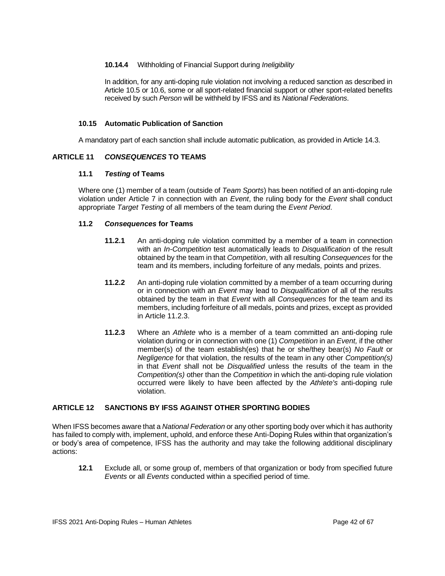## **10.14.4** Withholding of Financial Support during *Ineligibility*

In addition, for any anti-doping rule violation not involving a reduced sanction as described in Article 10.5 or 10.6, some or all sport-related financial support or other sport-related benefits received by such *Person* will be withheld by IFSS and its *National Federations*.

## **10.15 Automatic Publication of Sanction**

A mandatory part of each sanction shall include automatic publication, as provided in Article 14.3.

## <span id="page-41-0"></span>**ARTICLE 11** *CONSEQUENCES* **TO TEAMS**

## **11.1** *Testing* **of Teams**

Where one (1) member of a team (outside of *Team Sports*) has been notified of an anti-doping rule violation under Article 7 in connection with an *Event*, the ruling body for the *Event* shall conduct appropriate *Target Testing* of all members of the team during the *Event Period*.

## **11.2** *Consequences* **for Teams**

- **11.2.1** An anti-doping rule violation committed by a member of a team in connection with an *In-Competition* test automatically leads to *Disqualification* of the result obtained by the team in that *Competition*, with all resulting *Consequences* for the team and its members, including forfeiture of any medals, points and prizes.
- **11.2.2** An anti-doping rule violation committed by a member of a team occurring during or in connection with an *Event* may lead to *Disqualification* of all of the results obtained by the team in that *Event* with all *Consequences* for the team and its members, including forfeiture of all medals, points and prizes, except as provided in Article 11.2.3.
- **11.2.3** Where an *Athlete* who is a member of a team committed an anti-doping rule violation during or in connection with one (1) *Competition* in an *Event,* if the other member(s) of the team establish(es) that he or she/they bear(s) *No Fault* or *Negligence* for that violation, the results of the team in any other *Competition(s)*  in that *Event* shall not be *Disqualified* unless the results of the team in the *Competition(s)* other than the *Competition* in which the anti-doping rule violation occurred were likely to have been affected by the *Athlete's* anti-doping rule violation.

## <span id="page-41-1"></span>**ARTICLE 12 SANCTIONS BY IFSS AGAINST OTHER SPORTING BODIES**

When IFSS becomes aware that a *National Federation* or any other sporting body over which it has authority has failed to comply with, implement, uphold, and enforce these Anti-Doping Rules within that organization's or body's area of competence, IFSS has the authority and may take the following additional disciplinary actions:

**12.1** Exclude all, or some group of, members of that organization or body from specified future *Events* or all *Events* conducted within a specified period of time.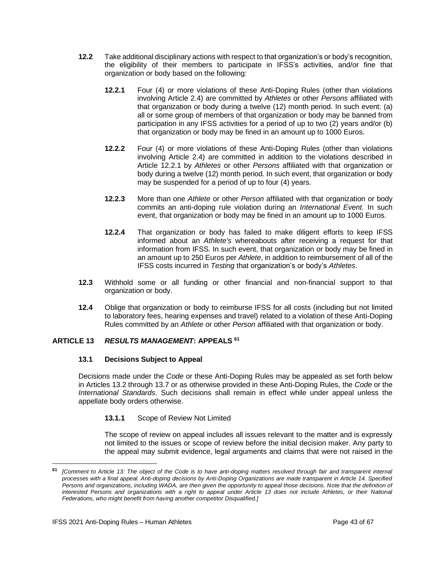- **12.2** Take additional disciplinary actions with respect to that organization's or body's recognition, the eligibility of their members to participate in IFSS's activities, and/or fine that organization or body based on the following:
	- **12.2.1** Four (4) or more violations of these Anti-Doping Rules (other than violations involving Article 2.4) are committed by *Athletes* or other *Persons* affiliated with that organization or body during a twelve (12) month period. In such event: (a) all or some group of members of that organization or body may be banned from participation in any IFSS activities for a period of up to two (2) years and/or (b) that organization or body may be fined in an amount up to 1000 Euros.
	- **12.2.2** Four (4) or more violations of these Anti-Doping Rules (other than violations involving Article 2.4) are committed in addition to the violations described in Article 12.2.1 by *Athletes* or other *Persons* affiliated with that organization or body during a twelve (12) month period*.* In such event, that organization or body may be suspended for a period of up to four (4) years.
	- **12.2.3** More than one *Athlete* or other *Person* affiliated with that organization or body commits an anti-doping rule violation during an *International Event.* In such event, that organization or body may be fined in an amount up to 1000 Euros.
	- **12.2.4** That organization or body has failed to make diligent efforts to keep IFSS informed about an *Athlete's* whereabouts after receiving a request for that information from IFSS. In such event, that organization or body may be fined in an amount up to 250 Euros per *Athlete*, in addition to reimbursement of all of the IFSS costs incurred in *Testing* that organization's or body's *Athletes*.
- **12.3** Withhold some or all funding or other financial and non-financial support to that organization or body.
- **12.4** Oblige that organization or body to reimburse IFSS for all costs (including but not limited to laboratory fees, hearing expenses and travel) related to a violation of these Anti-Doping Rules committed by an *Athlete* or other *Person* affiliated with that organization or body.

## <span id="page-42-0"></span>**ARTICLE 13** *RESULTS MANAGEMENT***: APPEALS 61**

#### **13.1 Decisions Subject to Appeal**

Decisions made under the *Code* or these Anti-Doping Rules may be appealed as set forth below in Articles 13.2 through 13.7 or as otherwise provided in these Anti-Doping Rules, the *Code* or the *International Standards*. Such decisions shall remain in effect while under appeal unless the appellate body orders otherwise.

## **13.1.1** Scope of Review Not Limited

The scope of review on appeal includes all issues relevant to the matter and is expressly not limited to the issues or scope of review before the initial decision maker. Any party to the appeal may submit evidence, legal arguments and claims that were not raised in the

**<sup>61</sup>** *[Comment to Article 13: The object of the Code is to have anti-doping matters resolved through fair and transparent internal processes with a final appeal. Anti-doping decisions by Anti-Doping Organizations are made transparent in Article 14. Specified Persons and organizations, including WADA, are then given the opportunity to appeal those decisions. Note that the definition of interested Persons and organizations with a right to appeal under Article 13 does not include Athletes, or their National Federations, who might benefit from having another competitor Disqualified.]*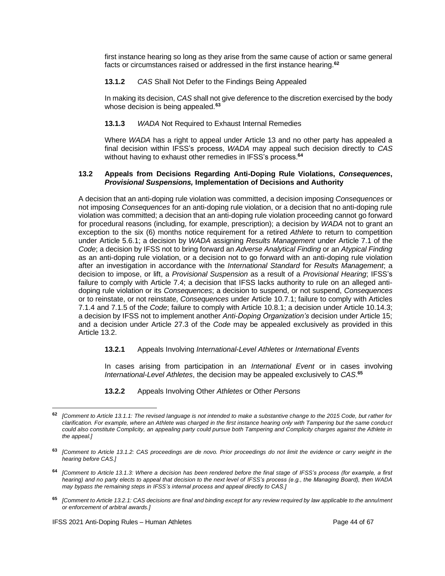first instance hearing so long as they arise from the same cause of action or same general facts or circumstances raised or addressed in the first instance hearing.**<sup>62</sup>**

## **13.1.2** *CAS* Shall Not Defer to the Findings Being Appealed

In making its decision, *CAS* shall not give deference to the discretion exercised by the body whose decision is being appealed.**<sup>63</sup>**

## **13.1.3** *WADA* Not Required to Exhaust Internal Remedies

Where *WADA* has a right to appeal under Article 13 and no other party has appealed a final decision within IFSS's process, *WADA* may appeal such decision directly to *CAS* without having to exhaust other remedies in IFSS's process.**<sup>64</sup>**

#### **13.2 Appeals from Decisions Regarding Anti-Doping Rule Violations,** *Consequences***,**  *Provisional Suspensions,* **Implementation of Decisions and Authority**

A decision that an anti-doping rule violation was committed, a decision imposing *Consequences* or not imposing *Consequences* for an anti-doping rule violation, or a decision that no anti-doping rule violation was committed; a decision that an anti-doping rule violation proceeding cannot go forward for procedural reasons (including, for example, prescription); a decision by *WADA* not to grant an exception to the six (6) months notice requirement for a retired *Athlete* to return to competition under Article 5.6.1; a decision by *WADA* assigning *Results Management* under Article 7.1 of the *Code*; a decision by IFSS not to bring forward an *Adverse Analytical Finding* or an *Atypical Finding* as an anti-doping rule violation, or a decision not to go forward with an anti-doping rule violation after an investigation in accordance with the *International Standard* for *Results Management*; a decision to impose, or lift, a *Provisional Suspension* as a result of a *Provisional Hearing*; IFSS's failure to comply with Article 7.4; a decision that IFSS lacks authority to rule on an alleged antidoping rule violation or its *Consequences*; a decision to suspend, or not suspend, *Consequences* or to reinstate, or not reinstate, *Consequences* under Article 10.7.1; failure to comply with Articles 7.1.4 and 7.1.5 of the *Code*; failure to comply with Article 10.8.1; a decision under Article 10.14.3; a decision by IFSS not to implement another *Anti-Doping Organization's* decision under Article 15; and a decision under Article 27.3 of the *Code* may be appealed exclusively as provided in this Article 13.2.

#### **13.2.1** Appeals Involving *International-Level Athletes* or *International Events*

In cases arising from participation in an *International Event* or in cases involving *International-Level Athletes*, the decision may be appealed exclusively to *CAS*. **65**

#### **13.2.2** Appeals Involving Other *Athletes* or Other *Persons*

**<sup>65</sup>** *[Comment to Article 13.2.1: CAS decisions are final and binding except for any review required by law applicable to the annulment or enforcement of arbitral awards.]*

**<sup>62</sup>** *[Comment to Article 13.1.1: The revised language is not intended to make a substantive change to the 2015 Code, but rather for clarification. For example, where an Athlete was charged in the first instance hearing only with Tampering but the same conduct could also constitute Complicity, an appealing party could pursue both Tampering and Complicity charges against the Athlete in the appeal.]*

**<sup>63</sup>** *[Comment to Article 13.1.2: CAS proceedings are de novo. Prior proceedings do not limit the evidence or carry weight in the hearing before CAS.]*

**<sup>64</sup>** *[Comment to Article 13.1.3: Where a decision has been rendered before the final stage of IFSS's process (for example, a first hearing) and no party elects to appeal that decision to the next level of IFSS's process (e.g., the Managing Board), then WADA may bypass the remaining steps in IFSS's internal process and appeal directly to CAS.]*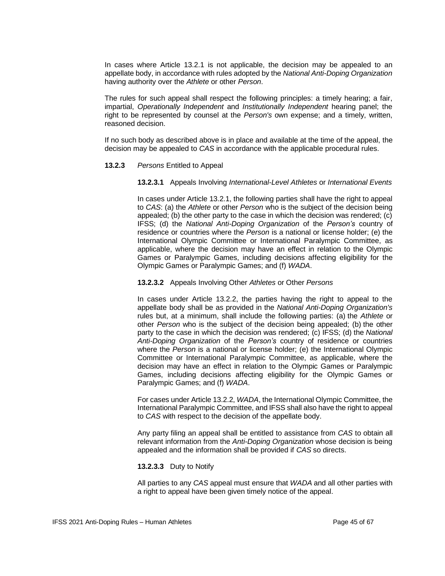In cases where Article 13.2.1 is not applicable, the decision may be appealed to an appellate body, in accordance with rules adopted by the *National Anti-Doping Organization* having authority over the *Athlete* or other *Person*.

The rules for such appeal shall respect the following principles: a timely hearing; a fair, impartial, *Operationally Independent* and *Institutionally Independent* hearing panel; the right to be represented by counsel at the *Person's* own expense; and a timely, written, reasoned decision.

If no such body as described above is in place and available at the time of the appeal, the decision may be appealed to *CAS* in accordance with the applicable procedural rules.

#### **13.2.3** *Persons* Entitled to Appeal

#### **13.2.3.1** Appeals Involving *International-Level Athletes* or *International Events*

In cases under Article 13.2.1, the following parties shall have the right to appeal to *CAS*: (a) the *Athlete* or other *Person* who is the subject of the decision being appealed; (b) the other party to the case in which the decision was rendered; (c) IFSS; (d) the *National Anti-Doping Organization* of the *Person's* country of residence or countries where the *Person* is a national or license holder; (e) the International Olympic Committee or International Paralympic Committee, as applicable, where the decision may have an effect in relation to the Olympic Games or Paralympic Games, including decisions affecting eligibility for the Olympic Games or Paralympic Games; and (f) *WADA*.

#### **13.2.3.2** Appeals Involving Other *Athletes* or Other *Persons*

In cases under Article 13.2.2, the parties having the right to appeal to the appellate body shall be as provided in the *National Anti-Doping Organization's* rules but, at a minimum, shall include the following parties: (a) the *Athlete* or other *Person* who is the subject of the decision being appealed; (b) the other party to the case in which the decision was rendered; (c) IFSS; (d) the *National Anti-Doping Organization* of the *Person's* country of residence or countries where the *Person* is a national or license holder; (e) the International Olympic Committee or International Paralympic Committee, as applicable, where the decision may have an effect in relation to the Olympic Games or Paralympic Games, including decisions affecting eligibility for the Olympic Games or Paralympic Games; and (f) *WADA*.

For cases under Article 13.2.2, *WADA*, the International Olympic Committee, the International Paralympic Committee, and IFSS shall also have the right to appeal to *CAS* with respect to the decision of the appellate body.

Any party filing an appeal shall be entitled to assistance from *CAS* to obtain all relevant information from the *Anti-Doping Organization* whose decision is being appealed and the information shall be provided if *CAS* so directs.

#### **13.2.3.3** Duty to Notify

All parties to any *CAS* appeal must ensure that *WADA* and all other parties with a right to appeal have been given timely notice of the appeal.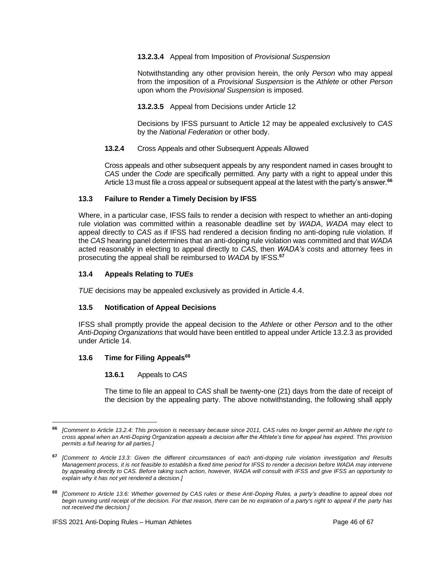#### **13.2.3.4** Appeal from Imposition of *Provisional Suspension*

Notwithstanding any other provision herein, the only *Person* who may appeal from the imposition of a *Provisional Suspension* is the *Athlete* or other *Person* upon whom the *Provisional Suspension* is imposed.

**13.2.3.5** Appeal from Decisions under Article 12

Decisions by IFSS pursuant to Article 12 may be appealed exclusively to *CAS* by the *National Federation* or other body.

**13.2.4** Cross Appeals and other Subsequent Appeals Allowed

Cross appeals and other subsequent appeals by any respondent named in cases brought to *CAS* under the *Code* are specifically permitted. Any party with a right to appeal under this Article 13 must file a cross appeal or subsequent appeal at the latest with the party's answer.**<sup>66</sup>**

## **13.3 Failure to Render a Timely Decision by IFSS**

Where, in a particular case, IFSS fails to render a decision with respect to whether an anti-doping rule violation was committed within a reasonable deadline set by *WADA*, *WADA* may elect to appeal directly to *CAS* as if IFSS had rendered a decision finding no anti-doping rule violation. If the *CAS* hearing panel determines that an anti-doping rule violation was committed and that *WADA* acted reasonably in electing to appeal directly to *CAS*, then *WADA's* costs and attorney fees in prosecuting the appeal shall be reimbursed to *WADA* by IFSS. **67**

## **13.4 Appeals Relating to** *TUEs*

*TUE* decisions may be appealed exclusively as provided in Article 4.4.

## **13.5 Notification of Appeal Decisions**

IFSS shall promptly provide the appeal decision to the *Athlete* or other *Person* and to the other *Anti-Doping Organizations* that would have been entitled to appeal under Article 13.2.3 as provided under Article 14.

## **13.6 Time for Filing Appeals<sup>68</sup>**

#### **13.6.1** Appeals to *CAS*

The time to file an appeal to *CAS* shall be twenty-one (21) days from the date of receipt of the decision by the appealing party. The above notwithstanding, the following shall apply

**<sup>66</sup>** *[Comment to Article 13.2.4: This provision is necessary because since 2011, CAS rules no longer permit an Athlete the right t o cross appeal when an Anti-Doping Organization appeals a decision after the Athlete's time for appeal has expired. This provision permits a full hearing for all parties.]*

**<sup>67</sup>** *[Comment to Article 13.3: Given the different circumstances of each anti-doping rule violation investigation and Results Management process, it is not feasible to establish a fixed time period for IFSS to render a decision before WADA may intervene by appealing directly to CAS. Before taking such action, however, WADA will consult with IFSS and give IFSS an opportunity to explain why it has not yet rendered a decision.]* 

**<sup>68</sup>** *[Comment to Article 13.6: Whether governed by CAS rules or these Anti-Doping Rules, a party's deadline to appeal does not begin running until receipt of the decision. For that reason, there can be no expiration of a party's right to appeal if the party has not received the decision.]*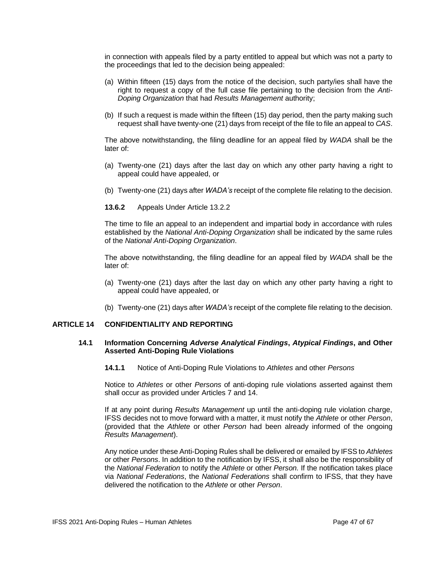in connection with appeals filed by a party entitled to appeal but which was not a party to the proceedings that led to the decision being appealed:

- (a) Within fifteen (15) days from the notice of the decision, such party/ies shall have the right to request a copy of the full case file pertaining to the decision from the *Anti-Doping Organization* that had *Results Management* authority;
- (b) If such a request is made within the fifteen (15) day period, then the party making such request shall have twenty-one (21) days from receipt of the file to file an appeal to *CAS*.

The above notwithstanding, the filing deadline for an appeal filed by *WADA* shall be the later of:

- (a) Twenty-one (21) days after the last day on which any other party having a right to appeal could have appealed, or
- (b) Twenty-one (21) days after *WADA's* receipt of the complete file relating to the decision.
- **13.6.2** Appeals Under Article 13.2.2

The time to file an appeal to an independent and impartial body in accordance with rules established by the *National Anti-Doping Organization* shall be indicated by the same rules of the *National Anti-Doping Organization*.

The above notwithstanding, the filing deadline for an appeal filed by *WADA* shall be the later of:

- (a) Twenty-one (21) days after the last day on which any other party having a right to appeal could have appealed, or
- (b) Twenty-one (21) days after *WADA's* receipt of the complete file relating to the decision.

## <span id="page-46-0"></span>**ARTICLE 14 CONFIDENTIALITY AND REPORTING**

#### **14.1 Information Concerning** *Adverse Analytical Findings***,** *Atypical Findings***, and Other Asserted Anti-Doping Rule Violations**

**14.1.1** Notice of Anti-Doping Rule Violations to *Athletes* and other *Persons*

Notice to *Athletes* or other *Persons* of anti-doping rule violations asserted against them shall occur as provided under Articles 7 and 14.

If at any point during *Results Management* up until the anti-doping rule violation charge, IFSS decides not to move forward with a matter, it must notify the *Athlete* or other *Person*, (provided that the *Athlete* or other *Person* had been already informed of the ongoing *Results Management*).

Any notice under these Anti-Doping Rules shall be delivered or emailed by IFSS to *Athletes*  or other *Persons*. In addition to the notification by IFSS, it shall also be the responsibility of the *National Federation* to notify the *Athlete* or other *Person.* If the notification takes place via *National Federations*, the *National Federations* shall confirm to IFSS, that they have delivered the notification to the *Athlete* or other *Person*.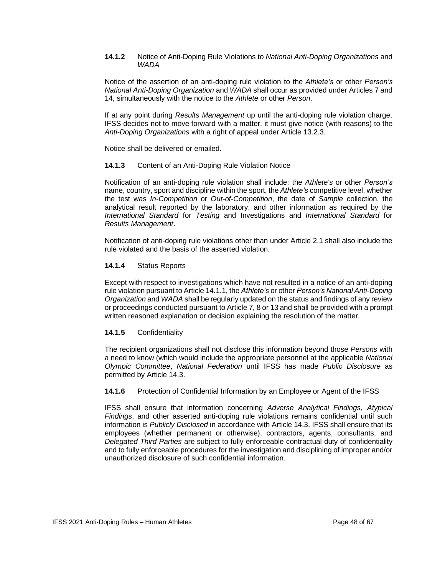#### **14.1.2** Notice of Anti-Doping Rule Violations to *National Anti-Doping Organizations* and *WADA*

Notice of the assertion of an anti-doping rule violation to the *Athlete's* or other *Person's National Anti-Doping Organization* and *WADA* shall occur as provided under Articles 7 and 14, simultaneously with the notice to the *Athlete* or other *Person*.

If at any point during *Results Management* up until the anti-doping rule violation charge, IFSS decides not to move forward with a matter, it must give notice (with reasons) to the *Anti-Doping Organizations* with a right of appeal under Article 13.2.3.

Notice shall be delivered or emailed.

## **14.1.3** Content of an Anti-Doping Rule Violation Notice

Notification of an anti-doping rule violation shall include: the *Athlete's* or other *Person's* name, country, sport and discipline within the sport, the *Athlete's* competitive level, whether the test was *In-Competition* or *Out-of-Competition*, the date of *Sample* collection, the analytical result reported by the laboratory, and other information as required by the *International Standard* for *Testing* and Investigations and *International Standard* for *Results Management*.

Notification of anti-doping rule violations other than under Article 2.1 shall also include the rule violated and the basis of the asserted violation.

## **14.1.4** Status Reports

Except with respect to investigations which have not resulted in a notice of an anti-doping rule violation pursuant to Article 14.1.1, the *Athlete's* or other *Person's National Anti-Doping Organization* and *WADA* shall be regularly updated on the status and findings of any review or proceedings conducted pursuant to Article 7, 8 or 13 and shall be provided with a prompt written reasoned explanation or decision explaining the resolution of the matter.

#### **14.1.5** Confidentiality

The recipient organizations shall not disclose this information beyond those *Persons* with a need to know (which would include the appropriate personnel at the applicable *National Olympic Committee*, *National Federation* until IFSS has made *Public Disclosure* as permitted by Article 14.3.

#### **14.1.6** Protection of Confidential Information by an Employee or Agent of the IFSS

IFSS shall ensure that information concerning *Adverse Analytical Findings*, *Atypical Findings*, and other asserted anti-doping rule violations remains confidential until such information is *Publicly Disclosed* in accordance with Article 14.3. IFSS shall ensure that its employees (whether permanent or otherwise), contractors, agents, consultants, and *Delegated Third Parties* are subject to fully enforceable contractual duty of confidentiality and to fully enforceable procedures for the investigation and disciplining of improper and/or unauthorized disclosure of such confidential information.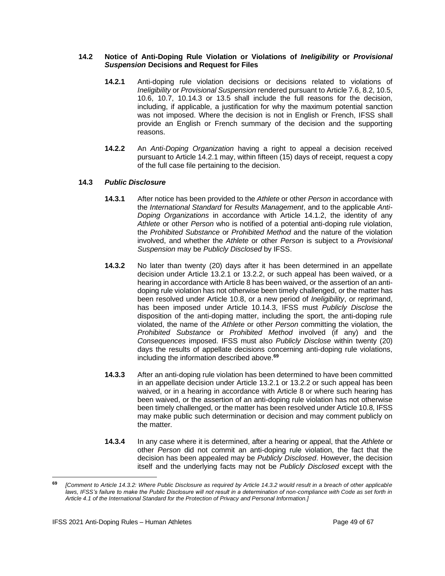#### **14.2 Notice of Anti-Doping Rule Violation or Violations of** *Ineligibility* **or** *Provisional Suspension* **Decisions and Request for Files**

- **14.2.1** Anti-doping rule violation decisions or decisions related to violations of *Ineligibility* or *Provisional Suspension* rendered pursuant to Article 7.6, 8.2, 10.5, 10.6, 10.7, 10.14.3 or 13.5 shall include the full reasons for the decision, including, if applicable, a justification for why the maximum potential sanction was not imposed. Where the decision is not in English or French, IFSS shall provide an English or French summary of the decision and the supporting reasons.
- **14.2.2** An *Anti-Doping Organization* having a right to appeal a decision received pursuant to Article 14.2.1 may, within fifteen (15) days of receipt, request a copy of the full case file pertaining to the decision.

## **14.3** *Public Disclosure*

- **14.3.1** After notice has been provided to the *Athlete* or other *Person* in accordance with the *International Standard* for *Results Management*, and to the applicable *Anti-Doping Organizations* in accordance with Article 14.1.2, the identity of any *Athlete* or other *Person* who is notified of a potential anti-doping rule violation, the *Prohibited Substance* or *Prohibited Method* and the nature of the violation involved, and whether the *Athlete* or other *Person* is subject to a *Provisional Suspension* may be *Publicly Disclosed* by IFSS.
- **14.3.2** No later than twenty (20) days after it has been determined in an appellate decision under Article 13.2.1 or 13.2.2, or such appeal has been waived, or a hearing in accordance with Article 8 has been waived, or the assertion of an antidoping rule violation has not otherwise been timely challenged, or the matter has been resolved under Article 10.8, or a new period of *Ineligibility*, or reprimand, has been imposed under Article 10.14.3, IFSS must *Publicly Disclose* the disposition of the anti-doping matter, including the sport, the anti-doping rule violated, the name of the *Athlete* or other *Person* committing the violation, the *Prohibited Substance* or *Prohibited Method* involved (if any) and the *Consequences* imposed. IFSS must also *Publicly Disclose* within twenty (20) days the results of appellate decisions concerning anti-doping rule violations, including the information described above. **69**
- **14.3.3** After an anti-doping rule violation has been determined to have been committed in an appellate decision under Article 13.2.1 or 13.2.2 or such appeal has been waived, or in a hearing in accordance with Article 8 or where such hearing has been waived, or the assertion of an anti-doping rule violation has not otherwise been timely challenged, or the matter has been resolved under Article 10.8, IFSS may make public such determination or decision and may comment publicly on the matter.
- **14.3.4** In any case where it is determined, after a hearing or appeal, that the *Athlete* or other *Person* did not commit an anti-doping rule violation, the fact that the decision has been appealed may be *Publicly Disclosed*. However, the decision itself and the underlying facts may not be *Publicly Disclosed* except with the

**<sup>69</sup>** *[Comment to Article 14.3.2: Where Public Disclosure as required by Article 14.3.2 would result in a breach of other applicable laws, IFSS's failure to make the Public Disclosure will not result in a determination of non-compliance with Code as set forth in Article 4.1 of the International Standard for the Protection of Privacy and Personal Information.]*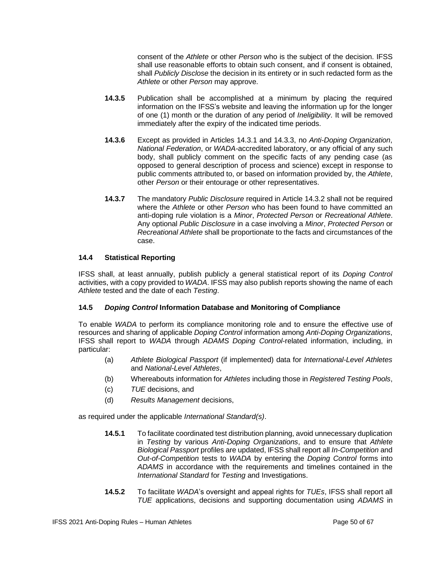consent of the *Athlete* or other *Person* who is the subject of the decision. IFSS shall use reasonable efforts to obtain such consent, and if consent is obtained, shall *Publicly Disclose* the decision in its entirety or in such redacted form as the *Athlete* or other *Person* may approve.

- **14.3.5** Publication shall be accomplished at a minimum by placing the required information on the IFSS's website and leaving the information up for the longer of one (1) month or the duration of any period of *Ineligibility*. It will be removed immediately after the expiry of the indicated time periods.
- **14.3.6** Except as provided in Articles 14.3.1 and 14.3.3, no *Anti-Doping Organization*, *National Federation*, or *WADA-*accredited laboratory, or any official of any such body, shall publicly comment on the specific facts of any pending case (as opposed to general description of process and science) except in response to public comments attributed to, or based on information provided by, the *Athlete*, other *Person* or their entourage or other representatives.
- **14.3.7** The mandatory *Public Disclosure* required in Article 14.3.2 shall not be required where the *Athlete* or other *Person* who has been found to have committed an anti-doping rule violation is a *Minor*, *Protected Person* or *Recreational Athlete*. Any optional *Public Disclosure* in a case involving a *Minor*, *Protected Person* or *Recreational Athlete* shall be proportionate to the facts and circumstances of the case.

## **14.4 Statistical Reporting**

IFSS shall, at least annually, publish publicly a general statistical report of its *Doping Control* activities, with a copy provided to *WADA*. IFSS may also publish reports showing the name of each *Athlete* tested and the date of each *Testing*.

## **14.5** *Doping Control* **Information Database and Monitoring of Compliance**

To enable *WADA* to perform its compliance monitoring role and to ensure the effective use of resources and sharing of applicable *Doping Control* information among *Anti-Doping Organizations*, IFSS shall report to *WADA* through *ADAMS Doping Control*-related information, including, in particular:

- (a) *Athlete Biological Passport* (if implemented) data for *International-Level Athletes* and *National-Level Athletes*,
- (b) Whereabouts information for *Athletes* including those in *Registered Testing Pools*,
- (c) *TUE* decisions, and
- (d) *Results Management* decisions,

as required under the applicable *International Standard(s)*.

- **14.5.1** To facilitate coordinated test distribution planning, avoid unnecessary duplication in *Testing* by various *Anti-Doping Organizations*, and to ensure that *Athlete Biological Passport* profiles are updated, IFSS shall report all *In-Competition* and *Out-of-Competition* tests to *WADA* by entering the *Doping Control* forms into *ADAMS* in accordance with the requirements and timelines contained in the *International Standard* for *Testing* and Investigations.
- **14.5.2** To facilitate *WADA*'s oversight and appeal rights for *TUEs*, IFSS shall report all *TUE* applications, decisions and supporting documentation using *ADAMS* in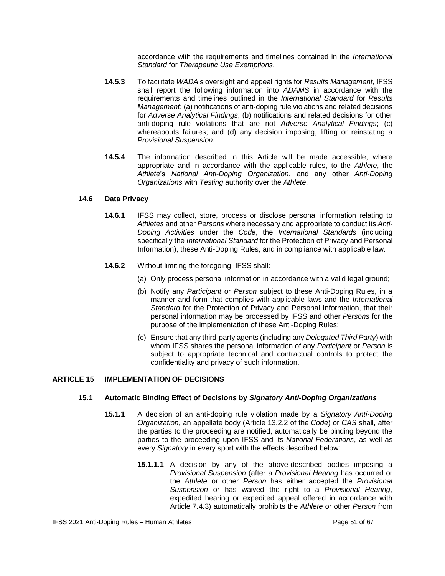accordance with the requirements and timelines contained in the *International Standard* for *Therapeutic Use Exemptions*.

- **14.5.3** To facilitate *WADA*'s oversight and appeal rights for *Results Management*, IFSS shall report the following information into *ADAMS* in accordance with the requirements and timelines outlined in the *International Standard* for *Results Management*: (a) notifications of anti-doping rule violations and related decisions for *Adverse Analytical Findings*; (b) notifications and related decisions for other anti-doping rule violations that are not *Adverse Analytical Findings*; (c) whereabouts failures; and (d) any decision imposing, lifting or reinstating a *Provisional Suspension*.
- **14.5.4** The information described in this Article will be made accessible, where appropriate and in accordance with the applicable rules, to the *Athlete*, the *Athlete*'s *National Anti-Doping Organization*, and any other *Anti-Doping Organizations* with *Testing* authority over the *Athlete*.

#### **14.6 Data Privacy**

- **14.6.1** IFSS may collect, store, process or disclose personal information relating to *Athletes* and other *Persons* where necessary and appropriate to conduct its *Anti-Doping Activities* under the *Code*, the *International Standards* (including specifically the *International Standard* for the Protection of Privacy and Personal Information), these Anti-Doping Rules, and in compliance with applicable law.
- **14.6.2** Without limiting the foregoing, IFSS shall:
	- (a) Only process personal information in accordance with a valid legal ground;
	- (b) Notify any *Participant* or *Person* subject to these Anti-Doping Rules, in a manner and form that complies with applicable laws and the *International Standard* for the Protection of Privacy and Personal Information, that their personal information may be processed by IFSS and other *Persons* for the purpose of the implementation of these Anti-Doping Rules;
	- (c) Ensure that any third-party agents (including any *Delegated Third Party*) with whom IFSS shares the personal information of any *Participant* or *Person* is subject to appropriate technical and contractual controls to protect the confidentiality and privacy of such information.

#### <span id="page-50-0"></span>**ARTICLE 15 IMPLEMENTATION OF DECISIONS**

#### **15.1 Automatic Binding Effect of Decisions by** *Signatory Anti-Doping Organizations*

- **15.1.1** A decision of an anti-doping rule violation made by a *Signatory Anti-Doping Organization*, an appellate body (Article 13.2.2 of the *Code*) or *CAS* shall, after the parties to the proceeding are notified, automatically be binding beyond the parties to the proceeding upon IFSS and its *National Federations*, as well as every *Signatory* in every sport with the effects described below:
	- **15.1.1.1** A decision by any of the above-described bodies imposing a *Provisional Suspension* (after a *Provisional Hearing* has occurred or the *Athlete* or other *Person* has either accepted the *Provisional Suspension* or has waived the right to a *Provisional Hearing*, expedited hearing or expedited appeal offered in accordance with Article 7.4.3) automatically prohibits the *Athlete* or other *Person* from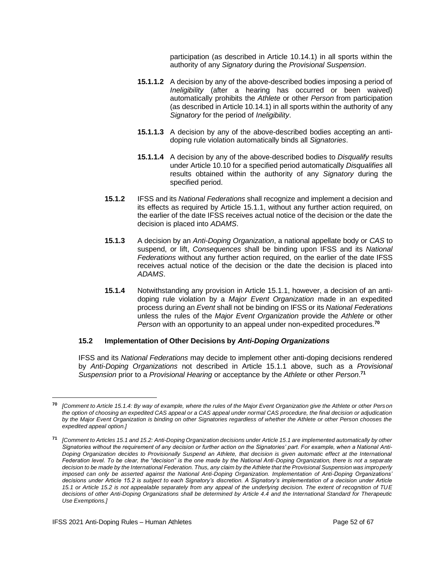participation (as described in Article 10.14.1) in all sports within the authority of any *Signatory* during the *Provisional Suspension*.

- **15.1.1.2** A decision by any of the above-described bodies imposing a period of *Ineligibility* (after a hearing has occurred or been waived) automatically prohibits the *Athlete* or other *Person* from participation (as described in Article 10.14.1) in all sports within the authority of any *Signatory* for the period of *Ineligibility*.
- **15.1.1.3** A decision by any of the above-described bodies accepting an antidoping rule violation automatically binds all *Signatories*.
- **15.1.1.4** A decision by any of the above-described bodies to *Disqualify* results under Article 10.10 for a specified period automatically *Disqualifies* all results obtained within the authority of any *Signatory* during the specified period.
- **15.1.2** IFSS and its *National Federations* shall recognize and implement a decision and its effects as required by Article 15.1.1, without any further action required, on the earlier of the date IFSS receives actual notice of the decision or the date the decision is placed into *ADAMS*.
- **15.1.3** A decision by an *Anti-Doping Organization*, a national appellate body or *CAS* to suspend, or lift, *Consequences* shall be binding upon IFSS and its *National Federations* without any further action required, on the earlier of the date IFSS receives actual notice of the decision or the date the decision is placed into *ADAMS*.
- **15.1.4** Notwithstanding any provision in Article 15.1.1, however, a decision of an antidoping rule violation by a *Major Event Organization* made in an expedited process during an *Event* shall not be binding on IFSS or its *National Federations* unless the rules of the *Major Event Organization* provide the *Athlete* or other *Person* with an opportunity to an appeal under non-expedited procedures. **70**

#### **15.2 Implementation of Other Decisions by** *Anti-Doping Organizations*

IFSS and its *National Federations* may decide to implement other anti-doping decisions rendered by *Anti-Doping Organizations* not described in Article 15.1.1 above, such as a *Provisional Suspension* prior to a *Provisional Hearing* or acceptance by the *Athlete* or other *Person*. **71**

**<sup>70</sup>** *[Comment to Article 15.1.4: By way of example, where the rules of the Major Event Organization give the Athlete or other Person the option of choosing an expedited CAS appeal or a CAS appeal under normal CAS procedure, the final decision or adjudication by the Major Event Organization is binding on other Signatories regardless of whether the Athlete or other Person chooses the expedited appeal option.]*

**<sup>71</sup>** *[Comment to Articles 15.1 and 15.2: Anti-Doping Organization decisions under Article 15.1 are implemented automatically by other Signatories without the requirement of any decision or further action on the Signatories' part. For example, when a National Anti-Doping Organization decides to Provisionally Suspend an Athlete, that decision is given automatic effect at the International Federation level. To be clear, the "decision" is the one made by the National Anti-Doping Organization, there is not a separate decision to be made by the International Federation. Thus, any claim by the Athlete that the Provisional Suspension was improperly imposed can only be asserted against the National Anti-Doping Organization. Implementation of Anti-Doping Organizations' decisions under Article 15.2 is subject to each Signatory's discretion. A Signatory's implementation of a decision under Article 15.1 or Article 15.2 is not appealable separately from any appeal of the underlying decision. The extent of recognition of TUE decisions of other Anti-Doping Organizations shall be determined by Article 4.4 and the International Standard for Therapeutic Use Exemptions.]*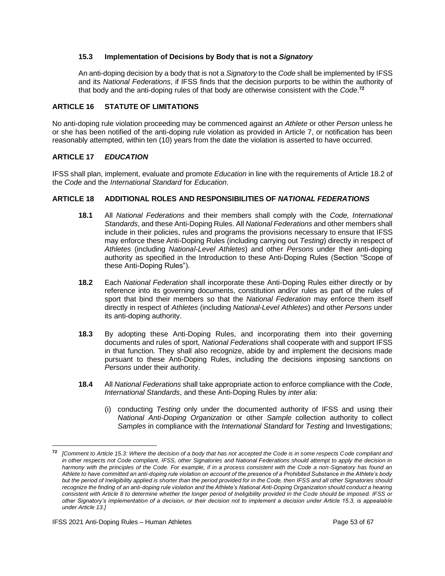## **15.3 Implementation of Decisions by Body that is not a** *Signatory*

An anti-doping decision by a body that is not a *Signatory* to the *Code* shall be implemented by IFSS and its *National Federations*, if IFSS finds that the decision purports to be within the authority of that body and the anti-doping rules of that body are otherwise consistent with the *Code*. **72**

## <span id="page-52-0"></span>**ARTICLE 16 STATUTE OF LIMITATIONS**

No anti-doping rule violation proceeding may be commenced against an *Athlete* or other *Person* unless he or she has been notified of the anti-doping rule violation as provided in Article 7, or notification has been reasonably attempted, within ten (10) years from the date the violation is asserted to have occurred.

## <span id="page-52-1"></span>**ARTICLE 17** *EDUCATION*

IFSS shall plan, implement, evaluate and promote *Education* in line with the requirements of Article 18.2 of the *Code* and the *International Standard* for *Education*.

## <span id="page-52-2"></span>**ARTICLE 18 ADDITIONAL ROLES AND RESPONSIBILITIES OF** *NATIONAL FEDERATIONS*

- **18.1** All *National Federations* and their members shall comply with the *Code, International Standards*, and these Anti-Doping Rules. All *National Federations* and other members shall include in their policies, rules and programs the provisions necessary to ensure that IFSS may enforce these Anti-Doping Rules (including carrying out *Testing*) directly in respect of *Athletes* (including *National-Level Athletes*) and other *Persons* under their anti-doping authority as specified in the Introduction to these Anti-Doping Rules (Section "Scope of these Anti-Doping Rules").
- **18.2** Each *National Federation* shall incorporate these Anti-Doping Rules either directly or by reference into its governing documents, constitution and/or rules as part of the rules of sport that bind their members so that the *National Federation* may enforce them itself directly in respect of *Athletes* (including *National-Level Athletes*) and other *Persons* under its anti-doping authority.
- **18.3** By adopting these Anti-Doping Rules, and incorporating them into their governing documents and rules of sport, *National Federations* shall cooperate with and support IFSS in that function*.* They shall also recognize, abide by and implement the decisions made pursuant to these Anti-Doping Rules, including the decisions imposing sanctions on *Persons* under their authority.
- **18.4** All *National Federations* shall take appropriate action to enforce compliance with the *Code*, *International Standards*, and these Anti-Doping Rules by *inter alia*:
	- (i) conducting *Testing* only under the documented authority of IFSS and using their *National Anti-Doping Organization* or other *Sample* collection authority to collect *Samples* in compliance with the *International Standard* for *Testing* and Investigations;

**<sup>72</sup>** *[Comment to Article 15.3: Where the decision of a body that has not accepted the Code is in some respects Code compliant and in other respects not Code compliant, IFSS, other Signatories and National Federations should attempt to apply the decision in*  harmony with the principles of the Code. For example, if in a process consistent with the Code a non-Signatory has found an *Athlete to have committed an anti-doping rule violation on account of the presence of a Prohibited Substance in the Athlete's body but the period of Ineligibility applied is shorter than the period provided for in the Code, then IFSS and all other Signatories should recognize the finding of an anti-doping rule violation and the Athlete's National Anti-Doping Organization should conduct a hearing consistent with Article 8 to determine whether the longer period of Ineligibility provided in the Code should be imposed. IFSS or other Signatory's implementation of a decision, or their decision not to implement a decision under Article 15.3, is appealable under Article 13.]*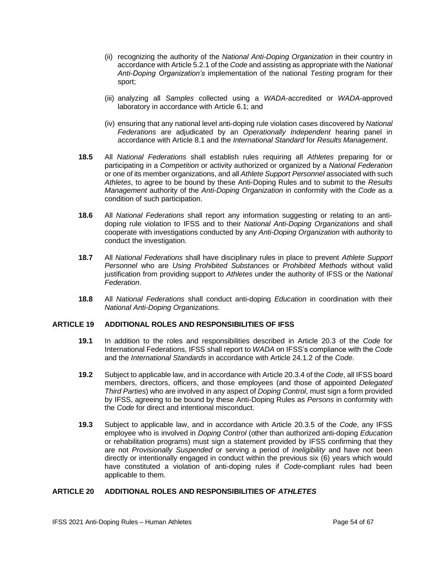- (ii) recognizing the authority of the *National Anti-Doping Organization* in their country in accordance with Article 5.2.1 of the *Code* and assisting as appropriate with the *National Anti-Doping Organization's* implementation of the national *Testing* program for their sport;
- (iii) analyzing all *Samples* collected using a *WADA*-accredited or *WADA*-approved laboratory in accordance with Article 6.1; and
- (iv) ensuring that any national level anti-doping rule violation cases discovered by *National Federations* are adjudicated by an *Operationally Independent* hearing panel in accordance with Article 8.1 and the *International Standard* for *Results Management*.
- **18.5** All *National Federations* shall establish rules requiring all *Athletes* preparing for or participating in a *Competition* or activity authorized or organized by a *National Federation* or one of its member organizations, and all *Athlete Support Personnel* associated with such *Athletes*, to agree to be bound by these Anti-Doping Rules and to submit to the *Results Management* authority of the *Anti-Doping Organization* in conformity with the *Code* as a condition of such participation.
- **18.6** All *National Federations* shall report any information suggesting or relating to an antidoping rule violation to IFSS and to their *National Anti-Doping Organizations* and shall cooperate with investigations conducted by any *Anti-Doping Organization* with authority to conduct the investigation.
- **18.7** All *National Federations* shall have disciplinary rules in place to prevent *Athlete Support Personnel* who are *Using Prohibited Substances* or *Prohibited Methods* without valid justification from providing support to *Athletes* under the authority of IFSS or the *National Federation*.
- **18.8** All *National Federations* shall conduct anti-doping *Education* in coordination with their *National Anti-Doping Organizations.*

## <span id="page-53-0"></span>**ARTICLE 19 ADDITIONAL ROLES AND RESPONSIBILITIES OF IFSS**

- **19.1** In addition to the roles and responsibilities described in Article 20.3 of the *Code* for International Federations, IFSS shall report to *WADA* on IFSS's compliance with the *Code* and the *International Standards* in accordance with Article 24.1.2 of the *Code*.
- **19.2** Subject to applicable law, and in accordance with Article 20.3.4 of the *Code*, all IFSS board members, directors, officers, and those employees (and those of appointed *Delegated Third Parties*) who are involved in any aspect of *Doping Control*, must sign a form provided by IFSS, agreeing to be bound by these Anti-Doping Rules as *Persons* in conformity with the *Code* for direct and intentional misconduct.
- **19.3** Subject to applicable law, and in accordance with Article 20.3.5 of the *Code*, any IFSS employee who is involved in *Doping Control* (other than authorized anti-doping *Education*  or rehabilitation programs) must sign a statement provided by IFSS confirming that they are not *Provisionally Suspended* or serving a period of *Ineligibility* and have not been directly or intentionally engaged in conduct within the previous six (6) years which would have constituted a violation of anti-doping rules if *Code*-compliant rules had been applicable to them.

## <span id="page-53-1"></span>**ARTICLE 20 ADDITIONAL ROLES AND RESPONSIBILITIES OF** *ATHLETES*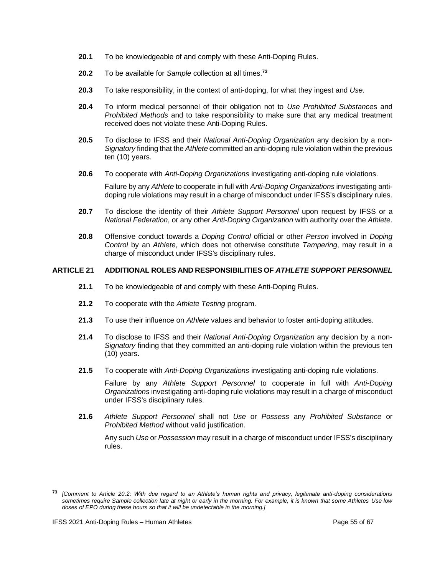- **20.1** To be knowledgeable of and comply with these Anti-Doping Rules.
- **20.2** To be available for *Sample* collection at all times.**<sup>73</sup>**
- **20.3** To take responsibility, in the context of anti-doping, for what they ingest and *Use*.
- **20.4** To inform medical personnel of their obligation not to *Use Prohibited Substance*s and *Prohibited Methods* and to take responsibility to make sure that any medical treatment received does not violate these Anti-Doping Rules.
- **20.5** To disclose to IFSS and their *National Anti-Doping Organization* any decision by a non-*Signatory* finding that the *Athlete* committed an anti-doping rule violation within the previous ten (10) years.
- **20.6** To cooperate with *Anti-Doping Organizations* investigating anti-doping rule violations.

Failure by any *Athlete* to cooperate in full with *Anti-Doping Organizations* investigating antidoping rule violations may result in a charge of misconduct under IFSS's disciplinary rules.

- **20.7** To disclose the identity of their *Athlete Support Personnel* upon request by IFSS or a *National Federation*, or any other *Anti-Doping Organization* with authority over the *Athlete*.
- **20.8** Offensive conduct towards a *Doping Control* official or other *Person* involved in *Doping Control* by an *Athlete*, which does not otherwise constitute *Tampering*, may result in a charge of misconduct under IFSS's disciplinary rules.

## <span id="page-54-0"></span>**ARTICLE 21 ADDITIONAL ROLES AND RESPONSIBILITIES OF** *ATHLETE SUPPORT PERSONNEL*

- **21.1** To be knowledgeable of and comply with these Anti-Doping Rules.
- **21.2** To cooperate with the *Athlete Testing* program.
- **21.3** To use their influence on *Athlete* values and behavior to foster anti-doping attitudes.
- **21.4** To disclose to IFSS and their *National Anti-Doping Organization* any decision by a non-*Signatory* finding that they committed an anti-doping rule violation within the previous ten (10) years.
- **21.5** To cooperate with *Anti-Doping Organizations* investigating anti-doping rule violations.

Failure by any *Athlete Support Personnel* to cooperate in full with *Anti-Doping Organizations* investigating anti-doping rule violations may result in a charge of misconduct under IFSS's disciplinary rules.

**21.6** *Athlete Support Personnel* shall not *Use* or *Possess* any *Prohibited Substance* or *Prohibited Method* without valid justification.

Any such *Use* or *Possession* may result in a charge of misconduct under IFSS's disciplinary rules.

**<sup>73</sup>** *[Comment to Article 20.2: With due regard to an Athlete's human rights and privacy, legitimate anti-doping considerations sometimes require Sample collection late at night or early in the morning. For example, it is known that some Athletes Use low doses of EPO during these hours so that it will be undetectable in the morning.]*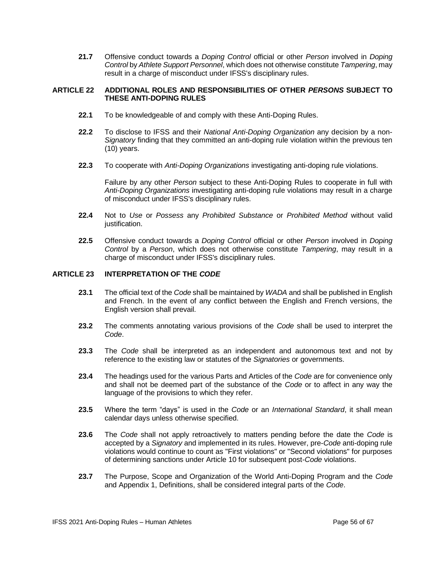**21.7** Offensive conduct towards a *Doping Control* official or other *Person* involved in *Doping Control* by *Athlete Support Personnel*, which does not otherwise constitute *Tampering*, may result in a charge of misconduct under IFSS's disciplinary rules.

#### <span id="page-55-0"></span>**ARTICLE 22 ADDITIONAL ROLES AND RESPONSIBILITIES OF OTHER** *PERSONS* **SUBJECT TO THESE ANTI-DOPING RULES**

- **22.1** To be knowledgeable of and comply with these Anti-Doping Rules.
- **22.2** To disclose to IFSS and their *National Anti-Doping Organization* any decision by a non-*Signatory* finding that they committed an anti-doping rule violation within the previous ten (10) years.
- **22.3** To cooperate with *Anti-Doping Organizations* investigating anti-doping rule violations.

Failure by any other *Person* subject to these Anti-Doping Rules to cooperate in full with *Anti-Doping Organizations* investigating anti-doping rule violations may result in a charge of misconduct under IFSS's disciplinary rules.

- **22.4** Not to *Use* or *Possess* any *Prohibited Substance* or *Prohibited Method* without valid justification.
- **22.5** Offensive conduct towards a *Doping Control* official or other *Person* involved in *Doping Control* by a *Person*, which does not otherwise constitute *Tampering*, may result in a charge of misconduct under IFSS's disciplinary rules.

## <span id="page-55-1"></span>**ARTICLE 23 INTERPRETATION OF THE** *CODE*

- **23.1** The official text of the *Code* shall be maintained by *WADA* and shall be published in English and French. In the event of any conflict between the English and French versions, the English version shall prevail.
- **23.2** The comments annotating various provisions of the *Code* shall be used to interpret the *Code*.
- **23.3** The *Code* shall be interpreted as an independent and autonomous text and not by reference to the existing law or statutes of the *Signatories* or governments.
- **23.4** The headings used for the various Parts and Articles of the *Code* are for convenience only and shall not be deemed part of the substance of the *Code* or to affect in any way the language of the provisions to which they refer.
- **23.5** Where the term "days" is used in the *Code* or an *International Standard*, it shall mean calendar days unless otherwise specified.
- **23.6** The *Code* shall not apply retroactively to matters pending before the date the *Code* is accepted by a *Signatory* and implemented in its rules. However, pre-*Code* anti-doping rule violations would continue to count as "First violations" or "Second violations" for purposes of determining sanctions under Article 10 for subsequent post-*Code* violations.
- **23.7** The Purpose, Scope and Organization of the World Anti-Doping Program and the *Code*  and Appendix 1, Definitions, shall be considered integral parts of the *Code*.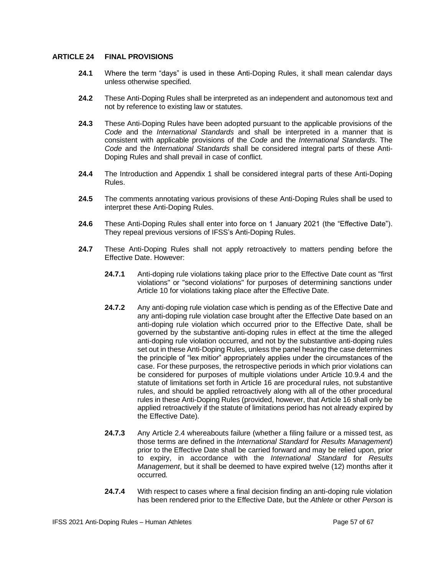#### <span id="page-56-0"></span>**ARTICLE 24 FINAL PROVISIONS**

- **24.1** Where the term "days" is used in these Anti-Doping Rules, it shall mean calendar days unless otherwise specified.
- **24.2** These Anti-Doping Rules shall be interpreted as an independent and autonomous text and not by reference to existing law or statutes.
- **24.3** These Anti-Doping Rules have been adopted pursuant to the applicable provisions of the *Code* and the *International Standards* and shall be interpreted in a manner that is consistent with applicable provisions of the *Code* and the *International Standards*. The *Code* and the *International Standards* shall be considered integral parts of these Anti-Doping Rules and shall prevail in case of conflict.
- **24.4** The Introduction and Appendix 1 shall be considered integral parts of these Anti-Doping Rules.
- **24.5** The comments annotating various provisions of these Anti-Doping Rules shall be used to interpret these Anti-Doping Rules.
- **24.6** These Anti-Doping Rules shall enter into force on 1 January 2021 (the "Effective Date"). They repeal previous versions of IFSS's Anti-Doping Rules.
- **24.7** These Anti-Doping Rules shall not apply retroactively to matters pending before the Effective Date. However:
	- **24.7.1** Anti-doping rule violations taking place prior to the Effective Date count as "first violations" or "second violations" for purposes of determining sanctions under Article 10 for violations taking place after the Effective Date.
	- **24.7.2** Any anti-doping rule violation case which is pending as of the Effective Date and any anti-doping rule violation case brought after the Effective Date based on an anti-doping rule violation which occurred prior to the Effective Date, shall be governed by the substantive anti-doping rules in effect at the time the alleged anti-doping rule violation occurred, and not by the substantive anti-doping rules set out in these Anti-Doping Rules, unless the panel hearing the case determines the principle of "lex mitior" appropriately applies under the circumstances of the case. For these purposes, the retrospective periods in which prior violations can be considered for purposes of multiple violations under Article 10.9.4 and the statute of limitations set forth in Article 16 are procedural rules, not substantive rules, and should be applied retroactively along with all of the other procedural rules in these Anti-Doping Rules (provided, however, that Article 16 shall only be applied retroactively if the statute of limitations period has not already expired by the Effective Date).
	- **24.7.3** Any Article 2.4 whereabouts failure (whether a filing failure or a missed test, as those terms are defined in the *International Standard* for *Results Management*) prior to the Effective Date shall be carried forward and may be relied upon, prior to expiry, in accordance with the *International Standard* for *Results Management*, but it shall be deemed to have expired twelve (12) months after it occurred*.*
	- **24.7.4** With respect to cases where a final decision finding an anti-doping rule violation has been rendered prior to the Effective Date, but the *Athlete* or other *Person* is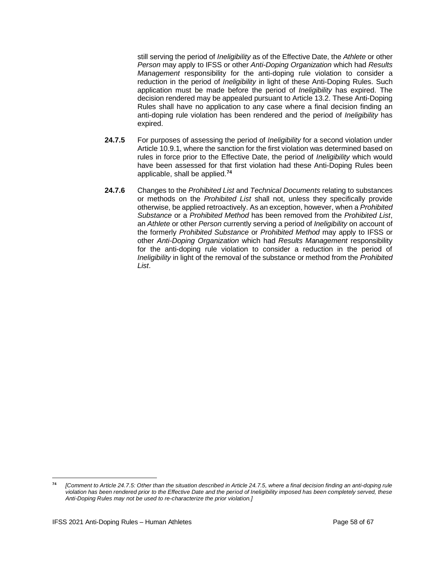still serving the period of *Ineligibility* as of the Effective Date, the *Athlete* or other *Person* may apply to IFSS or other *Anti-Doping Organization* which had *Results Management* responsibility for the anti-doping rule violation to consider a reduction in the period of *Ineligibility* in light of these Anti-Doping Rules. Such application must be made before the period of *Ineligibility* has expired. The decision rendered may be appealed pursuant to Article 13.2. These Anti-Doping Rules shall have no application to any case where a final decision finding an anti-doping rule violation has been rendered and the period of *Ineligibility* has expired.

- **24.7.5** For purposes of assessing the period of *Ineligibility* for a second violation under Article 10.9.1, where the sanction for the first violation was determined based on rules in force prior to the Effective Date, the period of *Ineligibility* which would have been assessed for that first violation had these Anti-Doping Rules been applicable, shall be applied. **74**
- **24.7.6** Changes to the *Prohibited List* and *Technical Documents* relating to substances or methods on the *Prohibited List* shall not, unless they specifically provide otherwise, be applied retroactively. As an exception, however, when a *Prohibited Substance* or a *Prohibited Method* has been removed from the *Prohibited List*, an *Athlete* or other *Person* currently serving a period of *Ineligibility* on account of the formerly *Prohibited Substance* or *Prohibited Method* may apply to IFSS or other *Anti-Doping Organization* which had *Results Management* responsibility for the anti-doping rule violation to consider a reduction in the period of *Ineligibility* in light of the removal of the substance or method from the *Prohibited List*.

**<sup>74</sup>** *[Comment to Article 24.7.5: Other than the situation described in Article 24.7.5, where a final decision finding an anti-doping rule violation has been rendered prior to the Effective Date and the period of Ineligibility imposed has been completely served, these Anti-Doping Rules may not be used to re-characterize the prior violation.]*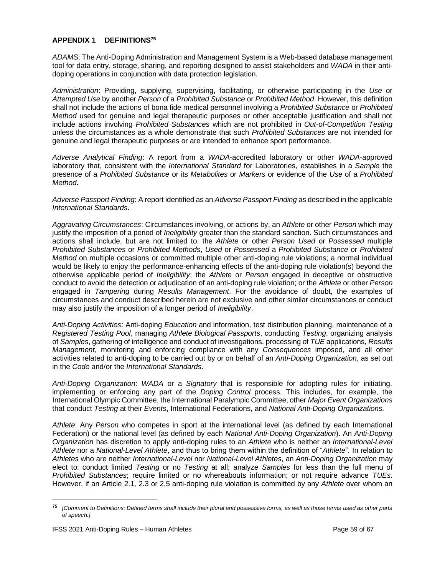## <span id="page-58-0"></span>**APPENDIX 1 DEFINITIONS<sup>75</sup>**

*ADAMS*: The Anti-Doping Administration and Management System is a Web-based database management tool for data entry, storage, sharing, and reporting designed to assist stakeholders and *WADA* in their antidoping operations in conjunction with data protection legislation.

*Administration*: Providing, supplying, supervising, facilitating, or otherwise participating in the *Use* or *Attempted Use* by another *Person* of a *Prohibited Substance* or *Prohibited Method*. However, this definition shall not include the actions of bona fide medical personnel involving a *Prohibited Substance* or *Prohibited Method* used for genuine and legal therapeutic purposes or other acceptable justification and shall not include actions involving *Prohibited Substances* which are not prohibited in *Out-of-Competition Testing* unless the circumstances as a whole demonstrate that such *Prohibited Substances* are not intended for genuine and legal therapeutic purposes or are intended to enhance sport performance.

*Adverse Analytical Finding*: A report from a *WADA*-accredited laboratory or other *WADA*-approved laboratory that, consistent with the *International Standard* for Laboratories, establishes in a *Sample* the presence of a *Prohibited Substance* or its *Metabolites* or *Markers* or evidence of the *Use* of a *Prohibited Method*.

*Adverse Passport Finding*: A report identified as an *Adverse Passport Finding* as described in the applicable *International Standards*.

*Aggravating Circumstances*: Circumstances involving, or actions by, an *Athlete* or other *Person* which may justify the imposition of a period of *Ineligibility* greater than the standard sanction. Such circumstances and actions shall include, but are not limited to: the *Athlete* or other *Person Used* or *Possessed* multiple *Prohibited Substances* or *Prohibited Methods*, *Used* or *Possessed* a *Prohibited Substance* or *Prohibited Method* on multiple occasions or committed multiple other anti-doping rule violations; a normal individual would be likely to enjoy the performance-enhancing effects of the anti-doping rule violation(s) beyond the otherwise applicable period of *Ineligibility*; the *Athlete* or *Person* engaged in deceptive or obstructive conduct to avoid the detection or adjudication of an anti-doping rule violation; or the *Athlete* or other *Person* engaged in *Tampering* during *Results Management*. For the avoidance of doubt, the examples of circumstances and conduct described herein are not exclusive and other similar circumstances or conduct may also justify the imposition of a longer period of *Ineligibility*.

*Anti-Doping Activities*: Anti-doping *Education* and information, test distribution planning, maintenance of a *Registered Testing Pool*, managing *Athlete Biological Passports*, conducting *Testing*, organizing analysis of *Samples*, gathering of intelligence and conduct of investigations, processing of *TUE* applications, *Results Management*, monitoring and enforcing compliance with any *Consequences* imposed, and all other activities related to anti-doping to be carried out by or on behalf of an *Anti-Doping Organization*, as set out in the *Code* and/or the *International Standards*.

*Anti-Doping Organization*: *WADA* or a *Signatory* that is responsible for adopting rules for initiating, implementing or enforcing any part of the *Doping Control* process. This includes, for example, the International Olympic Committee, the International Paralympic Committee, other *Major Event Organizations* that conduct *Testing* at their *Events*, International Federations, and *National Anti-Doping Organizations.*

*Athlete*: Any *Person* who competes in sport at the international level (as defined by each International Federation) or the national level (as defined by each *National Anti-Doping Organization*). An *Anti-Doping Organization* has discretion to apply anti-doping rules to an *Athlete* who is neither an *International-Level Athlete* nor a *National-Level Athlete*, and thus to bring them within the definition of "*Athlete*". In relation to *Athletes* who are neither *International*-*Level* nor *National-Level Athletes*, an *Anti-Doping Organization* may elect to: conduct limited *Testing* or no *Testing* at all; analyze *Samples* for less than the full menu of *Prohibited Substances*; require limited or no whereabouts information; or not require advance *TUEs*. However, if an Article 2.1, 2.3 or 2.5 anti-doping rule violation is committed by any *Athlete* over whom an

**<sup>75</sup>** *[Comment to Definitions: Defined terms shall include their plural and possessive forms, as well as those terms used as other parts of speech.]*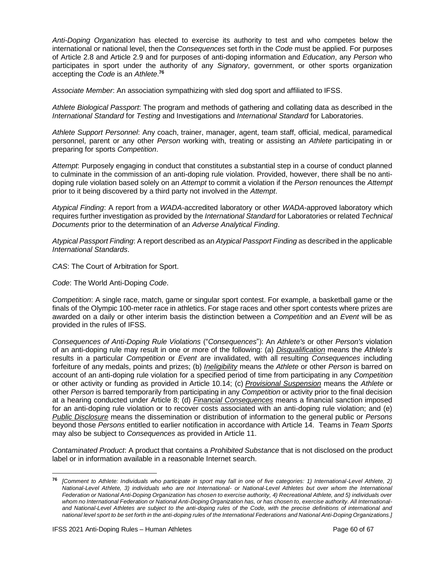*Anti-Doping Organization* has elected to exercise its authority to test and who competes below the international or national level, then the *Consequences* set forth in the *Code* must be applied. For purposes of Article 2.8 and Article 2.9 and for purposes of anti-doping information and *Education*, any *Person* who participates in sport under the authority of any *Signatory*, government, or other sports organization accepting the *Code* is an *Athlete*. **76**

*Associate Member*: An association sympathizing with sled dog sport and affiliated to IFSS.

*Athlete Biological Passport*: The program and methods of gathering and collating data as described in the *International Standard* for *Testing* and Investigations and *International Standard* for Laboratories.

*Athlete Support Personnel*: Any coach, trainer, manager, agent, team staff, official, medical, paramedical personnel, parent or any other *Person* working with, treating or assisting an *Athlete* participating in or preparing for sports *Competition*.

*Attempt*: Purposely engaging in conduct that constitutes a substantial step in a course of conduct planned to culminate in the commission of an anti-doping rule violation. Provided, however, there shall be no antidoping rule violation based solely on an *Attempt* to commit a violation if the *Person* renounces the *Attempt* prior to it being discovered by a third party not involved in the *Attempt*.

*Atypical Finding*: A report from a *WADA*-accredited laboratory or other *WADA*-approved laboratory which requires further investigation as provided by the *International Standard* for Laboratories or related *Technical Documents* prior to the determination of an *Adverse Analytical Finding*.

*Atypical Passport Finding*: A report described as an *Atypical Passport Finding* as described in the applicable *International Standards*.

*CAS*: The Court of Arbitration for Sport.

*Code*: The World Anti-Doping *Code*.

*Competition*: A single race, match, game or singular sport contest. For example, a basketball game or the finals of the Olympic 100-meter race in athletics. For stage races and other sport contests where prizes are awarded on a daily or other interim basis the distinction between a *Competition* and an *Event* will be as provided in the rules of IFSS.

*Consequences of Anti-Doping Rule Violations* ("*Consequences*"): An *Athlete's* or other *Person's* violation of an anti-doping rule may result in one or more of the following: (a) *Disqualification* means the *Athlete's* results in a particular *Competition* or *Event* are invalidated, with all resulting *Consequences* including forfeiture of any medals, points and prizes; (b) *Ineligibility* means the *Athlete* or other *Person* is barred on account of an anti-doping rule violation for a specified period of time from participating in any *Competition* or other activity or funding as provided in Article 10.14; (c) *Provisional Suspension* means the *Athlete* or other *Person* is barred temporarily from participating in any *Competition* or activity prior to the final decision at a hearing conducted under Article 8; (d) *Financial Consequences* means a financial sanction imposed for an anti-doping rule violation or to recover costs associated with an anti-doping rule violation; and (e) *Public Disclosure* means the dissemination or distribution of information to the general public or *Persons* beyond those *Persons* entitled to earlier notification in accordance with Article 14. Teams in *Team Sports* may also be subject to *Consequences* as provided in Article 11.

*Contaminated Product*: A product that contains a *Prohibited Substance* that is not disclosed on the product label or in information available in a reasonable Internet search.

**<sup>76</sup>** *[Comment to Athlete: Individuals who participate in sport may fall in one of five categories: 1) International-Level Athlete, 2) National-Level Athlete, 3) individuals who are not International- or National-Level Athletes but over whom the International Federation or National Anti-Doping Organization has chosen to exercise authority, 4) Recreational Athlete, and 5) individuals over whom no International Federation or National Anti-Doping Organization has, or has chosen to, exercise authority. All Internationaland National-Level Athletes are subject to the anti-doping rules of the Code, with the precise definitions of international and national level sport to be set forth in the anti-doping rules of the International Federations and National Anti-Doping Organizations.]*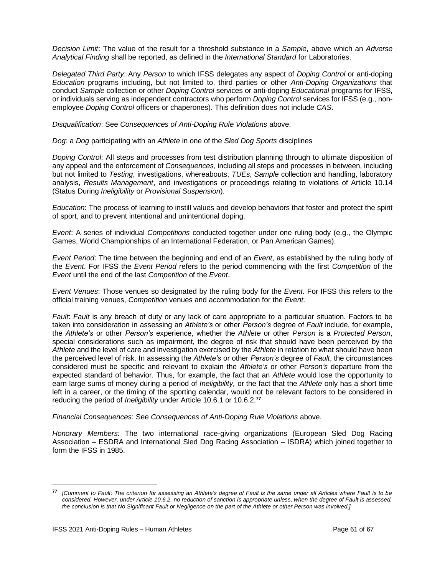*Decision Limit*: The value of the result for a threshold substance in a *Sample*, above which an *Adverse Analytical Finding* shall be reported, as defined in the *International Standard* for Laboratories.

*Delegated Third Party*: Any *Person* to which IFSS delegates any aspect of *Doping Control* or anti-doping *Education* programs including, but not limited to, third parties or other *Anti-Doping Organizations* that conduct *Sample* collection or other *Doping Control* services or anti-doping *Educational* programs for IFSS, or individuals serving as independent contractors who perform *Doping Control* services for IFSS (e.g., nonemployee *Doping Control* officers or chaperones). This definition does not include *CAS*.

*Disqualification*: See *Consequences of Anti-Doping Rule Violations* above.

*Dog:* a *Dog* participating with an *Athlete* in one of the *Sled Dog Sports* disciplines

*Doping Control*: All steps and processes from test distribution planning through to ultimate disposition of any appeal and the enforcement of *Consequences*, including all steps and processes in between, including but not limited to *Testing*, investigations, whereabouts, *TUEs*, *Sample* collection and handling, laboratory analysis, *Results Management*, and investigations or proceedings relating to violations of Article 10.14 (Status During *Ineligibility* or *Provisional Suspension*).

*Education*: The process of learning to instill values and develop behaviors that foster and protect the spirit of sport, and to prevent intentional and unintentional doping.

*Event*: A series of individual *Competitions* conducted together under one ruling body (e.g., the Olympic Games, World Championships of an International Federation, or Pan American Games).

*Event Period*: The time between the beginning and end of an *Event*, as established by the ruling body of the *Event*. For IFSS the *Event Period* refers to the period commencing with the first *Competition* of the *Event* until the end of the last *Competition* of the *Event*.

*Event Venues*: Those venues so designated by the ruling body for the *Event*. For IFSS this refers to the official training venues, *Competition* venues and accommodation for the *Event.*

*Fault*: *Fault* is any breach of duty or any lack of care appropriate to a particular situation. Factors to be taken into consideration in assessing an *Athlete's* or other *Person's* degree of *Fault* include, for example, the *Athlete's* or other *Person's* experience, whether the *Athlete* or other *Person* is a *Protected Person*, special considerations such as impairment, the degree of risk that should have been perceived by the *Athlete* and the level of care and investigation exercised by the *Athlete* in relation to what should have been the perceived level of risk. In assessing the *Athlete's* or other *Person's* degree of *Fault*, the circumstances considered must be specific and relevant to explain the *Athlete's* or other *Person's* departure from the expected standard of behavior. Thus, for example, the fact that an *Athlete* would lose the opportunity to earn large sums of money during a period of *Ineligibility,* or the fact that the *Athlete* only has a short time left in a career, or the timing of the sporting calendar, would not be relevant factors to be considered in reducing the period of *Ineligibility* under Article 10.6.1 or 10.6.2.**<sup>77</sup>**

*Financial Consequences*: See *Consequences of Anti-Doping Rule Violations* above.

*Honorary Members:* The two international race-giving organizations (European Sled Dog Racing Association – ESDRA and International Sled Dog Racing Association – ISDRA) which joined together to form the IFSS in 1985.

**<sup>77</sup>** *[Comment to Fault: The criterion for assessing an Athlete's degree of Fault is the same under all Articles where Fault is to be considered. However, under Article 10.6.2, no reduction of sanction is appropriate unless, when the degree of Fault is assessed, the conclusion is that No Significant Fault or Negligence on the part of the Athlete or other Person was involved.]*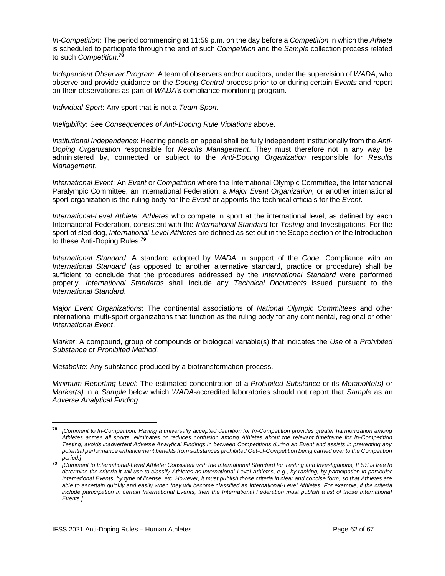*In-Competition*: The period commencing at 11:59 p.m. on the day before a *Competition* in which the *Athlete* is scheduled to participate through the end of such *Competition* and the *Sample* collection process related to such *Competition*. **78**

*Independent Observer Program*: A team of observers and/or auditors, under the supervision of *WADA*, who observe and provide guidance on the *Doping Control* process prior to or during certain *Events* and report on their observations as part of *WADA's* compliance monitoring program.

*Individual Sport*: Any sport that is not a *Team Sport.*

*Ineligibility*: See *Consequences of Anti-Doping Rule Violations* above.

*Institutional Independence*: Hearing panels on appeal shall be fully independent institutionally from the *Anti-Doping Organization* responsible for *Results Management*. They must therefore not in any way be administered by, connected or subject to the *Anti-Doping Organization* responsible for *Results Management*.

*International Event*: An *Event* or *Competition* where the International Olympic Committee, the International Paralympic Committee, an International Federation, a *Major Event Organization,* or another international sport organization is the ruling body for the *Event* or appoints the technical officials for the *Event.*

*International-Level Athlete*: *Athletes* who compete in sport at the international level, as defined by each International Federation, consistent with the *International Standard* for *Testing* and Investigations. For the sport of sled dog, *International-Level Athletes* are defined as set out in the Scope section of the Introduction to these Anti-Doping Rules.**<sup>79</sup>**

*International Standard*: A standard adopted by *WADA* in support of the *Code*. Compliance with an *International Standard* (as opposed to another alternative standard, practice or procedure) shall be sufficient to conclude that the procedures addressed by the *International Standard* were performed properly. *International Standards* shall include any *Technical Documents* issued pursuant to the *International Standard*.

*Major Event Organizations*: The continental associations of *National Olympic Committees* and other international multi-sport organizations that function as the ruling body for any continental, regional or other *International Event*.

*Marker*: A compound, group of compounds or biological variable(s) that indicates the *Use* of a *Prohibited Substance* or *Prohibited Method.*

*Metabolite*: Any substance produced by a biotransformation process.

*Minimum Reporting Level*: The estimated concentration of a *Prohibited Substance* or its *Metabolite(s)* or *Marker(s)* in a *Sample* below which *WADA*-accredited laboratories should not report that *Sample* as an *Adverse Analytical Finding*.

**<sup>78</sup>** *[Comment to In-Competition: Having a universally accepted definition for In-Competition provides greater harmonization among Athletes across all sports, eliminates or reduces confusion among Athletes about the relevant timeframe for In-Competition Testing, avoids inadvertent Adverse Analytical Findings in between Competitions during an Event and assists in preventing any potential performance enhancement benefits from substances prohibited Out-of-Competition being carried over to the Competition period.]*

**<sup>79</sup>** *[Comment to International-Level Athlete: Consistent with the International Standard for Testing and Investigations, IFSS is free to determine the criteria it will use to classify Athletes as International-Level Athletes, e.g., by ranking, by participation in particular International Events, by type of license, etc. However, it must publish those criteria in clear and concise form, so that Athletes are able to ascertain quickly and easily when they will become classified as International-Level Athletes. For example, if the criteria*  include participation in certain International Events, then the International Federation must publish a list of those International *Events.]*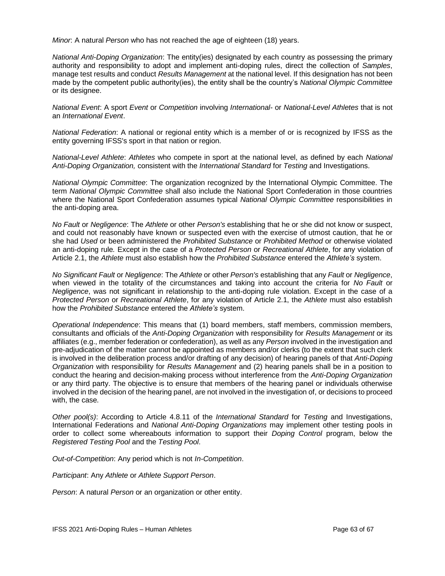*Minor*: A natural *Person* who has not reached the age of eighteen (18) years.

*National Anti-Doping Organization*: The entity(ies) designated by each country as possessing the primary authority and responsibility to adopt and implement anti-doping rules, direct the collection of *Samples*, manage test results and conduct *Results Management* at the national level. If this designation has not been made by the competent public authority(ies), the entity shall be the country's *National Olympic Committee* or its designee.

*National Event*: A sport *Event* or *Competition* involving *International-* or *National-Level Athletes* that is not an *International Event*.

*National Federation*: A national or regional entity which is a member of or is recognized by IFSS as the entity governing IFSS's sport in that nation or region.

*National-Level Athlete*: *Athletes* who compete in sport at the national level, as defined by each *National Anti-Doping Organization,* consistent with the *International Standard* for *Testing* and Investigations.

*National Olympic Committee*: The organization recognized by the International Olympic Committee. The term *National Olympic Committee* shall also include the National Sport Confederation in those countries where the National Sport Confederation assumes typical *National Olympic Committee* responsibilities in the anti-doping area.

*No Fault* or *Negligence*: The *Athlete* or other *Person's* establishing that he or she did not know or suspect, and could not reasonably have known or suspected even with the exercise of utmost caution, that he or she had *Used* or been administered the *Prohibited Substance* or *Prohibited Method* or otherwise violated an anti-doping rule*.* Except in the case of a *Protected Person* or *Recreational Athlete*, for any violation of Article 2.1, the *Athlete* must also establish how the *Prohibited Substance* entered the *Athlete's* system.

*No Significant Fault* or *Negligence*: The *Athlete* or other *Person's* establishing that any *Fault* or *Negligence*, when viewed in the totality of the circumstances and taking into account the criteria for *No Fault* or *Negligence*, was not significant in relationship to the anti-doping rule violation. Except in the case of a *Protected Person* or *Recreational Athlete*, for any violation of Article 2.1, the *Athlete* must also establish how the *Prohibited Substance* entered the *Athlete's* system.

*Operational Independence*: This means that (1) board members, staff members, commission members, consultants and officials of the *Anti-Doping Organization* with responsibility for *Results Management* or its affiliates (e.g., member federation or confederation), as well as any *Person* involved in the investigation and pre-adjudication of the matter cannot be appointed as members and/or clerks (to the extent that such clerk is involved in the deliberation process and/or drafting of any decision) of hearing panels of that *Anti-Doping Organization* with responsibility for *Results Management* and (2) hearing panels shall be in a position to conduct the hearing and decision-making process without interference from the *Anti-Doping Organization* or any third party. The objective is to ensure that members of the hearing panel or individuals otherwise involved in the decision of the hearing panel, are not involved in the investigation of, or decisions to proceed with, the case.

*Other pool(s)*: According to Article 4.8.11 of the *International Standard* for *Testing* and Investigations, International Federations and *National Anti-Doping Organizations* may implement other testing pools in order to collect some whereabouts information to support their *Doping Control* program, below the *Registered Testing Pool* and the *Testing Pool*.

*Out-of-Competition*: Any period which is not *In-Competition*.

*Participant*: Any *Athlete* or *Athlete Support Person*.

*Person*: A natural *Person* or an organization or other entity.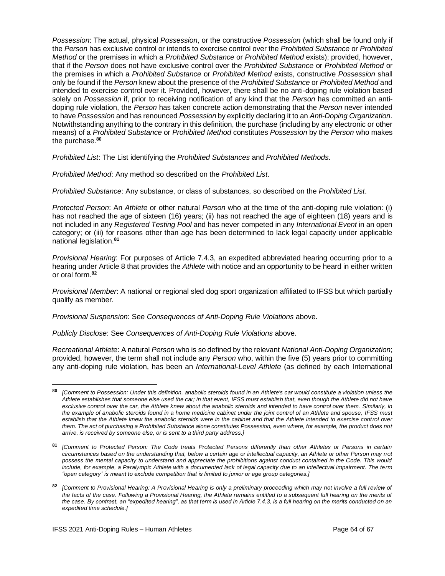*Possession*: The actual, physical *Possession*, or the constructive *Possession* (which shall be found only if the *Person* has exclusive control or intends to exercise control over the *Prohibited Substance* or *Prohibited Method* or the premises in which a *Prohibited Substance* or *Prohibited Method* exists); provided, however, that if the *Person* does not have exclusive control over the *Prohibited Substance* or *Prohibited Method* or the premises in which a *Prohibited Substance* or *Prohibited Method* exists, constructive *Possession* shall only be found if the *Person* knew about the presence of the *Prohibited Substance* or *Prohibited Method* and intended to exercise control over it. Provided, however, there shall be no anti-doping rule violation based solely on *Possession* if, prior to receiving notification of any kind that the *Person* has committed an antidoping rule violation, the *Person* has taken concrete action demonstrating that the *Person* never intended to have *Possession* and has renounced *Possession* by explicitly declaring it to an *Anti-Doping Organization*. Notwithstanding anything to the contrary in this definition, the purchase (including by any electronic or other means) of a *Prohibited Substance* or *Prohibited Method* constitutes *Possession* by the *Person* who makes the purchase.**<sup>80</sup>**

*Prohibited List*: The List identifying the *Prohibited Substances* and *Prohibited Methods*.

*Prohibited Method*: Any method so described on the *Prohibited List*.

*Prohibited Substance*: Any substance, or class of substances, so described on the *Prohibited List*.

*Protected Person*: An *Athlete* or other natural *Person* who at the time of the anti-doping rule violation: (i) has not reached the age of sixteen (16) years; (ii) has not reached the age of eighteen (18) years and is not included in any *Registered Testing Pool* and has never competed in any *International Event* in an open category; or (iii) for reasons other than age has been determined to lack legal capacity under applicable national legislation.**<sup>81</sup>**

*Provisional Hearing*: For purposes of Article 7.4.3, an expedited abbreviated hearing occurring prior to a hearing under Article 8 that provides the *Athlete* with notice and an opportunity to be heard in either written or oral form.**<sup>82</sup>**

*Provisional Member*: A national or regional sled dog sport organization affiliated to IFSS but which partially qualify as member.

*Provisional Suspension*: See *Consequences of Anti-Doping Rule Violations* above.

*Publicly Disclose*: See *Consequences of Anti-Doping Rule Violations* above.

*Recreational Athlete*: A natural *Person* who is so defined by the relevant *National Anti-Doping Organization*; provided, however, the term shall not include any *Person* who, within the five (5) years prior to committing any anti-doping rule violation, has been an *International-Level Athlete* (as defined by each International

**<sup>80</sup>** *[Comment to Possession: Under this definition, anabolic steroids found in an Athlete's car would constitute a violation unless the Athlete establishes that someone else used the car; in that event, IFSS must establish that, even though the Athlete did not have exclusive control over the car, the Athlete knew about the anabolic steroids and intended to have control over them. Similarly, in the example of anabolic steroids found in a home medicine cabinet under the joint control of an Athlete and spouse, IFSS must establish that the Athlete knew the anabolic steroids were in the cabinet and that the Athlete intended to exercise control over them. The act of purchasing a Prohibited Substance alone constitutes Possession, even where, for example, the product does not arrive, is received by someone else, or is sent to a third party address.]*

**<sup>81</sup>** *[Comment to Protected Person: The Code treats Protected Persons differently than other Athletes or Persons in certain circumstances based on the understanding that, below a certain age or intellectual capacity, an Athlete or other Person may not possess the mental capacity to understand and appreciate the prohibitions against conduct contained in the Code. This would include, for example, a Paralympic Athlete with a documented lack of legal capacity due to an intellectual impairment. The term "open category" is meant to exclude competition that is limited to junior or age group categories.]* 

**<sup>82</sup>** *[Comment to Provisional Hearing: A Provisional Hearing is only a preliminary proceeding which may not involve a full review of the facts of the case. Following a Provisional Hearing, the Athlete remains entitled to a subsequent full hearing on the merits of the case. By contrast, an "expedited hearing", as that term is used in Article 7.4.3, is a full hearing on the merits conducted on an expedited time schedule.]*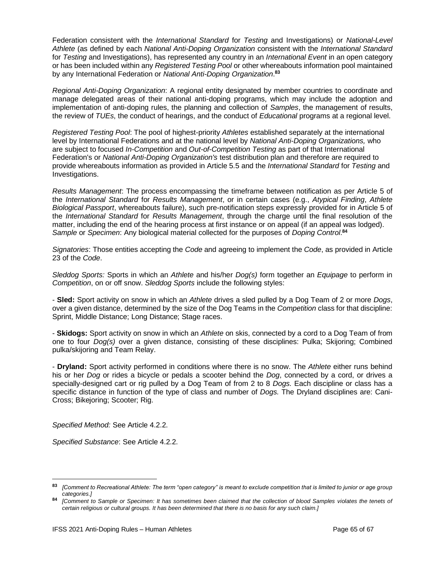Federation consistent with the *International Standard* for *Testing* and Investigations) or *National-Level Athlete* (as defined by each *National Anti-Doping Organization* consistent with the *International Standard* for *Testing* and Investigations), has represented any country in an *International Event* in an open category or has been included within any *Registered Testing Pool* or other whereabouts information pool maintained by any International Federation or *National Anti-Doping Organization*. **83**

*Regional Anti-Doping Organization*: A regional entity designated by member countries to coordinate and manage delegated areas of their national anti-doping programs, which may include the adoption and implementation of anti-doping rules, the planning and collection of *Samples*, the management of results, the review of *TUEs*, the conduct of hearings, and the conduct of *Educational* programs at a regional level.

*Registered Testing Pool*: The pool of highest-priority *Athletes* established separately at the international level by International Federations and at the national level by *National Anti-Doping Organizations,* who are subject to focused *In-Competition* and *Out-of-Competition Testing* as part of that International Federation's or *National Anti-Doping Organization's* test distribution plan and therefore are required to provide whereabouts information as provided in Article 5.5 and the *International Standard* for *Testing* and Investigations.

*Results Management*: The process encompassing the timeframe between notification as per Article 5 of the *International Standard* for *Results Management*, or in certain cases (e.g., *Atypical Finding*, *Athlete Biological Passport*, whereabouts failure), such pre-notification steps expressly provided for in Article 5 of the *International Standard* for *Results Management*, through the charge until the final resolution of the matter, including the end of the hearing process at first instance or on appeal (if an appeal was lodged). *Sample* or *Specimen*: Any biological material collected for the purposes of *Doping Control*. **84**

*Signatories*: Those entities accepting the *Code* and agreeing to implement the *Code*, as provided in Article 23 of the *Code*.

*Sleddog Sports:* Sports in which an *Athlete* and his/her *Dog(s)* form together an *Equipage* to perform in *Competition*, on or off snow. *Sleddog Sports* include the following styles:

- **Sled:** Sport activity on snow in which an *Athlete* drives a sled pulled by a Dog Team of 2 or more *Dogs*, over a given distance, determined by the size of the Dog Teams in the *Competition* class for that discipline: Sprint, Middle Distance; Long Distance; Stage races.

- **Skidogs:** Sport activity on snow in which an *Athlete* on skis, connected by a cord to a Dog Team of from one to four *Dog(s)* over a given distance, consisting of these disciplines: Pulka; Skijoring; Combined pulka/skijoring and Team Relay.

- **Dryland:** Sport activity performed in conditions where there is no snow. The *Athlete* either runs behind his or her *Dog* or rides a bicycle or pedals a scooter behind the *Dog*, connected by a cord, or drives a specially-designed cart or rig pulled by a Dog Team of from 2 to 8 *Dogs.* Each discipline or class has a specific distance in function of the type of class and number of *Dogs.* The Dryland disciplines are: Cani-Cross; Bikejoring; Scooter; Rig.

*Specified Method:* See Article 4.2.2.

*Specified Substance*: See Article 4.2.2.

**<sup>83</sup>** *[Comment to Recreational Athlete: The term "open category" is meant to exclude competition that is limited to junior or age group categories.]* 

**<sup>84</sup>** *[Comment to Sample or Specimen: It has sometimes been claimed that the collection of blood Samples violates the tenets of certain religious or cultural groups. It has been determined that there is no basis for any such claim.]*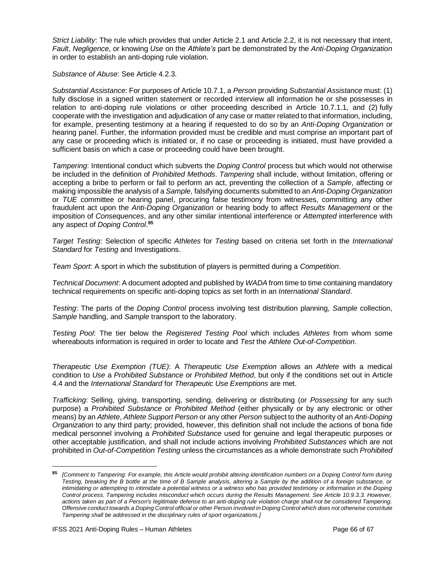*Strict Liability*: The rule which provides that under Article 2.1 and Article 2.2, it is not necessary that intent, *Fault*, *Negligence*, or knowing *Use* on the *Athlete's* part be demonstrated by the *Anti-Doping Organization* in order to establish an anti-doping rule violation.

*Substance of Abuse*: See Article 4.2.3.

*Substantial Assistance*: For purposes of Article 10.7.1, a *Person* providing *Substantial Assistance* must: (1) fully disclose in a signed written statement or recorded interview all information he or she possesses in relation to anti-doping rule violations or other proceeding described in Article 10.7.1.1, and (2) fully cooperate with the investigation and adjudication of any case or matter related to that information, including, for example, presenting testimony at a hearing if requested to do so by an *Anti-Doping Organization* or hearing panel. Further, the information provided must be credible and must comprise an important part of any case or proceeding which is initiated or, if no case or proceeding is initiated, must have provided a sufficient basis on which a case or proceeding could have been brought.

*Tampering*: Intentional conduct which subverts the *Doping Control* process but which would not otherwise be included in the definition of *Prohibited Methods*. *Tampering* shall include, without limitation, offering or accepting a bribe to perform or fail to perform an act, preventing the collection of a *Sample*, affecting or making impossible the analysis of a *Sample*, falsifying documents submitted to an *Anti-Doping Organization* or *TUE* committee or hearing panel, procuring false testimony from witnesses, committing any other fraudulent act upon the *Anti-Doping Organization* or hearing body to affect *Results Management* or the imposition of *Consequences*, and any other similar intentional interference or *Attempted* interference with any aspect of *Doping Control*. **85**

*Target Testing*: Selection of specific *Athletes* for *Testing* based on criteria set forth in the *International Standard* for *Testing* and Investigations.

*Team Sport*: A sport in which the substitution of players is permitted during a *Competition*.

*Technical Document*: A document adopted and published by *WADA* from time to time containing mandatory technical requirements on specific anti-doping topics as set forth in an *International Standard*.

*Testing*: The parts of the *Doping Control* process involving test distribution planning, *Sample* collection, *Sample* handling, and *Sample* transport to the laboratory.

*Testing Pool*: The tier below the *Registered Testing Pool* which includes *Athletes* from whom some whereabouts information is required in order to locate and *Test* the *Athlete Out-of-Competition*.

*Therapeutic Use Exemption (TUE)*: A *Therapeutic Use Exemption* allows an *Athlete* with a medical condition to *Use* a *Prohibited Substance* or *Prohibited Method*, but only if the conditions set out in Article 4.4 and the *International Standard* for *Therapeutic Use Exemptions* are met.

*Trafficking*: Selling, giving, transporting, sending, delivering or distributing (or *Possessing* for any such purpose) a *Prohibited Substance* or *Prohibited Method* (either physically or by any electronic or other means) by an *Athlete*, *Athlete Support Person* or any other *Person* subject to the authority of an *Anti-Doping Organization* to any third party; provided, however, this definition shall not include the actions of bona fide medical personnel involving a *Prohibited Substance* used for genuine and legal therapeutic purposes or other acceptable justification, and shall not include actions involving *Prohibited Substances* which are not prohibited in *Out-of-Competition Testing* unless the circumstances as a whole demonstrate such *Prohibited* 

**<sup>85</sup>** *[Comment to Tampering: For example, this Article would prohibit altering identification numbers on a Doping Control form during Testing, breaking the B bottle at the time of B Sample analysis, altering a Sample by the addition of a foreign substance, or intimidating or attempting to intimidate a potential witness or a witness who has provided testimony or information in the Doping Control process. Tampering includes misconduct which occurs during the Results Management. See Article 10.9.3.3. However, actions taken as part of a Person's legitimate defense to an anti-doping rule violation charge shall not be considered Tampering. Offensive conduct towards a Doping Control official or other Person involved in Doping Control which does not otherwise constitute Tampering shall be addressed in the disciplinary rules of sport organizations.]*